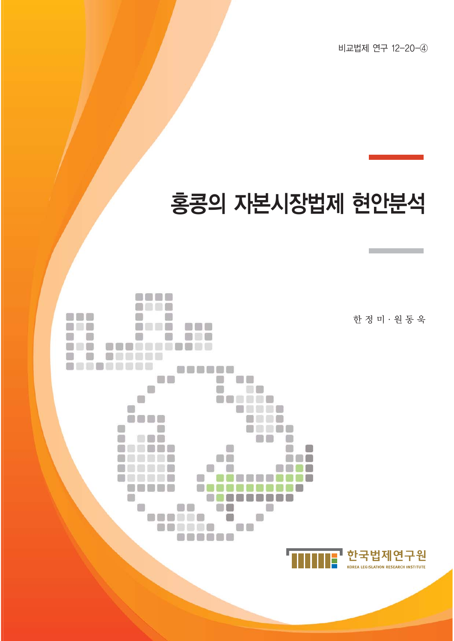비교법제 연구 12-20-④

# 홍콩의 자본시장법제 현안분석

한 정 미·원 동 욱



0000 a a a a

O D O H

00

a di B

OD.

DO DI D

aar

6 B 11

11

F

 $\Box$ 

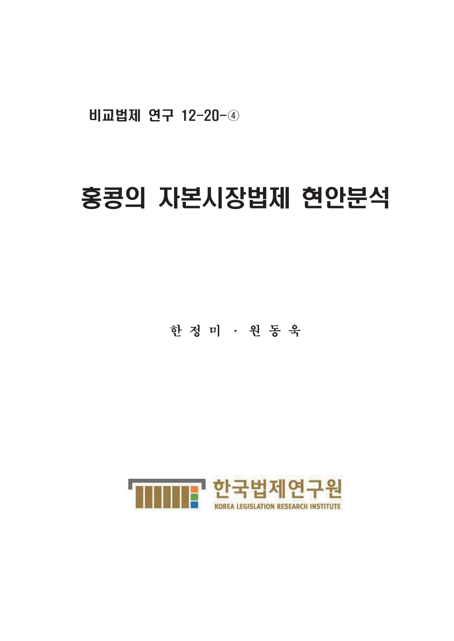비교법제 연구 12-20-4

# 홍콩의 자본시장법제 현안분석

한정미·원동욱

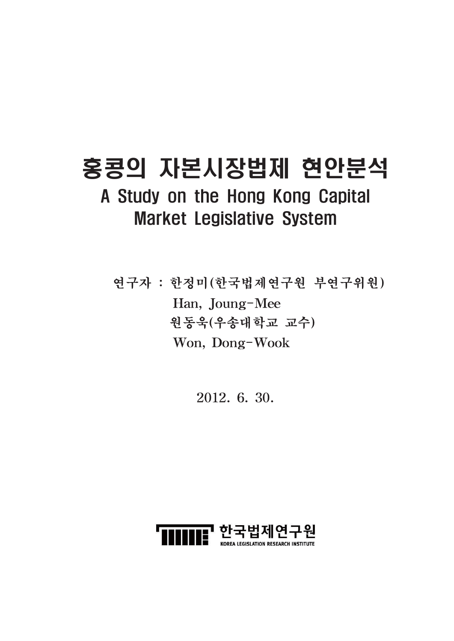## 홍콩의 자본시장법제 현안분석 A Study on the Hong Kong Capital **Market Legislative System**

연구자 : 한정미(한국법제연구원 부연구위원) Han, Joung-Mee 원동욱(우송대학교 교수) Won, Dong-Wook

2012, 6, 30,

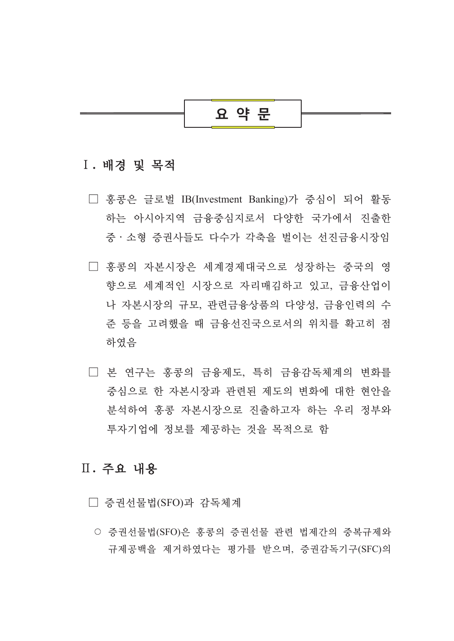## 요 약 문

## I. 배경 및 목적

- □ 홍콩은 글로벌 IB(Investment Banking)가 중심이 되어 활동 하는 아시아지역 금융중심지로서 다양한 국가에서 진출한 중 · 소형 증궈사들도 다수가 각축을 벌이는 선진금융시장임
- □ 홍콩의 자본시장은 세계경제대국으로 성장하는 중국의 영 향으로 세계적인 시장으로 자리매김하고 있고, 금융산업이 나 자본시장의 규모, 관련금융상품의 다양성, 금융이력의 수 준 등을 고려했을 때 금융선진국으로서의 위치를 확고히 점 하였음
- □ 본 연구는 홍콩의 금융제도, 특히 금융감독체계의 변화를 중심으로 한 자본시장과 관련된 제도의 변화에 대한 현안을 분석하여 홍콩 자본시장으로 진출하고자 하는 우리 정부와 투자기업에 정보를 제공하는 것을 목적으로 함

## Ⅱ. 주요 내용

□ 증권선물법(SFO)과 감독체계

○ 증권선물법(SFO)은 홍콩의 증권선물 관련 법제간의 중복규제와 규제공백을 제거하였다는 평가를 받으며, 증권감독기구(SFC)의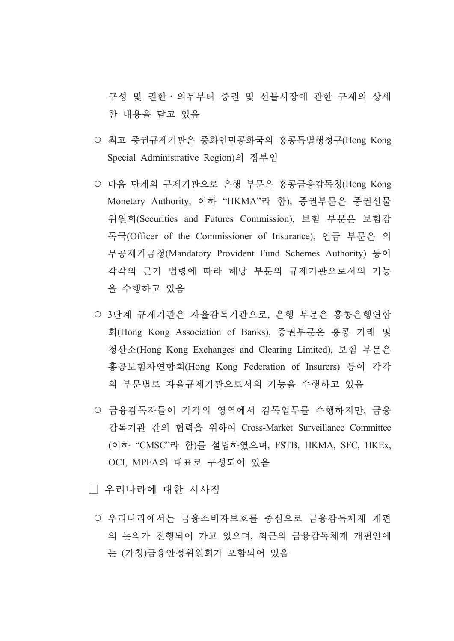구성 및 궈한 · 의무부터 증권 및 서물시장에 과한 규제의 상세 한 내용을 담고 있음

- 최고 증권규제기관은 중화인민공화국의 홍콩특별행정구(Hong Kong Special Administrative Region)의 정부임
- 다음 단계의 규제기관으로 은행 부문은 홍콩금융감독청(Hong Kong Monetary Authority, 이하 "HKMA"라 함), 증권부문은 증권선물 위원회(Securities and Futures Commission), 보험 부문은 보험감 독국(Officer of the Commissioner of Insurance), 연금 부문은 의 무공제기금청(Mandatory Provident Fund Schemes Authority) 등이 각각의 근거 법령에 따라 해당 부무의 규제기과으로서의 기능 을 수행하고 있음
- 3단계 규제기관은 자율감독기관으로, 은행 부문은 홍콩은행연합 회(Hong Kong Association of Banks), 증권부문은 홍콩 거래 및 청산소(Hong Kong Exchanges and Clearing Limited), 보험 부문은 홍콩보험자연합회(Hong Kong Federation of Insurers) 등이 각각 의 부문별로 자율규제기관으로서의 기능을 수행하고 있음
- 금융감독자들이 각각의 영역에서 감독업무를 수행하지만, 금융 감독기관 간의 협력을 위하여 Cross-Market Surveillance Committee (이하 "CMSC"라 함)를 설립하였으며, FSTB, HKMA, SFC, HKEx, OCI, MPFA의 대표로 구성되어 있음
- □ 우리나라에 대한 시사점
	- 우리나라에서는 금융소비자보호를 중심으로 금융감독체제 개편 의 논의가 진행되어 가고 있으며, 최근의 금융감독체계 개편안에 는 (가칭)금융안정위원회가 포함되어 있음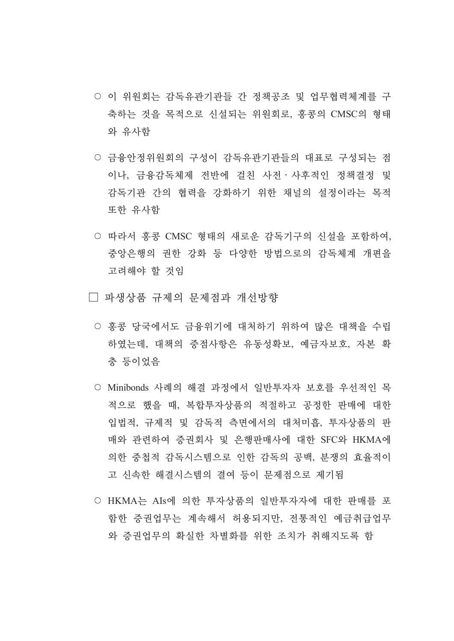- 이 위워회는 감독유관기관들 간 정책공조 및 업무협력체계를 구 축하는 것을 목적으로 신설되는 위워회로, 홍콩의 CMSC의 형태 와 유사함
- 금융안정위원회의 구성이 감독유관기관들의 대표로 구성되는 점 이나, 금융감독체제 전반에 걸친 사전 · 사후적인 정책결정 및 감독기관 간의 협력을 강화하기 위한 채널의 설정이라는 목적 또한 유사함
- 따라서 홍콩 CMSC 형태의 새로운 감독기구의 신설을 포함하여, 중앙은행의 권한 강화 등 다양한 방법으로의 감독체계 개편을 고려해야 할 것임
- □ 파생상품 규제의 문제점과 개선방향
	- 홍콩 당국에서도 금융위기에 대처하기 위하여 많은 대책을 수립 하였는데, 대책의 중점사항은 유동성확보, 예금자보호, 자본 확 충 등이었음
	- Minibonds 사례의 해결 과정에서 일반투자자 보호를 우선적인 목 적으로 했을 때, 복합투자상품의 적절하고 공정한 판매에 대한 입법적, 규제적 및 감독적 측면에서의 대처미흡, 투자상품의 판 매와 관련하여 증권회사 및 은행판매사에 대한 SFC와 HKMA에 의한 중첩적 감독시스템으로 인한 감독의 공백, 분쟁의 효율적이 고 신속한 해결시스템의 결여 등이 문제점으로 제기됨
	- HKMA는 AIs에 의한 투자상품의 일반투자자에 대한 판매를 포 함한 증권업무는 계속해서 허용되지만, 전통적인 예금취급업무 와 증권업무의 확실한 차별화를 위한 조치가 취해지도록 함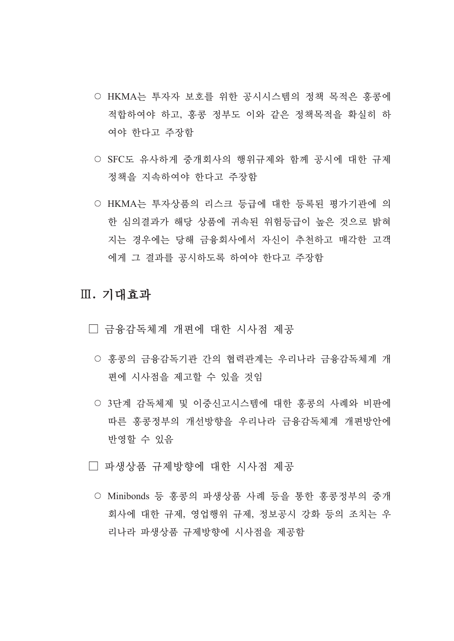- HKMA는 투자자 보호를 위한 공시시스템의 정책 목적은 홍콩에 적합하여야 하고, 홍콩 정부도 이와 같은 정책목적을 확실히 하 여야 한다고 주장함
- SFC도 유사하게 중개회사의 행위규제와 함께 공시에 대한 규제 정책을 지속하여야 한다고 주장함
- HKMA는 투자상품의 리스크 등급에 대한 등록된 평가기관에 의 한 심의결과가 해당 상품에 귀속된 위험등급이 높은 것으로 밝혀 지는 경우에는 당해 금융회사에서 자신이 추천하고 매각한 고객 에게 그 결과를 공시하도록 하여야 한다고 주장함

## $\mathbb{II}$ . 기대효과

□ 금융감독체계 개편에 대한 시사점 제공

- 홍콩의 금융감독기관 간의 협력관계는 우리나라 금융감독체계 개 편에 시사점을 제고할 수 있을 것임
- 3단계 감독체제 및 이중신고시스템에 대한 홍콩의 사례와 비판에 따른 홍콩정부의 개선방향을 우리나라 금융감독체계 개편방안에 반영할 수 있음
- □ 파생상품 규제방향에 대한 시사점 제공
	- Minibonds 등 홍콩의 파생상품 사례 등을 통한 홍콩정부의 중개 회사에 대한 규제, 영업행위 규제, 정보공시 강화 등의 조치는 우 리나라 파생상품 규제방향에 시사점을 제공함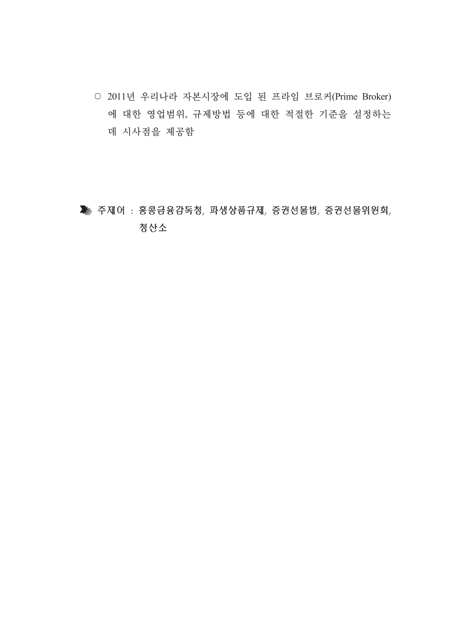○ 2011년 우리나라 자본시장에 도입 된 프라임 브로커(Prime Broker) 에 대한 영업범위, 규제방법 등에 대한 적절한 기준을 설정하는 데 시사점을 제공함

▶ 주제어 : 홍콩금융감독청, 파생상품규제, 증권선물법, 증권선물위원회, 청산소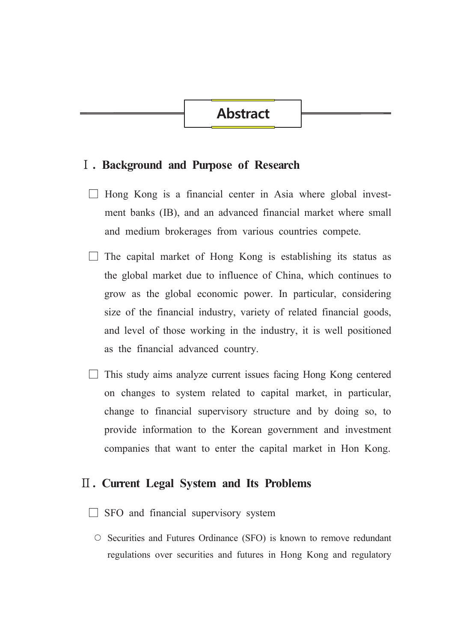### I. Background and Purpose of Research

- $\Box$  Hong Kong is a financial center in Asia where global investment banks (IB), and an advanced financial market where small and medium brokerages from various countries compete.
- $\Box$  The capital market of Hong Kong is establishing its status as the global market due to influence of China, which continues to grow as the global economic power. In particular, considering size of the financial industry, variety of related financial goods, and level of those working in the industry, it is well positioned as the financial advanced country.
- $\Box$  This study aims analyze current issues facing Hong Kong centered on changes to system related to capital market, in particular, change to financial supervisory structure and by doing so, to provide information to the Korean government and investment companies that want to enter the capital market in Hon Kong.

## II. Current Legal System and Its Problems

- $\Box$  SFO and financial supervisory system
	- $\circ$  Securities and Futures Ordinance (SFO) is known to remove redundant regulations over securities and futures in Hong Kong and regulatory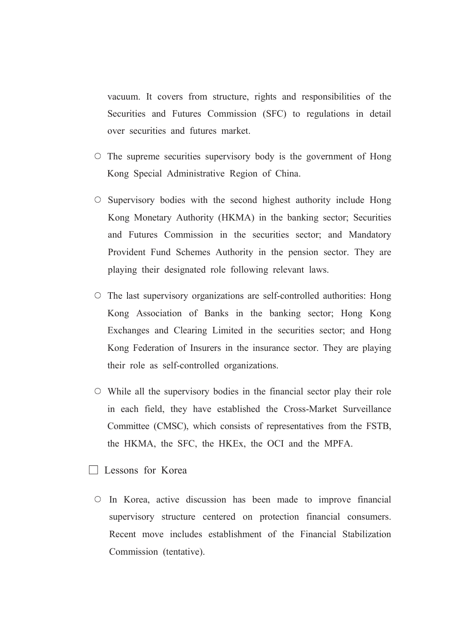vacuum. It covers from structure, rights and responsibilities of the Securities and Futures Commission (SFC) to regulations in detail over securities and futures market

- $\circ$  The supreme securities supervisory body is the government of Hong Kong Special Administrative Region of China.
- $\circ$  Supervisory bodies with the second highest authority include Hong Kong Monetary Authority (HKMA) in the banking sector; Securities and Futures Commission in the securities sector; and Mandatory Provident Fund Schemes Authority in the pension sector. They are playing their designated role following relevant laws.
- $\circ$  The last supervisory organizations are self-controlled authorities: Hong Kong Association of Banks in the banking sector; Hong Kong Exchanges and Clearing Limited in the securities sector; and Hong Kong Federation of Insurers in the insurance sector. They are playing their role as self-controlled organizations.
- $\circ$  While all the supervisory bodies in the financial sector play their role in each field, they have established the Cross-Market Surveillance Committee (CMSC), which consists of representatives from the FSTB, the HKMA, the SFC, the HKEx, the OCI and the MPFA.
- □ Lessons for Korea
	- $\circ$  In Korea, active discussion has been made to improve financial supervisory structure centered on protection financial consumers. Recent move includes establishment of the Financial Stabilization Commission (tentative).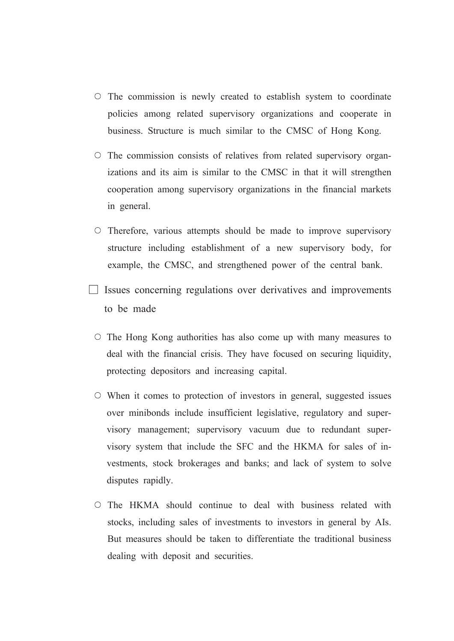- $\circ$  The commission is newly created to establish system to coordinate policies among related supervisory organizations and cooperate in business. Structure is much similar to the CMSC of Hong Kong.
- $\circ$  The commission consists of relatives from related supervisory organizations and its aim is similar to the CMSC in that it will strengthen cooperation among supervisory organizations in the financial markets in general.
- $\circ$  Therefore, various attempts should be made to improve supervisory structure including establishment of a new supervisory body, for example, the CMSC, and strengthened power of the central bank.
- $\Box$  Issues concerning regulations over derivatives and improvements to be made
	- $\circ$  The Hong Kong authorities has also come up with many measures to deal with the financial crisis. They have focused on securing liquidity, protecting depositors and increasing capital.
	- $\circ$  When it comes to protection of investors in general, suggested issues over minibonds include insufficient legislative, regulatory and supervisory management; supervisory vacuum due to redundant supervisory system that include the SFC and the HKMA for sales of investments, stock brokerages and banks; and lack of system to solve disputes rapidly.
	- $\circ$  The HKMA should continue to deal with business related with stocks, including sales of investments to investors in general by AIs. But measures should be taken to differentiate the traditional business dealing with deposit and securities.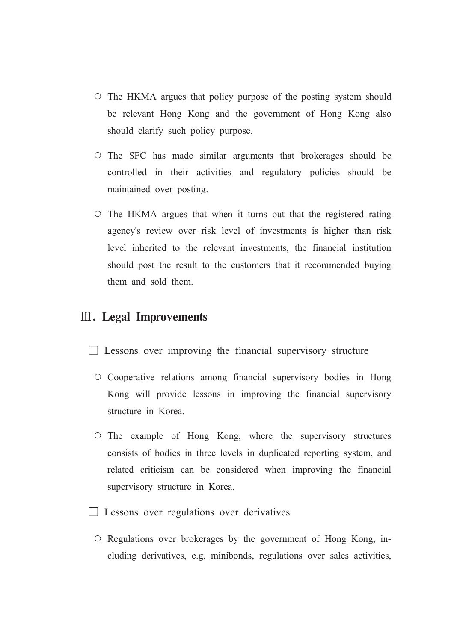- $\circ$  The HKMA argues that policy purpose of the posting system should be relevant Hong Kong and the government of Hong Kong also should clarify such policy purpose.
- $\circ$  The SFC has made similar arguments that brokerages should be controlled in their activities and regulatory policies should be maintained over posting.
- $\circ$  The HKMA argues that when it turns out that the registered rating agency's review over risk level of investments is higher than risk level inherited to the relevant investments, the financial institution should post the result to the customers that it recommended buying them and sold them.

## **III.** Legal Improvements

- $\Box$  Lessons over improving the financial supervisory structure
	- $\circ$  Cooperative relations among financial supervisory bodies in Hong Kong will provide lessons in improving the financial supervisory structure in Korea.
	- $\circ$  The example of Hong Kong, where the supervisory structures consists of bodies in three levels in duplicated reporting system, and related criticism can be considered when improving the financial supervisory structure in Korea.
- $\Box$  Lessons over regulations over derivatives
	- $\circ$  Regulations over brokerages by the government of Hong Kong, including derivatives, e.g. minibonds, regulations over sales activities,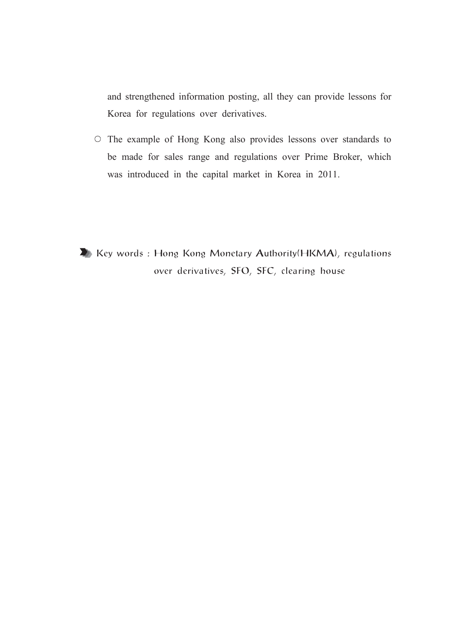and strengthened information posting, all they can provide lessons for Korea for regulations over derivatives.

○ The example of Hong Kong also provides lessons over standards to be made for sales range and regulations over Prime Broker, which was introduced in the capital market in Korea in 2011.

E Key words: Hong Kong Monetary Authority (HKMA), regulations over derivatives, SFO, SFC, clearing house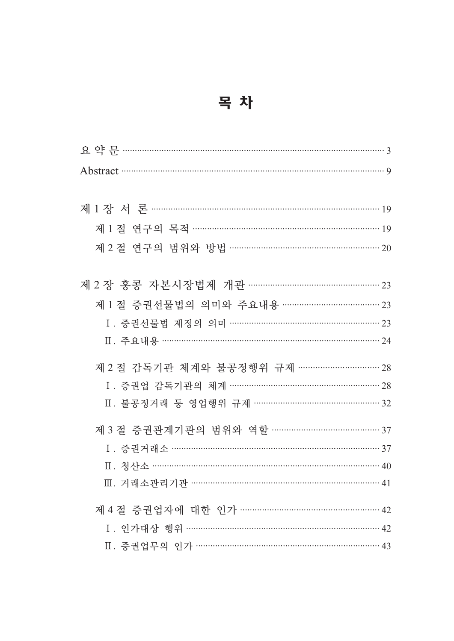| 제 1 절 연구의 목적 …………………………………………………………………… 19 |  |
|--------------------------------------------|--|
| 제 2 절 연구의 범위와 방법 …………………………………………………… 20   |  |
|                                            |  |
| 제 2 장 홍콩 자본시장법제 개관 ………………………………………… 23     |  |
| 제 1 절 증권선물법의 의미와 주요내용 ………………………………… 23     |  |
|                                            |  |
|                                            |  |
| 제 2 절 감독기관 체계와 불공정행위 규제 …………………………… 28     |  |
|                                            |  |
| Ⅱ. 불공정거래 등 영업행위 규제 …………………………………………… 32    |  |
|                                            |  |
| 제 3 절 증권관계기관의 범위와 역할 …………………………………… 37     |  |
|                                            |  |
|                                            |  |
| Ⅲ. 거래소관리기관 …………………………………………………………………… 41   |  |
| 제 4 절 증권업자에 대한 인가 ……………………………………………… 42    |  |
|                                            |  |
| Ⅱ. 증권업무의 인가 ………………………………………………………………… 43   |  |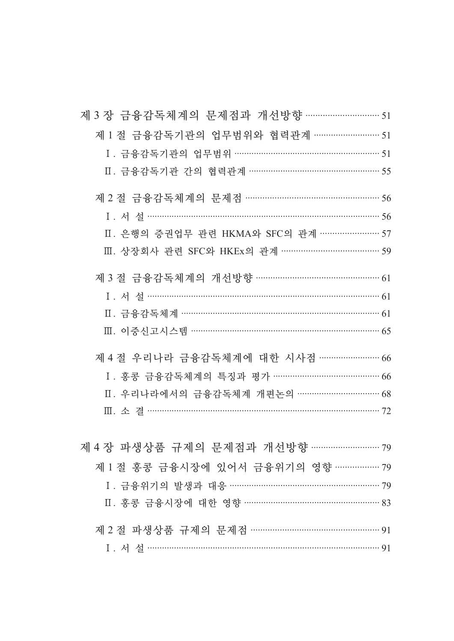| 제 3 장 금융감독체계의 문제점과 개선방향 ………………………… 51     |  |
|-------------------------------------------|--|
| 제 1 절 금융감독기관의 업무범위와 협력관계 ……………………… 51     |  |
|                                           |  |
| Ⅱ. 금융감독기관 간의 협력관계 ………………………………………… 55     |  |
| 제 2 절 금융감독체계의 문제점 ………………………………………… 56     |  |
|                                           |  |
| Ⅱ. 은행의 증권업무 관련 HKMA와 SFC의 관계 …………………… 57  |  |
| Ⅲ. 상장회사 관련 SFC와 HKEx의 관계 ………………………………… 59 |  |
| 제 3 절 금융감독체계의 개선방향 ………………………………………… 61    |  |
|                                           |  |
| Ⅱ. 금융감독체계 …………………………………………………………………… 61   |  |
| Ⅲ. 이중신고시스템 ………………………………………………………………… 65   |  |
| 제 4 절 우리나라 금융감독체계에 대한 시사점 …………………… 66     |  |
| I. 홍콩 금융감독체계의 특징과 평가 …………………………………… 66    |  |
| Ⅱ. 우리나라에서의 금융감독체계 개편논의 …………………………… 68     |  |
|                                           |  |
| 제 4 장 파생상품 규제의 문제점과 개선방향 ……………………… 79     |  |
| 제 1 절 홍콩 금융시장에 있어서 금융위기의 영향 ……………… 79     |  |
|                                           |  |
|                                           |  |
| Ⅱ. 홍콩 금융시장에 대한 영향 …………………………………………… 83    |  |
| 제 2 절 파생상품 규제의 문제점 ………………………………………… 91    |  |
|                                           |  |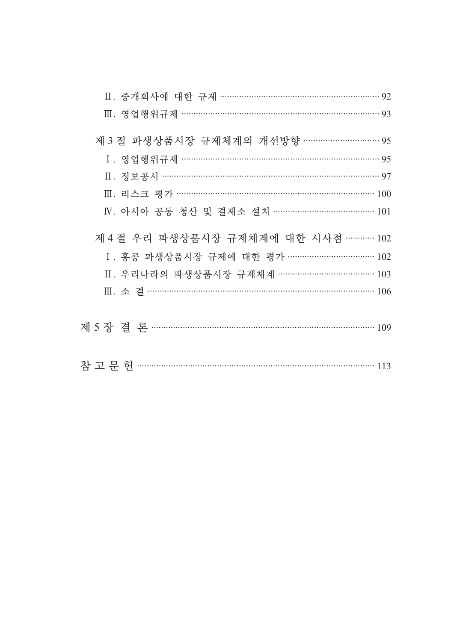| Ⅱ. 중개회사에 대한 규제 ……………………………………………………… 92    |  |
|--------------------------------------------|--|
| Ⅲ. 영업행위규제 …………………………………………………………………… 93    |  |
| 제 3 절 파생상품시장 규제체계의 개선방향 ………………………… 95      |  |
|                                            |  |
|                                            |  |
| Ⅲ. 리스크 평가 ……………………………………………………………………… 100  |  |
| Ⅳ. 아시아 공동 청산 및 결제소 설치 …………………………………… 101   |  |
| 제 4 절 우리 파생상품시장 규제체계에 대한 시사점 ………… 102      |  |
| I. 홍콩 파생상품시장 규제에 대한 평가 …………………………… 102     |  |
| Ⅱ. 우리나라의 파생상품시장 규제체계 ………………………………… 103     |  |
| Ⅲ. 소 결 ………………………………………………………………………………… 106 |  |
|                                            |  |
|                                            |  |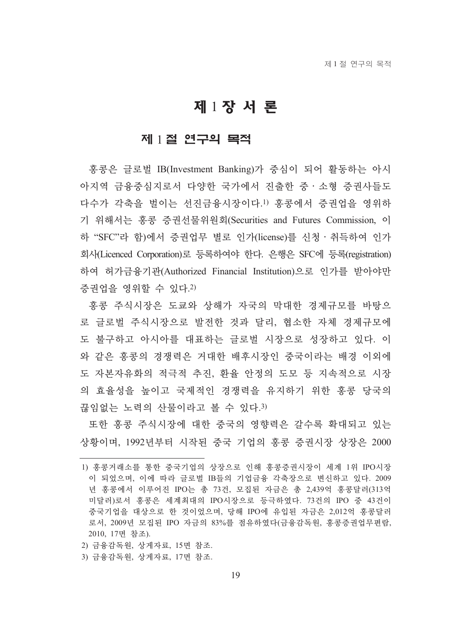## 제 1 장 서 론

#### 제 1절 연구의 목적

홍콩은 글로벌 IB(Investment Banking)가 중심이 되어 활동하는 아시 아지역 금융중심지로서 다양한 국가에서 진출한 중ㆍ소형 증권사들도 다수가 각축을 벌이는 선진금융시장이다!) 홍콩에서 증권업을 영위하 기 위해서는 홍콩 증권선물위원회(Securities and Futures Commission, 이 하 "SFC"라 함)에서 증권업무 별로 인가(license)를 시청 · 취득하여 인가 회사(Licenced Corporation)로 등록하여야 한다. 은행은 SFC에 등록(registration) 하여 허가금융기관(Authorized Financial Institution)으로 인가를 받아야만 증권업을 영위할 수 있다.2)

홍콩 주식시장은 도쿄와 상해가 자국의 막대한 경제규모를 바탕으 로 글로벌 주식시장으로 발전한 것과 달리, 협소한 자체 경제규모에 도 불구하고 아시아를 대표하는 글로벌 시장으로 성장하고 있다. 이 와 같은 홍콩의 경쟁력은 거대한 배후시장인 중국이라는 배경 이외에 도 자본자유화의 적극적 추진, 환율 안정의 도모 등 지속적으로 시장 의 효율성을 높이고 국제적인 경쟁력을 유지하기 위한 홍콩 당국의 끊임없는 노력의 산물이라고 볼 수 있다.3)

또한 홍콩 주식시장에 대한 중국의 영향력은 갈수록 확대되고 있는 상황이며, 1992년부터 시작된 중국 기업의 홍콩 증권시장 상장은 2000

- 2) 금융감독원, 상게자료, 15면 참조.
- 3) 금융감독원, 상게자료, 17면 참조.

<sup>1)</sup> 홍콩거래소를 통한 중국기업의 상장으로 인해 홍콩증권시장이 세계 1위 IPO시장 이 되었으며, 이에 따라 글로벌 IB들의 기업금융 각축장으로 변신하고 있다. 2009 년 홍콩에서 이루어진 IPO는 총 73건, 모집된 자금은 총 2,439억 홍콩달러(313억 미달러)로서 홍콩은 세계최대의 IPO시장으로 등극하였다. 73건의 IPO 중 43건이 중국기업을 대상으로 한 것이었으며, 당해 IPO에 유입된 자금은 2,012억 홍콩달러 로서, 2009년 모집된 IPO 자금의 83%를 점유하였다(금융감독원, 홍콩증권업무편람, 2010, 17면 참조).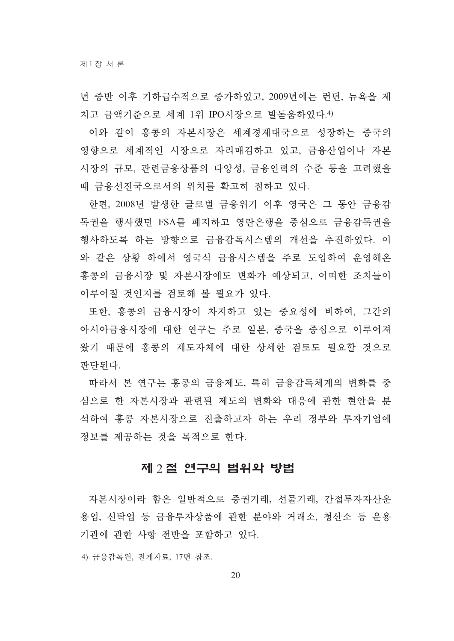년 중반 이후 기하급수적으로 증가하였고, 2009년에는 런던, 뉴욕을 제 치고 금액기준으로 세계 1위 IPO시장으로 발돋움하였다.4)

이와 같이 홍콩의 자본시장은 세계경제대국으로 성장하는 중국의 영향으로 세계적인 시장으로 자리매김하고 있고, 금융산업이나 자본 시장의 규모, 관련금융상품의 다양성, 금융인력의 수준 등을 고려했을 때 금융선진국으로서의 위치를 확고히 점하고 있다.

한편, 2008년 발생한 글로벌 금융위기 이후 영국은 그 동안 금융감 독권을 행사했던 FSA를 폐지하고 영란은행을 중심으로 금융감독권을 행사하도록 하는 방향으로 금융감독시스템의 개선을 추진하였다. 이 와 같은 상황 하에서 영국식 금융시스템을 주로 도입하여 운영해온 홍콩의 금융시장 및 자본시장에도 변화가 예상되고, 어떠한 조치들이 이루어질 것인지를 검토해 볼 필요가 있다.

또한, 홍콩의 금융시장이 차지하고 있는 중요성에 비하여, 그간의 아시아금융시장에 대한 연구는 주로 일본, 중국을 중심으로 이루어져 왔기 때문에 홍콩의 제도자체에 대한 상세한 검토도 필요할 것으로 판단되다.

따라서 본 연구는 홍콩의 금융제도, 특히 금융감독체계의 변화를 중 심으로 한 자본시장과 관련된 제도의 변화와 대응에 관한 현안을 분 석하여 홍콩 자본시장으로 진출하고자 하는 우리 정부와 투자기업에 정보를 제공하는 것을 목적으로 한다.

### 제 2절 연구의 범위와 방법

자본시장이라 함은 일반적으로 증권거래, 선물거래, 간접투자자산운 용업, 신탁업 등 금융투자상품에 관한 분야와 거래소, 청산소 등 운용 기관에 관한 사항 전반을 포함하고 있다.

<sup>4)</sup> 금융감독원, 전게자료, 17면 참조.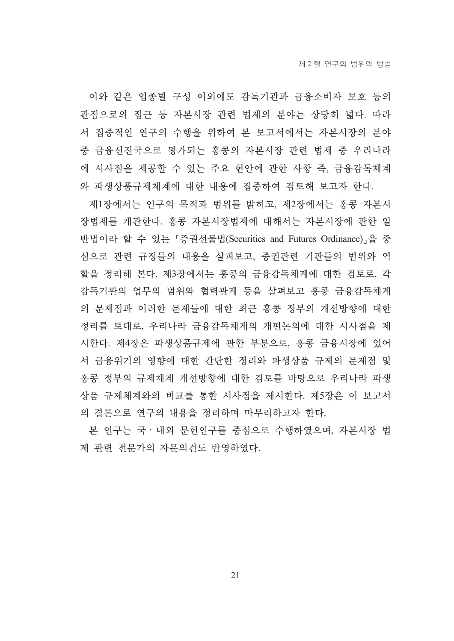이와 같은 업종별 구성 이외에도 감독기관과 금융소비자 보호 등의 관점으로의 접근 등 자본시장 관련 법제의 분야는 상당히 넓다. 따라 서 집중적인 연구의 수행을 위하여 본 보고서에서는 자본시장의 분야 중 금융선진국으로 평가되는 홍콩의 자본시장 관련 법제 중 우리나라 에 시사점을 제공할 수 있는 주요 현안에 관한 사항 즉, 금융감독체계 와 파생상품규제체계에 대한 내용에 집중하여 검토해 보고자 한다.

제1장에서는 여구의 목적과 범위를 밝히고, 제2장에서는 홍콩 자본시 장법제를 개관한다. 홍콩 자본시장법제에 대해서는 자본시장에 관한 일 반법이라 할 수 있는 「증권선물법(Securities and Futures Ordinance)」을 중 심으로 관련 규정들의 내용을 살펴보고, 증권관련 기관들의 범위와 역 할을 정리해 본다. 제3장에서는 홍콩의 금융감독체계에 대한 검토로, 각 감독기관의 업무의 범위와 협력관계 등을 살펴보고 홍콩 금융감독체계 의 문제점과 이러한 문제들에 대한 최근 홍콩 정부의 개선방향에 대한 정리를 토대로, 우리나라 금융감독체계의 개편논의에 대한 시사점을 제 시한다. 제4장은 파생상품규제에 관한 부분으로, 홍콩 금융시장에 있어 서 금융위기의 영향에 대한 간단한 정리와 파생상품 규제의 문제점 및 홍콩 정부의 규제체계 개선방향에 대한 검토를 바탕으로 우리나라 파생 상품 규제체계와의 비교를 통한 시사점을 제시한다. 제5장은 이 보고서 의 결론으로 연구의 내용을 정리하며 마무리하고자 한다.

본 연구는 국·내외 문헌연구를 중심으로 수행하였으며, 자본시장 법 제 과련 전문가의 자문의견도 반영하였다.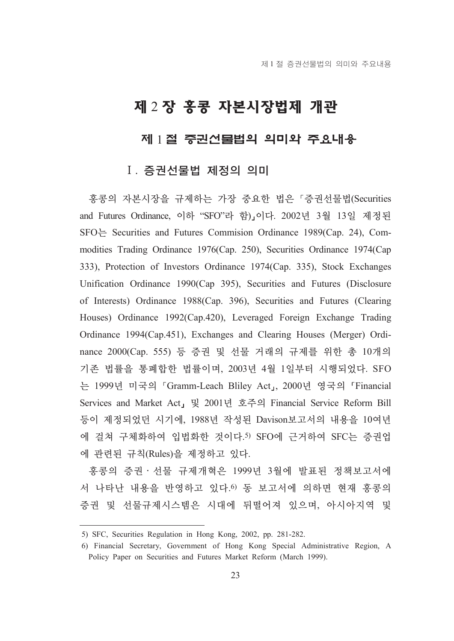## 제 2 장 홍콩 자본시장법제 개관

## 제 1절 증권선물법의 의미와 주요내용

#### I. 증권선물법 제정의 의미

홍콩의 자본시장을 규제하는 가장 중요한 법은 「증권선물법(Securities and Futures Ordinance, 이하 "SFO"라 함)」이다. 2002년 3월 13일 제정된 SFO는 Securities and Futures Commision Ordinance 1989(Cap. 24), Commodities Trading Ordinance 1976(Cap. 250), Securities Ordinance 1974(Cap 333), Protection of Investors Ordinance 1974(Cap. 335), Stock Exchanges Unification Ordinance 1990(Cap 395), Securities and Futures (Disclosure of Interests) Ordinance 1988(Cap. 396), Securities and Futures (Clearing Houses) Ordinance 1992(Cap.420), Leveraged Foreign Exchange Trading Ordinance 1994(Cap.451), Exchanges and Clearing Houses (Merger) Ordinance 2000(Cap. 555) 등 증권 및 선물 거래의 규제를 위한 총 10개의 기존 법률을 통폐합한 법률이며, 2003년 4월 1일부터 시행되었다. SFO 는 1999년 미국의 「Gramm-Leach Bliley Act」, 2000년 영국의 「Financial Services and Market Act」 및 2001년 호주의 Financial Service Reform Bill 등이 제정되었던 시기에, 1988년 작성된 Davison보고서의 내용을 10여년 에 걸쳐 구체화하여 입법화한 것이다.5) SFO에 근거하여 SFC는 증권업 에 관련된 규칙(Rules)을 제정하고 있다.

홍콩의 증권·선물 규제개혁은 1999년 3월에 발표된 정책보고서에 서 나타난 내용을 반영하고 있다. 아동 보고서에 의하면 현재 홍콩의 증권 및 선물규제시스템은 시대에 뒤떨어져 있으며, 아시아지역 및

<sup>5)</sup> SFC, Securities Regulation in Hong Kong, 2002, pp. 281-282.

<sup>6)</sup> Financial Secretary, Government of Hong Kong Special Administrative Region, A Policy Paper on Securities and Futures Market Reform (March 1999).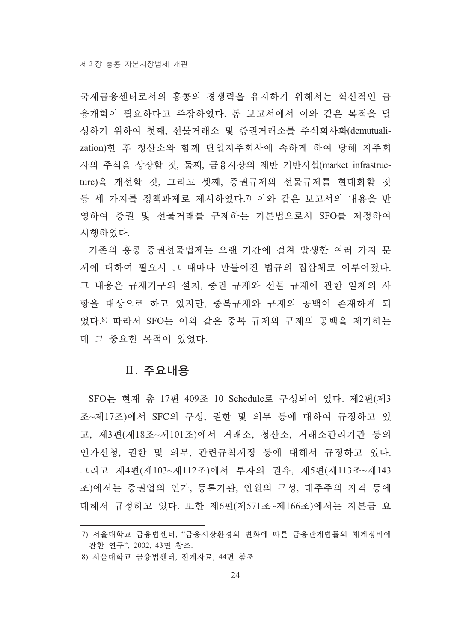국제금융센터로서의 홍콩의 경쟁력을 유지하기 위해서는 혁신적인 금 융개혁이 필요하다고 주장하였다. 동 보고서에서 이와 같은 목적을 달 성하기 위하여 첫째, 선물거래소 및 증권거래소를 주식회사화(demutualization)한 후 청산소와 함께 단일지주회사에 속하게 하여 당해 지주회 사의 주식을 상장할 것, 둘째, 금융시장의 제반 기반시설(market infrastructure)을 개선할 것, 그리고 셋째, 증권규제와 선물규제를 현대화할 것 등 세 가지를 정책과제로 제시하였다. 이와 같은 보고서의 내용을 반 영하여 증권 및 선물거래를 규제하는 기본법으로서 SFO를 제정하여 시행하였다.

기존의 홍콩 증권선물법제는 오랜 기간에 걸쳐 발생한 여러 가지 문 제에 대하여 필요시 그 때마다 만들어진 법규의 집합체로 이루어졌다. 그 내용은 규제기구의 설치, 증권 규제와 선물 규제에 관한 일체의 사 항을 대상으로 하고 있지만, 중복규제와 규제의 공백이 존재하게 되 었다.8) 따라서 SFO는 이와 같은 중복 규제와 규제의 공백을 제거하는 데 그 중요한 목적이 있었다.

#### Ⅱ. 주요내용

SFO는 현재 총 17편 409조 10 Schedule로 구성되어 있다. 제2편(제3 조~제17조)에서 SFC의 구성, 권한 및 의무 등에 대하여 규정하고 있 고, 제3편(제18조~제101조)에서 거래소, 청산소, 거래소관리기관 등의 인가신청, 권한 및 의무, 관련규칙제정 등에 대해서 규정하고 있다. 그리고 제4편(제103~제112조)에서 투자의 권유, 제5편(제113조~제143 조)에서는 증권업의 인가, 등록기관, 인원의 구성, 대주주의 자격 등에 대해서 규정하고 있다. 또한 제6편(제571조~제166조)에서는 자본금 요

<sup>7)</sup> 서울대학교 금융법센터, "금융시장환경의 변화에 따른 금융관계법률의 체계정비에 관한 연구", 2002, 43면 참조.

<sup>8)</sup> 서울대학교 금융법센터, 전게자료, 44면 참조.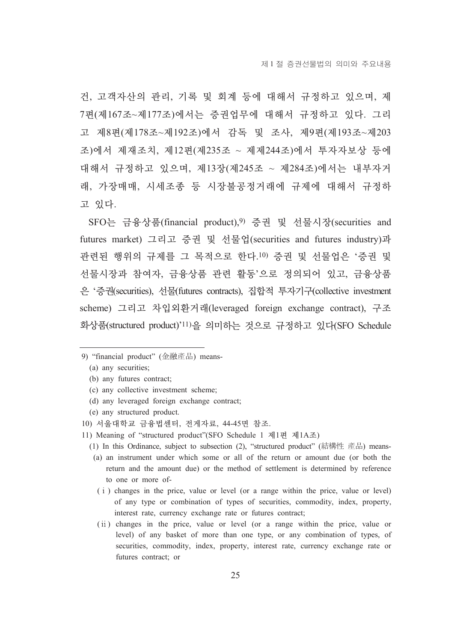건, 고객자산의 관리, 기록 및 회계 등에 대해서 규정하고 있으며, 제 7편(제167조~제177조)에서는 증권업무에 대해서 규정하고 있다. 그리 고 제8편(제178조~제192조)에서 감독 및 조사, 제9편(제193조~제203 조)에서 제재조치, 제12편(제235조 ~ 제제244조)에서 투자자보상 등에 대해서 규정하고 있으며, 제13장(제245조 ~ 제284조)에서는 내부자거 래, 가장매매, 시세조종 등 시장불공정거래에 규제에 대해서 규정하 고 있다.

SFO는 금융상품(financial product),<sup>9)</sup> 증권 및 선물시장(securities and futures market) 그리고 증권 및 선물업(securities and futures industry)과 관련된 행위의 규제를 그 목적으로 하다.10) 증권 및 서물업은 '증권 및 선물시장과 참여자, 금융상품 관련 활동'으로 정의되어 있고, 금융상품 은 '증권(securities), 선물(futures contracts), 집합적 투자기구(collective investment scheme) 그리고 차입외환거래(leveraged foreign exchange contract), 구조 화상품(structured product)'11)을 의미하는 것으로 규정하고 있다(SFO Schedule

- (c) any collective investment scheme;
- (d) any leveraged foreign exchange contract;
- (e) any structured product.
- 10) 서울대학교 금융법센터, 전게자료, 44-45면 참조.
- 11) Meaning of "structured product" (SFO Schedule 1 제1편 제1A조)
	- (1) In this Ordinance, subject to subsection (2), "structured product" (結構性 產品) means-(a) an instrument under which some or all of the return or amount due (or both the
		- return and the amount due) or the method of settlement is determined by reference to one or more of-
		- (i) changes in the price, value or level (or a range within the price, value or level) of any type or combination of types of securities, commodity, index, property, interest rate, currency exchange rate or futures contract;
		- (ii) changes in the price, value or level (or a range within the price, value or level) of any basket of more than one type, or any combination of types, of securities, commodity, index, property, interest rate, currency exchange rate or futures contract; or

<sup>9) &</sup>quot;financial product" (金融產品) means-

<sup>(</sup>a) any securities;

<sup>(</sup>b) any futures contract;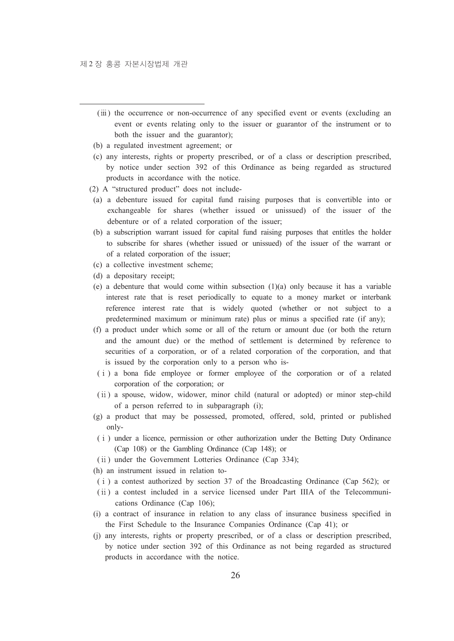- (iii) the occurrence or non-occurrence of any specified event or events (excluding an event or events relating only to the issuer or guarantor of the instrument or to both the issuer and the guarantor);
- (b) a regulated investment agreement; or
- (c) any interests, rights or property prescribed, or of a class or description prescribed, by notice under section 392 of this Ordinance as being regarded as structured products in accordance with the notice.
- (2) A "structured product" does not include-
- (a) a debenture issued for capital fund raising purposes that is convertible into or exchangeable for shares (whether issued or unissued) of the issuer of the debenture or of a related corporation of the issuer:
- (b) a subscription warrant issued for capital fund raising purposes that entitles the holder to subscribe for shares (whether issued or unissued) of the issuer of the warrant or of a related corporation of the issuer;
- (c) a collective investment scheme:
- (d) a depositary receipt;
- (e) a debenture that would come within subsection  $(1)(a)$  only because it has a variable interest rate that is reset periodically to equate to a money market or interbank reference interest rate that is widely quoted (whether or not subject to a predetermined maximum or minimum rate) plus or minus a specified rate (if any);
- (f) a product under which some or all of the return or amount due (or both the return and the amount due) or the method of settlement is determined by reference to securities of a corporation, or of a related corporation of the corporation, and that is issued by the corporation only to a person who is-
- (i) a bona fide employee or former employee of the corporation or of a related corporation of the corporation; or
- (ii) a spouse, widow, widower, minor child (natural or adopted) or minor step-child of a person referred to in subparagraph (i);
- (g) a product that may be possessed, promoted, offered, sold, printed or published only-
- (i) under a licence, permission or other authorization under the Betting Duty Ordinance (Cap 108) or the Gambling Ordinance (Cap 148); or
- (ii) under the Government Lotteries Ordinance (Cap 334);
- (h) an instrument issued in relation to-
- (i) a contest authorized by section 37 of the Broadcasting Ordinance (Cap 562); or
- (ii) a contest included in a service licensed under Part IIIA of the Telecommunications Ordinance (Cap 106);
- (i) a contract of insurance in relation to any class of insurance business specified in the First Schedule to the Insurance Companies Ordinance (Cap 41); or
- (i) any interests, rights or property prescribed, or of a class or description prescribed, by notice under section 392 of this Ordinance as not being regarded as structured products in accordance with the notice.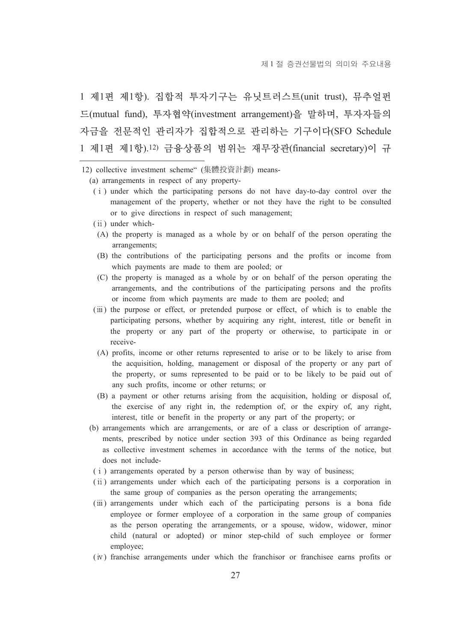1 제1편 제1항). 집합적 투자기구는 유닛트러스트(unit trust), 뮤추얼펀 드(mutual fund), 투자협약(investment arrangement)을 말하며, 투자자들의 자금을 전문적인 관리자가 집합적으로 관리하는 기구이다(SFO Schedule 1 제1편 제1항).<sup>12)</sup> 금융상품의 범위는 재무장관(financial secretary)이 규

12) collective investment scheme" (集體投資計劃) means-

- (a) arrangements in respect of any property-
- (i) under which the participating persons do not have day-to-day control over the management of the property, whether or not they have the right to be consulted or to give directions in respect of such management;
- (ii) under which-
- (A) the property is managed as a whole by or on behalf of the person operating the arrangements;
- (B) the contributions of the participating persons and the profits or income from which payments are made to them are pooled; or
- (C) the property is managed as a whole by or on behalf of the person operating the arrangements, and the contributions of the participating persons and the profits or income from which payments are made to them are pooled; and
- (iii) the purpose or effect, or pretended purpose or effect, of which is to enable the participating persons, whether by acquiring any right, interest, title or benefit in the property or any part of the property or otherwise, to participate in or receive-
- (A) profits, income or other returns represented to arise or to be likely to arise from the acquisition, holding, management or disposal of the property or any part of the property, or sums represented to be paid or to be likely to be paid out of any such profits, income or other returns; or
- (B) a payment or other returns arising from the acquisition, holding or disposal of, the exercise of any right in, the redemption of, or the expiry of, any right, interest, title or benefit in the property or any part of the property; or
- (b) arrangements which are arrangements, or are of a class or description of arrangements, prescribed by notice under section 393 of this Ordinance as being regarded as collective investment schemes in accordance with the terms of the notice, but does not include-
- (i) arrangements operated by a person otherwise than by way of business;
- (ii) arrangements under which each of the participating persons is a corporation in the same group of companies as the person operating the arrangements;
- (iii) arrangements under which each of the participating persons is a bona fide employee or former employee of a corporation in the same group of companies as the person operating the arrangements, or a spouse, widow, widower, minor child (natural or adopted) or minor step-child of such employee or former employee;
- (iv) franchise arrangements under which the franchisor or franchise earns profits or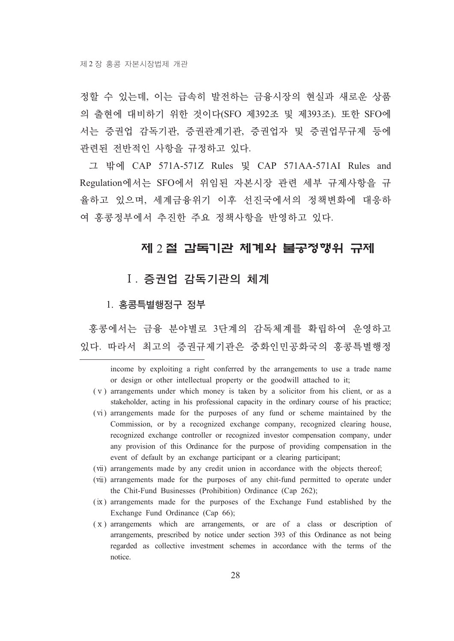정할 수 있는데, 이는 급속히 발전하는 금융시장의 현실과 새로운 상품 의 출현에 대비하기 위한 것이다(SFO 제392조 및 제393조). 또한 SFO에 서는 증권업 감독기관, 증권관계기관, 증권업자 및 증권업무규제 등에 관련된 전반적인 사항을 규정하고 있다.

그 밖에 CAP 571A-571Z Rules 및 CAP 571AA-571AI Rules and Regulation에서는 SFO에서 위임된 자본시장 관련 세부 규제사항을 규 율하고 있으며, 세계금융위기 이후 서진국에서의 정책변화에 대응하 여 홍콩정부에서 추진한 주요 정책사항을 반영하고 있다.

#### 제 2 절 감독기관 체계와 불공정행위 규제

#### I. 증권업 감독기관의 체계

#### 1. 홍콩특별행정구 정부

홍콩에서는 금융 부야별로 3단계의 감독체계를 확립하여 유영하고 있다. 따라서 최고의 증권규제기관은 중화인민공화국의 홍콩특별행정

income by exploiting a right conferred by the arrangements to use a trade name or design or other intellectual property or the goodwill attached to it;

- (v) arrangements under which money is taken by a solicitor from his client, or as a stakeholder, acting in his professional capacity in the ordinary course of his practice;
- (vi) arrangements made for the purposes of any fund or scheme maintained by the Commission, or by a recognized exchange company, recognized clearing house, recognized exchange controller or recognized investor compensation company, under any provision of this Ordinance for the purpose of providing compensation in the event of default by an exchange participant or a clearing participant;
- (vii) arrangements made by any credit union in accordance with the objects thereof;
- (viii) arrangements made for the purposes of any chit-fund permitted to operate under the Chit-Fund Businesses (Prohibition) Ordinance (Cap 262);
- (ix) arrangements made for the purposes of the Exchange Fund established by the Exchange Fund Ordinance (Cap 66);
- $(x)$  arrangements which are arrangements, or are of a class or description of arrangements, prescribed by notice under section 393 of this Ordinance as not being regarded as collective investment schemes in accordance with the terms of the notice.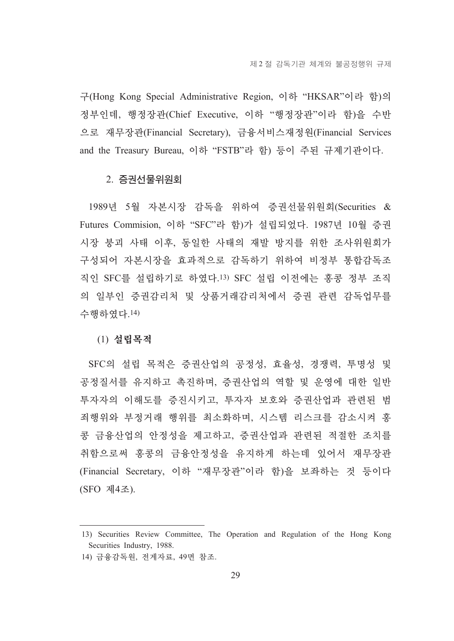구(Hong Kong Special Administrative Region, 이하 "HKSAR"이라 함)의 정부인데, 행정장관(Chief Executive, 이하 "행정장관"이라 함)을 수반 으로 재무장관(Financial Secretary), 금융서비스재정원(Financial Services and the Treasury Bureau, 이하 "FSTB"라 함) 등이 주된 규제기관이다.

#### 2. 증권서물위원회

1989년 5월 자본시장 감독을 위하여 증권선물위원회(Securities  $\&$ Futures Commision, 이하 "SFC"라 함)가 설립되었다. 1987년 10월 증권 시장 붕괴 사태 이후, 동일한 사태의 재발 방지를 위한 조사위원회가 구성되어 자본시장을 효과적으로 감독하기 위하여 비정부 통합감독조 직인 SFC를 설립하기로 하였다.13) SFC 설립 이전에는 홍콩 정부 조직 의 일부인 증권감리처 및 상품거래감리처에서 증권 관련 감독업무를 수행하였다.14)

(1) 설립목적

SFC의 설립 목적은 증권산업의 공정성, 효율성, 경쟁력, 투명성 및 공정질서를 유지하고 촉진하며, 증권사업의 역할 및 유영에 대한 일반 투자자의 이해도를 증진시키고, 투자자 보호와 증권산업과 관련된 범 죄행위와 부정거래 행위를 최소화하며, 시스템 리스크를 감소시켜 홍 콩 금융산업의 안정성을 제고하고, 증권산업과 관련된 적절한 조치를 취함으로써 홍콩의 금융안정성을 유지하게 하는데 있어서 재무장관 (Financial Secretary, 이하 "재무장관"이라 함)을 보좌하는 것 등이다 (SFO 제4조).

<sup>13)</sup> Securities Review Committee, The Operation and Regulation of the Hong Kong Securities Industry, 1988.

<sup>14)</sup> 금융감독원, 전게자료, 49면 참조.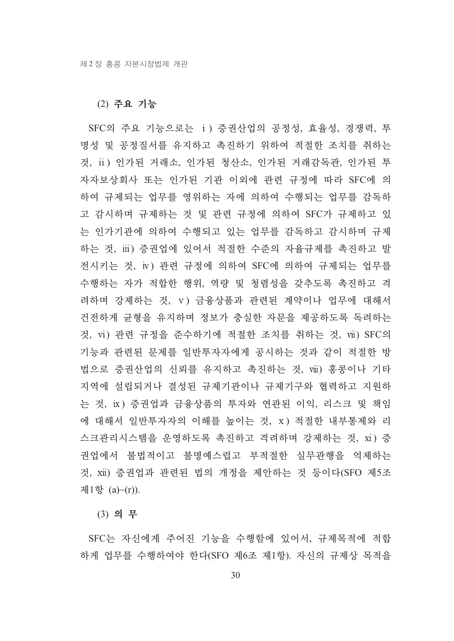#### (2) 주요 기능

SFC의 주요 기능으로는 i) 증권산업의 공정성, 효율성, 경쟁력, 투 명성 및 공정질서를 유지하고 촉진하기 위하여 적절한 조치를 취하는 것, ii) 인가된 거래소, 인가된 청산소, 인가된 거래감독관, 인가된 투 자자보상회사 또는 인가된 기관 이외에 관련 규정에 따라 SFC에 의 하여 규제되는 업무를 영위하는 자에 의하여 수행되는 업무를 감독하 고 감시하며 규제하는 것 및 관련 규정에 의하여 SFC가 규제하고 있 는 인가기관에 의하여 수행되고 있는 업무를 감독하고 감시하며 규제 하는 것, iii) 증권업에 있어서 적절한 수준의 자율규제를 촉진하고 발 전시키는 것, iv) 관련 규정에 의하여 SFC에 의하여 규제되는 업무를 수행하는 자가 적합한 행위, 역량 및 청렴성을 갖추도록 촉진하고 격 려하며 강제하는 것, v) 금융상품과 관련된 계약이나 업무에 대해서 건전하게 균형을 유지하며 정보가 충실한 자문을 제공하도록 독려하는 것, vi) 관련 규정을 준수하기에 적절한 조치를 취하는 것, vii) SFC의 기능과 관련된 문제를 일반투자자에게 공시하는 것과 같이 적절한 방 법으로 증권산업의 신뢰를 유지하고 촉진하는 것, wij) 홍콩이나 기타 지역에 설립되거나 결성된 규제기관이나 규제기구와 협력하고 지원하 는 것, ix) 증권업과 금융상품의 투자와 연관된 이익, 리스크 및 책임 에 대해서 일반투자자의 이해를 높이는 것, x) 적절한 내부통제와 리 스크관리시스템을 운영하도록 촉진하고 격려하며 강제하는 것, xi) 증 권업에서 불법적이고 불명예스럽고 부적절한 실무관행을 억제하는 것, xii) 증권업과 관련된 법의 개정을 제안하는 것 등이다(SFO 제5조 제1항 (a)~(r)).

(3) 의 무

SFC는 자신에게 주어진 기능을 수행함에 있어서, 규제목적에 적합 하게 업무를 수행하여야 한다(SFO 제6조 제1항). 자신의 규제상 목적을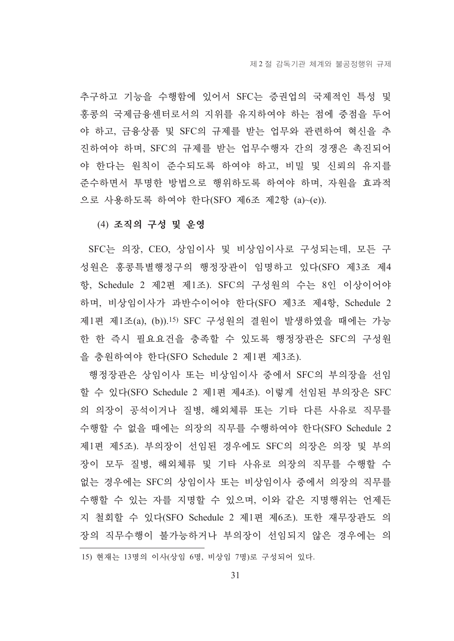추구하고 기능을 수행함에 있어서 SFC는 증권업의 국제적인 특성 및 홍콩의 국제금융센터로서의 지위를 유지하여야 하는 점에 중점을 두어 야 하고, 금융상품 및 SFC의 규제를 받는 업무와 관련하여 혁신을 추 진하여야 하며, SFC의 규제를 받는 업무수행자 간의 경쟁은 촉진되어 야 한다는 원칙이 준수되도록 하여야 하고, 비밀 및 신뢰의 유지를 준수하면서 투명한 방법으로 행위하도록 하여야 하며, 자원을 효과적 으로 사용하도록 하여야 한다(SFO 제6조 제2항 (a)~(e)).

(4) 조직의 구성 및 운영

SFC는 의장, CEO, 상임이사 및 비상임이사로 구성되는데, 모든 구 성원은 홍콩특별행정구의 행정장관이 임명하고 있다(SFO 제3조 제4 항, Schedule 2 제2편 제1조). SFC의 구성원의 수는 8인 이상이어야 하며, 비상임이사가 과반수이어야 한다(SFO 제3조 제4항, Schedule 2 제1편 제1조(a), (b)).15) SFC 구성원의 결원이 발생하였을 때에는 가능 한 한 즉시 필요요거을 충족할 수 있도록 행정장과은 SFC의 구성워 을 충워하여야 한다(SFO Schedule 2 제1편 제3조).

행정장관은 상임이사 또는 비상임이사 중에서 SFC의 부의장을 선임 할 수 있다(SFO Schedule 2 제1편 제4조). 이렇게 선임된 부의장은 SFC 의 의장이 공석이거나 질병, 해외체류 또는 기타 다른 사유로 직무를 수행할 수 없을 때에는 의장의 직무를 수행하여야 한다(SFO Schedule 2 제1편 제5조). 부의장이 선임된 경우에도 SFC의 의장은 의장 및 부의 장이 모두 질병, 해외체류 및 기타 사유로 의장의 직무를 수행할 수 없는 경우에는 SFC의 상임이사 또는 비상임이사 중에서 의장의 직무를 수행할 수 있는 자를 지명할 수 있으며, 이와 같은 지명행위는 언제든 지 철회할 수 있다(SFO Schedule 2 제1편 제6조). 또한 재무장관도 의 장의 직무수행이 불가능하거나 부의장이 선임되지 않은 경우에는 의

<sup>15)</sup> 현재는 13명의 이사(상임 6명, 비상임 7명)로 구성되어 있다.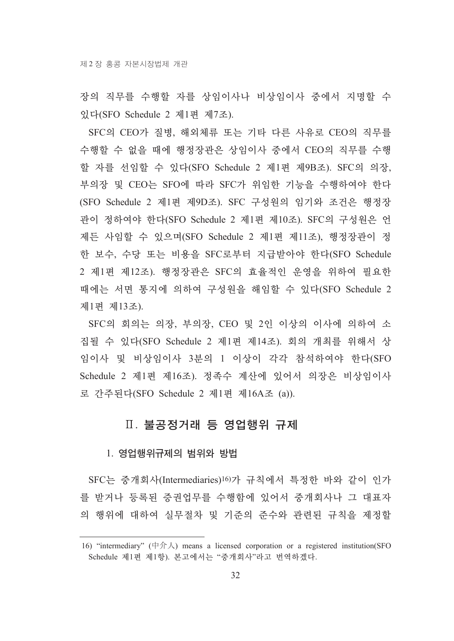장의 직무를 수행할 자를 상임이사나 비상임이사 중에서 지명할 수 있다(SFO Schedule 2 제1편 제7조).

SFC의 CEO가 질병, 해외체류 또는 기타 다른 사유로 CEO의 직무를 수행할 수 없을 때에 행정장관은 상임이사 중에서 CEO의 직무를 수행 할 자를 선임할 수 있다(SFO Schedule 2 제1편 제9B조). SFC의 의장, 부의장 및 CEO는 SFO에 따라 SFC가 위임한 기능을 수행하여야 한다 (SFO Schedule 2 제1편 제9D조). SFC 구성원의 임기와 조건은 행정장 관이 정하여야 한다(SFO Schedule 2 제1편 제10조). SFC의 구성원은 언 제든 사임할 수 있으며(SFO Schedule 2 제1편 제11조), 행정장관이 정 한 보수, 수당 또는 비용을 SFC로부터 지급받아야 한다(SFO Schedule 2 제1편 제12조). 행정장관은 SFC의 효율적인 운영을 위하여 필요한 때에는 서면 통지에 의하여 구성원을 해임할 수 있다(SFO Schedule 2 제1편 제13조).

SFC의 회의는 의장, 부의장, CEO 및 2인 이상의 이사에 의하여 소 집될 수 있다(SFO Schedule 2 제1편 제14조). 회의 개최를 위해서 상 임이사 및 비상임이사 3분의 1 이상이 각각 참석하여야 한다(SFO Schedule 2 제1편 제16조). 정족수 계산에 있어서 의장은 비상임이사 로 간주된다(SFO Schedule 2 제1편 제16A조 (a)).

#### Ⅱ. 불공정거래 등 영업행위 규제

#### 1. 영업행위규제의 범위와 방법

SFC는 중개회사(Intermediaries)<sup>16)</sup>가 규칙에서 특정한 바와 같이 인가 를 받거나 등록된 증권업무를 수행함에 있어서 중개회사나 그 대표자 의 행위에 대하여 실무절차 및 기준의 준수와 관련된 규칙을 제정할

<sup>16) &</sup>quot;intermediary" (中介人) means a licensed corporation or a registered institution(SFO Schedule 제1편 제1항). 본고에서는 "중개회사"라고 번역하겠다.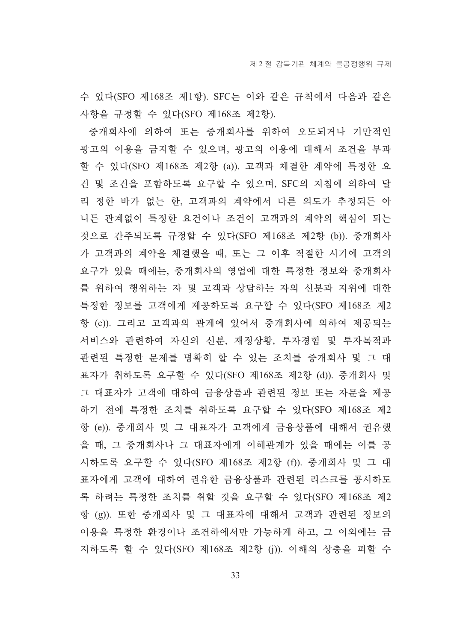수 있다(SFO 제168조 제1항). SFC는 이와 같은 규칙에서 다음과 같은 사항을 규정할 수 있다(SFO 제168조 제2항).

중개회사에 의하여 또는 중개회사를 위하여 오도되거나 기만적인 광고의 이용을 금지할 수 있으며, 광고의 이용에 대해서 조건을 부과 할 수 있다(SFO 제168조 제2항 (a)). 고객과 체결한 계약에 특정한 요 건 및 조건을 포함하도록 요구할 수 있으며, SFC의 지침에 의하여 달 리 정한 바가 없는 한, 고객과의 계약에서 다른 의도가 추정되든 아 니든 관계없이 특정한 요건이나 조건이 고객과의 계약의 핵심이 되는 것으로 간주되도록 규정할 수 있다(SFO 제168조 제2항 (b)). 중개회사 가 고객과의 계약을 체결했을 때, 또는 그 이후 적절한 시기에 고객의 요구가 있을 때에는, 중개회사의 영업에 대한 특정한 정보와 중개회사 를 위하여 행위하는 자 및 고객과 상담하는 자의 신분과 지위에 대한 특정한 정보를 고객에게 제공하도록 요구할 수 있다(SFO 제168조 제2 항 (c)). 그리고 고객과의 관계에 있어서 중개회사에 의하여 제공되는 서비스와 관련하여 자신의 신분, 재정상황, 투자경험 및 투자목적과 관련된 특정한 문제를 명확히 할 수 있는 조치를 중개회사 및 그 대 표자가 취하도록 요구할 수 있다(SFO 제168조 제2항 (d)). 중개회사 및 그 대표자가 고객에 대하여 금융상품과 관련된 정보 또는 자문을 제공 하기 전에 특정한 조치를 취하도록 요구할 수 있다(SFO 제168조 제2 항 (e)). 중개회사 및 그 대표자가 고객에게 금융상품에 대해서 권유했 을 때, 그 중개회사나 그 대표자에게 이해관계가 있을 때에는 이를 공 시하도록 요구할 수 있다(SFO 제168조 제2항 (f)). 중개회사 및 그 대 표자에게 고객에 대하여 권유한 금융상품과 관련된 리스크를 공시하도 록 하려는 특정한 조치를 취할 것을 요구할 수 있다(SFO 제168조 제2 항 (g)). 또한 중개회사 및 그 대표자에 대해서 고객과 관련된 정보의 이용을 특정한 화경이나 조건하에서만 가능하게 하고, 그 이외에는 금 지하도록 할 수 있다(SFO 제168조 제2항 (j)). 이해의 상충을 피할 수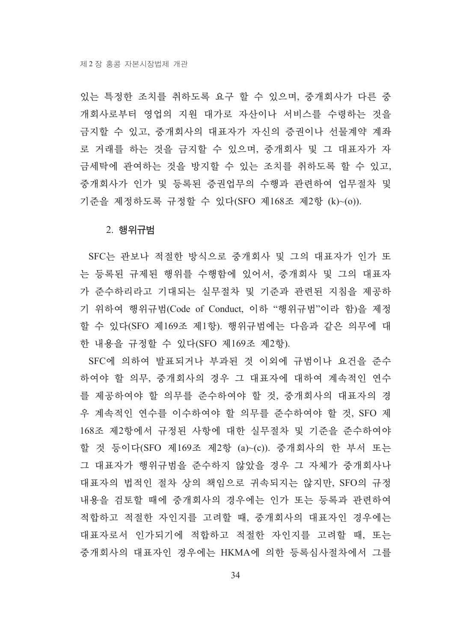있는 특정한 조치를 취하도록 요구 할 수 있으며, 중개회사가 다른 중 개회사로부터 영업의 지원 대가로 자산이나 서비스를 수령하는 것을 금지할 수 있고, 중개회사의 대표자가 자신의 증권이나 선물계약 계좌 로 거래를 하는 것을 금지할 수 있으며, 중개회사 및 그 대표자가 자 금세탁에 관여하는 것을 방지할 수 있는 조치를 취하도록 할 수 있고, 중개회사가 인가 및 등록된 증권업무의 수행과 관련하여 업무절차 및 기준을 제정하도록 규정할 수 있다(SFO 제168조 제2항 (k)~(o)).

#### 2. 행위규범

SFC는 관보나 적절한 방식으로 중개회사 및 그의 대표자가 인가 또 는 등록된 규제된 행위를 수행함에 있어서, 중개회사 및 그의 대표자 가 준수하리라고 기대되는 실무절차 및 기준과 관련된 지침을 제공하 기 위하여 행위규범(Code of Conduct, 이하 "행위규범"이라 함)을 제정 할 수 있다(SFO 제169조 제1항). 행위규범에는 다음과 같은 의무에 대 한 내용을 규정할 수 있다(SFO 제169조 제2항).

SFC에 의하여 발표되거나 부과된 것 이외에 규범이나 요건을 준수 하여야 할 의무, 중개회사의 경우 그 대표자에 대하여 계속적인 연수 를 제공하여야 할 의무를 준수하여야 할 것, 중개회사의 대표자의 경 우 계속적인 연수를 이수하여야 할 의무를 준수하여야 할 것, SFO 제 168조 제2항에서 규정된 사항에 대한 실무절차 및 기준을 준수하여야 할 것 등이다(SFO 제169조 제2항 (a)~(c)). 중개회사의 한 부서 또는 그 대표자가 행위규범을 준수하지 않았을 경우 그 자체가 중개회사나 대표자의 법적인 절차 상의 책임으로 귀속되지는 않지만, SFO의 규정 내용을 검토할 때에 중개회사의 경우에는 인가 또는 등록과 관련하여 적합하고 적절한 자인지를 고려할 때, 중개회사의 대표자인 경우에는 대표자로서 인가되기에 적합하고 적절한 자인지를 고려할 때, 또는 중개회사의 대표자인 경우에는 HKMA에 의한 등록심사절차에서 그를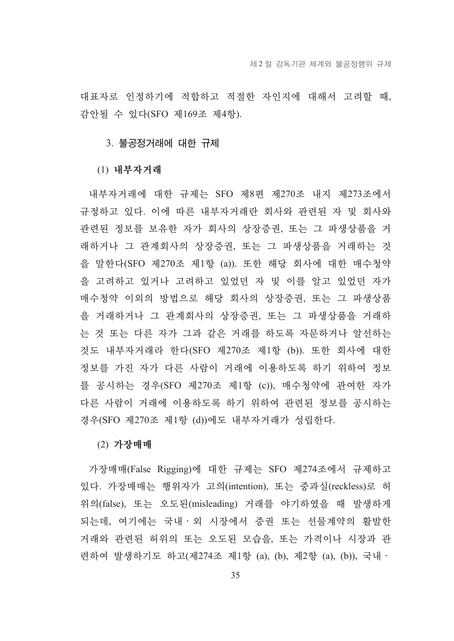대표자로 인정하기에 적합하고 적절한 자인지에 대해서 고려할 때, 감안될 수 있다(SFO 제169조 제4항).

#### 3. 불공정거래에 대한 규제

#### (1) 내부자거래

내부자거래에 대한 규제는 SFO 제8편 제270조 내지 제273조에서 규정하고 있다. 이에 따른 내부자거래란 회사와 관련된 자 및 회사와 관련된 정보를 보유한 자가 회사의 상장증권, 또는 그 파생상품을 거 래하거나 그 관계회사의 상장증권, 또는 그 파생상품을 거래하는 것 을 말한다(SFO 제270조 제1항 (a)). 또한 해당 회사에 대한 매수청약 을 고려하고 있거나 고려하고 있었던 자 및 이를 알고 있었던 자가 매수청약 이외의 방법으로 해당 회사의 상장증권, 또는 그 파생상품 을 거래하거나 그 관계회사의 상장증권, 또는 그 파생상품을 거래하 는 것 또는 다른 자가 그과 같은 거래를 하도록 자문하거나 알선하는 것도 내부자거래라 한다(SFO 제270조 제1항 (b)). 또한 회사에 대한 정보를 가진 자가 다른 사람이 거래에 이용하도록 하기 위하여 정보 를 공시하는 경우(SFO 제270조 제1항 (c)), 매수청약에 관여한 자가 다른 사람이 거래에 이용하도록 하기 위하여 관련된 정보를 공시하는 경우(SFO 제270조 제1항 (d))에도 내부자거래가 성립하다.

(2) 가장매매

가장매매(False Rigging)에 대한 규제는 SFO 제274조에서 규제하고 있다. 가장매매는 행위자가 고의(intention), 또는 중과실(reckless)로 허 위의(false), 또는 오도된(misleading) 거래를 야기하였을 때 발생하게 되는데, 여기에는 국내·외 시장에서 증권 또는 선물계약의 활발한 거래와 관련된 허위의 또는 오도된 모습을, 또는 가격이나 시장과 관 련하여 발생하기도 하고(제274조 제1항 (a), (b), 제2항 (a), (b)), 국내 ·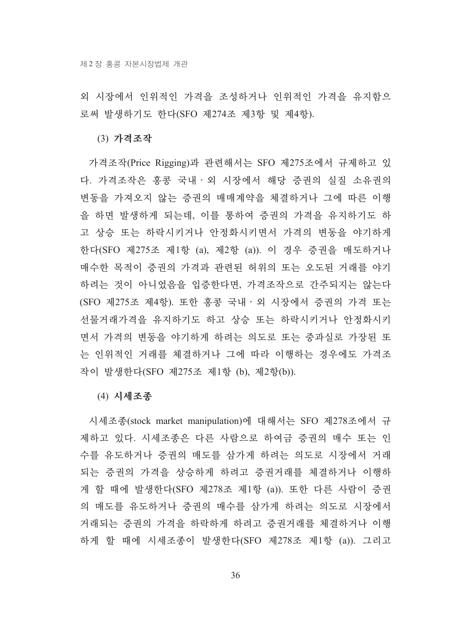외 시장에서 인위적인 가격을 조성하거나 인위적인 가격을 유지함으 로써 발생하기도 한다(SFO 제274조 제3항 및 제4항).

(3) 가격조작

가격조작(Price Rigging)과 관련해서는 SFO 제275조에서 규제하고 있 다. 가격조작은 홍콩 국내 · 외 시장에서 해당 증권의 실질 소유권의 변동을 가져오지 않는 증권의 매매계약을 체결하거나 그에 따른 이행 을 하면 발생하게 되는데, 이를 통하여 증권의 가격을 유지하기도 하 고 상승 또는 하락시키거나 안정화시키면서 가격의 변동을 야기하게 한다(SFO 제275조 제1항 (a), 제2항 (a)). 이 경우 증권을 매도하거나 매수한 목적이 증권의 가격과 관련된 허위의 또는 오도된 거래를 야기 하려는 것이 아니었음을 입증한다면, 가격조작으로 간주되지는 않는다 (SFO 제275조 제4항). 또한 홍콩 국내·외 시장에서 증권의 가격 또는 선물거래가격을 유지하기도 하고 상승 또는 하락시키거나 안정화시키 면서 가격의 변동을 야기하게 하려는 의도로 또는 중과실로 가장된 또 는 인위적인 거래를 체결하거나 그에 따라 이행하는 경우에도 가격조 작이 발생한다(SFO 제275조 제1항 (b), 제2항(b)).

(4) 시세조종

시세조종(stock market manipulation)에 대해서는 SFO 제278조에서 규 제하고 있다. 시세조종은 다른 사람으로 하여금 증권의 매수 또는 인 수를 유도하거나 증권의 매도를 삼가게 하려는 의도로 시장에서 거래 되는 증권의 가격을 상승하게 하려고 증권거래를 체결하거나 이행하 게 할 때에 발생한다(SFO 제278조 제1항 (a)). 또한 다른 사람이 증권 의 매도를 유도하거나 증권의 매수를 삼가게 하려는 의도로 시장에서 거래되는 증권의 가격을 하락하게 하려고 증권거래를 체결하거나 이행 하게 할 때에 시세조종이 발생한다(SFO 제278조 제1항 (a)). 그리고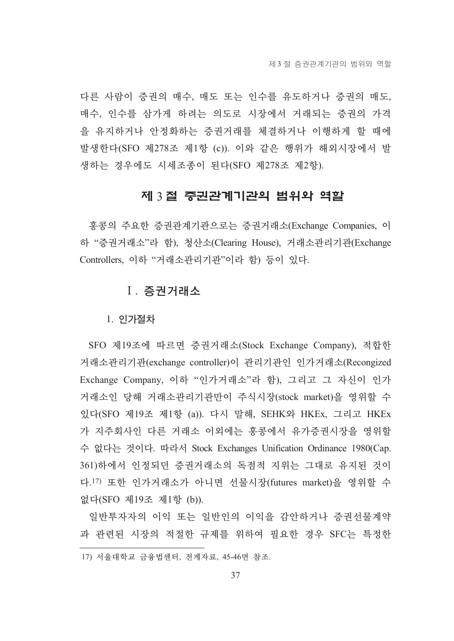다른 사람이 증권의 매수, 매도 또는 인수를 유도하거나 증권의 매도, 매수, 인수를 삼가게 하려는 의도로 시장에서 거래되는 증권의 가격 을 유지하거나 안정화하는 증권거래를 체결하거나 이행하게 할 때에 발생한다(SFO 제278조 제1항 (c)). 이와 같은 행위가 해외시장에서 발 생하는 경우에도 시세조종이 된다(SFO 제278조 제2항).

#### 제 3 절 증권관계기관의 범위와 역할

홍콩의 주요한 증권관계기관으로는 증권거래소(Exchange Companies, 이 하 "증권거래소"라 함), 청산소(Clearing House), 거래소관리기관(Exchange Controllers, 이하 "거래소관리기관"이라 함) 등이 있다.

#### Ⅰ. 증권거래소

#### 1. 인가절차

SFO 제19조에 따르면 증권거래소(Stock Exchange Company), 적합한 거래소관리기관(exchange controller)이 관리기관인 인가거래소(Recongized Exchange Company, 이하 "인가거래소"라 함), 그리고 그 자신이 인가 거래소인 당해 거래소관리기관만이 주식시장(stock market)을 영위할 수 있다(SFO 제19조 제1항 (a)). 다시 말해, SEHK와 HKEx, 그리고 HKEx 가 지주회사인 다른 거래소 이외에는 홍콩에서 유가증권시장을 영위할 수 없다는 것이다. 따라서 Stock Exchanges Unification Ordinance 1980(Cap. 361)하에서 인정되던 증권거래소의 독점적 지위는 그대로 유지된 것이 다.17) 또한 인가거래소가 아니면 선물시장(futures market)을 영위할 수 없다(SFO 제19조 제1항 (b)).

일반투자자의 이익 또는 일반인의 이익을 감안하거나 증권선물계약 과 관련된 시장의 적절한 규제를 위하여 필요한 경우 SFC는 특정한

<sup>17)</sup> 서울대학교 금융법센터, 전게자료, 45-46면 참조.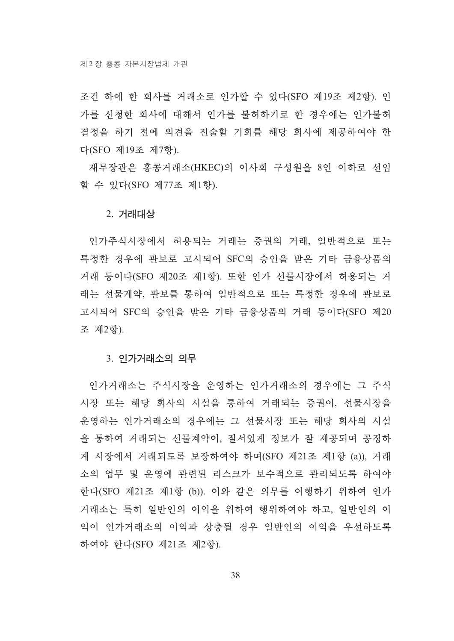조건 하에 한 회사를 거래소로 인가할 수 있다(SFO 제19조 제2항). 인 가를 시청한 회사에 대해서 이가를 불허하기로 한 경우에는 이가불허 결정을 하기 전에 의견을 진술할 기회를 해당 회사에 제공하여야 한 다(SFO 제19조 제7항).

재무장관은 홍콩거래소(HKEC)의 이사회 구성원을 8인 이하로 선임 할 수 있다(SFO 제77조 제1항).

#### 2. 거래대상

인가주식시장에서 허용되는 거래는 증권의 거래, 일반적으로 또는 특정한 경우에 관보로 고시되어 SFC의 승인을 받은 기타 금융상품의 거래 등이다(SFO 제20조 제1항). 또한 인가 선물시장에서 허용되는 거 래는 선물계약, 관보를 통하여 일반적으로 또는 특정한 경우에 관보로 고시되어 SFC의 승인을 받은 기타 금융상품의 거래 등이다(SFO 제20 조 제2항).

#### 3. 인가거래소의 의무

인가거래소는 주식시장을 운영하는 인가거래소의 경우에는 그 주식 시장 또는 해당 회사의 시설을 통하여 거래되는 증권이, 선물시장을 운영하는 인가거래소의 경우에는 그 선물시장 또는 해당 회사의 시설 을 통하여 거래되는 선물계약이, 질서있게 정보가 잘 제공되며 공정하 게 시장에서 거래되도록 보장하여야 하며(SFO 제21조 제1항 (a)), 거래 소의 업무 및 운영에 관련된 리스크가 보수적으로 관리되도록 하여야 한다(SFO 제21조 제1항 (b)) 이와 같은 의무를 이행하기 위하여 인가 거래소는 특히 일반인의 이익을 위하여 행위하여야 하고, 일반인의 이 익이 인가거래소의 이익과 상충될 경우 일반인의 이익을 우선하도록 하여야 한다(SFO 제21조 제2항).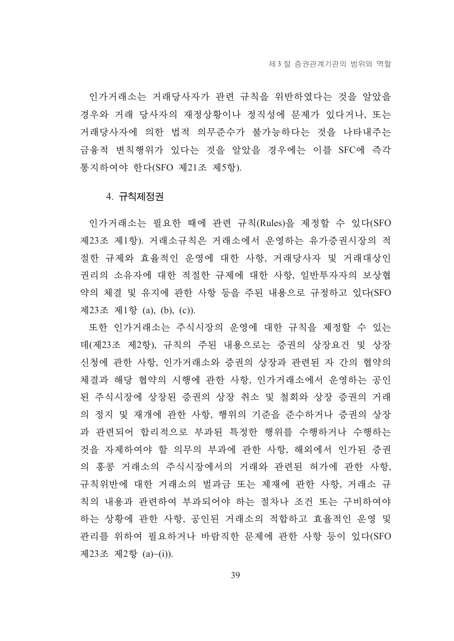인가거래소는 거래당사자가 관련 규칙을 위반하였다는 것을 알았을 경우와 거래 당사자의 재정상황이나 정직성에 문제가 있다거나, 또는 거래당사자에 의한 법적 의무준수가 불가능하다는 것을 나타내주는 금융적 변칙행위가 있다는 것을 알았을 경우에는 이를 SFC에 즉각 통지하여야 한다(SFO 제21조 제5항).

#### 4. 규칙제정권

인가거래소는 필요한 때에 관련 규칙(Rules)을 제정할 수 있다(SFO 제23조 제1항). 거래소규칙은 거래소에서 운영하는 유가증권시장의 적 절한 규제와 효율적인 운영에 대한 사항, 거래당사자 및 거래대상인 권리의 소유자에 대한 적절한 규제에 대한 사항, 일반투자자의 보상협 약의 체결 및 유지에 관한 사항 등을 주된 내용으로 규정하고 있다(SFO 제23조 제1항 (a), (b), (c)).

또한 인가거래소는 주식시장의 운영에 대한 규칙을 제정할 수 있는 데(제23조 제2항), 규칙의 주된 내용으로는 증권의 상장요건 및 상장 신청에 관한 사항, 인가거래소와 증권의 상장과 관련된 자 간의 협약의 체결과 해당 협약의 시행에 관한 사항, 인가거래소에서 운영하는 공인 된 주식시장에 상장된 증권의 상장 취소 및 철회와 상장 증권의 거래 의 정지 및 재개에 관한 사항, 행위의 기준을 준수하거나 증권의 상장 과 관련되어 합리적으로 부과된 특정한 행위를 수행하거나 수행하는 것을 자제하여야 할 의무의 부과에 관한 사항, 해외에서 인가된 증권 의 홍콩 거래소의 주식시장에서의 거래와 관련된 허가에 관한 사항, 규칙위반에 대한 거래소의 벌과금 또는 제재에 관한 사항, 거래소 규 칙의 내용과 관련하여 부과되어야 하는 절차나 조건 또는 구비하여야 하는 상황에 관한 사항, 공인된 거래소의 적합하고 효율적인 운영 및 관리를 위하여 필요하거나 바람직한 문제에 관한 사항 등이 있다(SFO 제23조 제2항 (a)~(i)).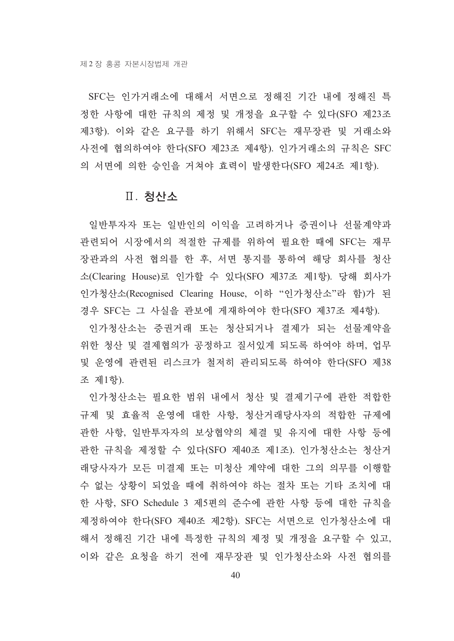SFC는 인가거래소에 대해서 서면으로 정해진 기간 내에 정해진 특 정한 사항에 대한 규칙의 제정 및 개정을 요구할 수 있다(SFO 제23조 제3항). 이와 같은 요구를 하기 위해서 SFC는 재무장관 및 거래소와 사전에 협의하여야 한다(SFO 제23조 제4항). 인가거래소의 규칙은 SFC 의 서면에 의한 승인을 거쳐야 효력이 발생한다(SFO 제24조 제1항).

### Ⅱ. 청산소

일반투자자 또는 일반인의 이익을 고려하거나 증권이나 선물계약과 관련되어 시장에서의 적절한 규제를 위하여 필요한 때에 SFC는 재무 장관과의 사전 협의를 한 후, 서면 통지를 통하여 해당 회사를 청산 소(Clearing House)로 인가할 수 있다(SFO 제37조 제1항). 당해 회사가 인가청산소(Recognised Clearing House, 이하 "인가청산소"라 함)가 된 경우 SFC는 그 사실을 관보에 게재하여야 한다(SFO 제37조 제4항).

인가청산소는 증권거래 또는 청산되거나 결제가 되는 선물계약을 위한 청산 및 결제협의가 공정하고 질서있게 되도록 하여야 하며, 업무 및 운영에 관련된 리스크가 철저히 관리되도록 하여야 한다(SFO 제38 조 제1항).

인가청산소는 필요한 범위 내에서 청산 및 결제기구에 관한 적합한 규제 및 효율적 운영에 대한 사항, 청산거래당사자의 적합한 규제에 관한 사항, 일반투자자의 보상협약의 체결 및 유지에 대한 사항 등에 관한 규칙을 제정할 수 있다(SFO 제40조 제1조). 인가청산소는 청산거 래당사자가 모든 미결제 또는 미청산 계약에 대한 그의 의무를 이행할 수 없는 상황이 되었을 때에 취하여야 하는 절차 또는 기타 조치에 대 한 사항, SFO Schedule 3 제5편의 준수에 관한 사항 등에 대한 규칙을 제정하여야 한다(SFO 제40조 제2항). SFC는 서면으로 인가청사소에 대 해서 정해진 기간 내에 특정한 규칙의 제정 및 개정을 요구할 수 있고, 이와 같은 요청을 하기 전에 재무장관 및 인가청산소와 사전 협의를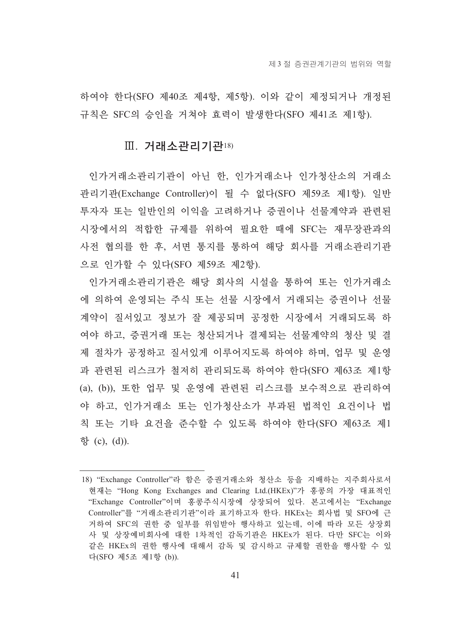하여야 한다(SFO 제40조 제4항, 제5항). 이와 같이 제정되거나 개정되 규칙은 SFC의 승인을 거쳐야 효력이 발생한다(SFO 제41조 제1항).

### Ⅲ. 거래소관리기관18)

인가거래소관리기관이 아닌 한, 인가거래소나 인가청산소의 거래소 관리기관(Exchange Controller)이 될 수 없다(SFO 제59조 제1항). 일반 투자자 또는 일반인의 이익을 고려하거나 증권이나 선물계약과 관련된 시장에서의 적합한 규제를 위하여 필요한 때에 SFC는 재무장관과의 사전 협의를 한 후, 서면 통지를 통하여 해당 회사를 거래소관리기관 으로 인가할 수 있다(SFO 제59조 제2항).

인가거래소관리기관은 해당 회사의 시설을 통하여 또는 인가거래소 에 의하여 운영되는 주식 또는 선물 시장에서 거래되는 증권이나 선물 계약이 질서있고 정보가 잘 제공되며 공정한 시장에서 거래되도록 하 여야 하고, 증권거래 또는 청산되거나 결제되는 선물계약의 청산 및 결 제 절차가 공정하고 질서있게 이루어지도록 하여야 하며, 업무 및 운영 과 관련된 리스크가 철저히 관리되도록 하여야 한다(SFO 제63조 제1항 (a), (b)), 또한 업무 및 운영에 관련된 리스크를 보수적으로 관리하여 야 하고, 인가거래소 또는 인가청산소가 부과된 법적인 요건이나 법 칙 또는 기타 요건을 준수할 수 있도록 하여야 한다(SFO 제63조 제1 항 (c), (d)).

<sup>18) &</sup>quot;Exchange Controller"라 함은 증권거래소와 청산소 등을 지배하는 지주회사로서 현재는 "Hong Kong Exchanges and Clearing Ltd.(HKEx)"가 홍콩의 가장 대표적인 "Exchange Controller"이며 홍콩주식시장에 상장되어 있다. 본고에서는 "Exchange Controller"를 "거래소관리기관"이라 표기하고자 한다. HKEx는 회사법 및 SFO에 근 거하여 SFC의 권한 중 일부를 위임받아 행사하고 있는데, 이에 따라 모든 상장회 사 및 상장예비회사에 대한 1차적인 감독기관은 HKEx가 된다. 다만 SFC는 이와 같은 HKEx의 권한 행사에 대해서 감독 및 감시하고 규제할 권한을 행사할 수 있 다(SFO 제5조 제1항 (b)).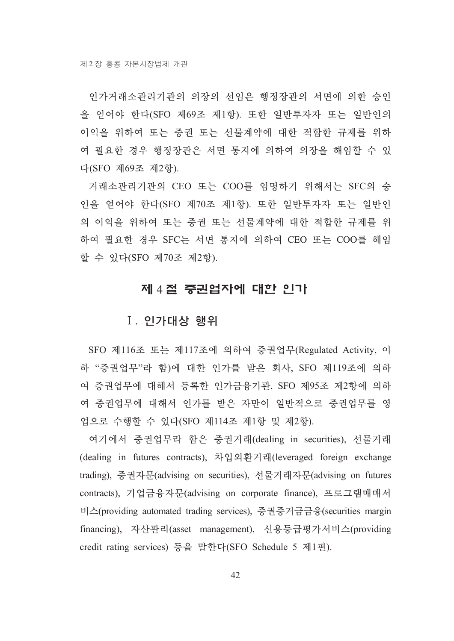인가거래소관리기관의 의장의 선임은 행정장관의 서면에 의한 승인 을 얻어야 한다(SFO 제69조 제1항). 또한 일반투자자 또는 일반인의 이익을 위하여 또는 증권 또는 선물계약에 대한 적합한 규제를 위하 여 필요한 경우 행정장관은 서면 통지에 의하여 의장을 해임할 수 있 다(SFO 제69조 제2항).

거래소관리기관의 CEO 또는 COO를 임명하기 위해서는 SFC의 승 인을 얻어야 한다(SFO 제70조 제1항). 또한 일반투자자 또는 일반인 의 이익을 위하여 또는 증권 또는 선물계약에 대한 적합한 규제를 위 하여 필요한 경우 SFC는 서면 통지에 의하여 CEO 또는 COO를 해임 할 수 있다(SFO 제70조 제2항).

### 제 4절 증권업자에 대한 인가

### I. 인가대상 행위

SFO 제116조 또는 제117조에 의하여 증권업무(Regulated Activity, 이 하 "증권업무"라 함)에 대한 인가를 받은 회사, SFO 제119조에 의하 여 증권업무에 대해서 등록한 인가금융기관, SFO 제95조 제2항에 의하 여 증권업무에 대해서 인가를 받은 자만이 일반적으로 증권업무를 영 업으로 수행할 수 있다(SFO 제114조 제1항 및 제2항).

여기에서 증권업무라 함은 증권거래(dealing in securities), 선물거래 (dealing in futures contracts), 차입외환거래(leveraged foreign exchange trading), 증권자문(advising on securities), 선물거래자문(advising on futures contracts), 기업금융자문(advising on corporate finance), 프로그램매매서 비스(providing automated trading services), 증권증거금금융(securities margin financing), 자산관리(asset management), 신용등급평가서비스(providing credit rating services) 등을 말한다(SFO Schedule 5 제1편).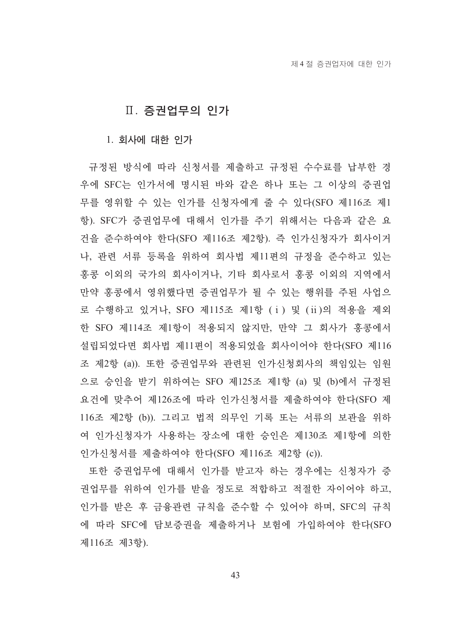## Ⅱ. 증권업무의 인가

1. 회사에 대한 인가

규정된 방식에 따라 신청서를 제출하고 규정된 수수료를 납부한 경 우에 SFC는 인가서에 명시된 바와 같은 하나 또는 그 이상의 증권업 무를 영위할 수 있는 인가를 신청자에게 줄 수 있다(SFO 제116조 제1 항). SFC가 증권업무에 대해서 인가를 주기 위해서는 다음과 같은 요 건을 준수하여야 한다(SFO 제116조 제2항). 즉 인가신청자가 회사이거 나, 관련 서류 등록을 위하여 회사법 제11편의 규정을 준수하고 있는 홍콩 이외의 국가의 회사이거나, 기타 회사로서 홍콩 이외의 지역에서 만약 홍콩에서 영위했다면 증권업무가 될 수 있는 행위를 주된 사업으 로 수행하고 있거나, SFO 제115조 제1항 (i) 및 (ii)의 적용을 제외 한 SFO 제114조 제1항이 적용되지 않지만, 만약 그 회사가 홍콩에서 설립되었다면 회사법 제11편이 적용되었을 회사이어야 한다(SFO 제116 조 제2항 (a)). 또한 증권업무와 관련된 인가신청회사의 책임있는 임원 으로 승인을 받기 위하여는 SFO 제125조 제1항 (a) 및 (b)에서 규정된 요건에 맞추어 제126조에 따라 인가신청서를 제출하여야 한다(SFO 제 116조 제2항 (b)). 그리고 법적 의무인 기록 또는 서류의 보관을 위하 여 인가신청자가 사용하는 장소에 대한 승인은 제130조 제1항에 의한 인가신청서를 제출하여야 한다(SFO 제116조 제2항 (c)).

또한 증권업무에 대해서 인가를 받고자 하는 경우에는 신청자가 증 권업무를 위하여 인가를 받을 정도로 적합하고 적절한 자이어야 하고, 인가를 받은 후 금융관련 규칙을 준수할 수 있어야 하며, SFC의 규칙 에 따라 SFC에 담보증권을 제출하거나 보험에 가입하여야 한다(SFO 제116조 제3항).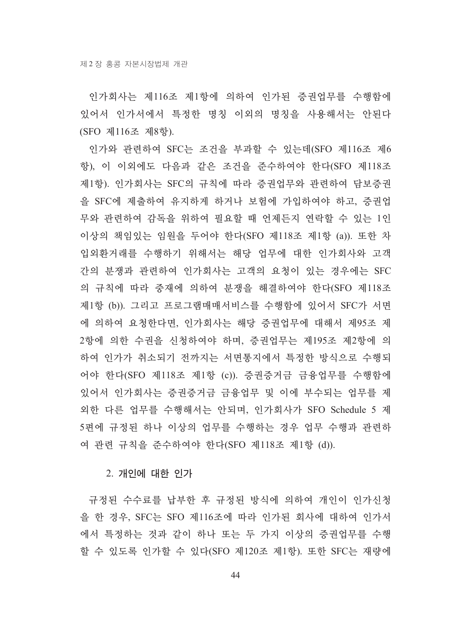인가회사는 제116조 제1항에 의하여 인가된 증권업무를 수행함에 있어서 인가서에서 특정한 명칭 이외의 명칭을 사용해서는 안된다 (SFO 제116조 제8항).

인가와 관련하여 SFC는 조건을 부과할 수 있는데(SFO 제116조 제6 항), 이 이외에도 다음과 같은 조건을 준수하여야 한다(SFO 제118조 제1항). 인가회사는 SFC의 규칙에 따라 증권업무와 관련하여 담보증권 을 SFC에 제출하여 유지하게 하거나 보험에 가입하여야 하고, 증권업 무와 관련하여 감독을 위하여 필요할 때 언제든지 연락할 수 있는 1인 이상의 책임있는 임원을 두어야 한다(SFO 제118조 제1항 (a)). 또한 차 입외환거래를 수행하기 위해서는 해당 업무에 대한 인가회사와 고객 간의 분쟁과 관련하여 인가회사는 고객의 요청이 있는 경우에는 SFC 의 규칙에 따라 중재에 의하여 분쟁을 해결하여야 하다(SFO 제118조 제1항 (b)). 그리고 프로그램매매서비스를 수행함에 있어서 SFC가 서면 에 의하여 요청한다면, 인가회사는 해당 증권업무에 대해서 제95조 제 2항에 의한 수권을 신청하여야 하며, 증권업무는 제195조 제2항에 의 하여 인가가 취소되기 전까지는 서면통지에서 특정한 방식으로 수행되 어야 한다(SFO 제118조 제1항 (c)). 증권증거금 금융업무를 수행함에 있어서 인가회사는 증권증거금 금융업무 및 이에 부수되는 업무를 제 외한 다른 업무를 수행해서는 안되며, 인가회사가 SFO Schedule 5 제 5편에 규정된 하나 이상의 업무를 수행하는 경우 업무 수행과 관련하 여 관련 규칙을 준수하여야 한다(SFO 제118조 제1항 (d)).

### 2. 개인에 대한 인가

규정된 수수료를 납부한 후 규정된 방식에 의하여 개인이 인가신청 을 한 경우, SFC는 SFO 제116조에 따라 인가된 회사에 대하여 인가서 에서 특정하는 것과 같이 하나 또는 두 가지 이상의 증권업무를 수행 할 수 있도록 인가할 수 있다(SFO 제120조 제1항). 또한 SFC는 재량에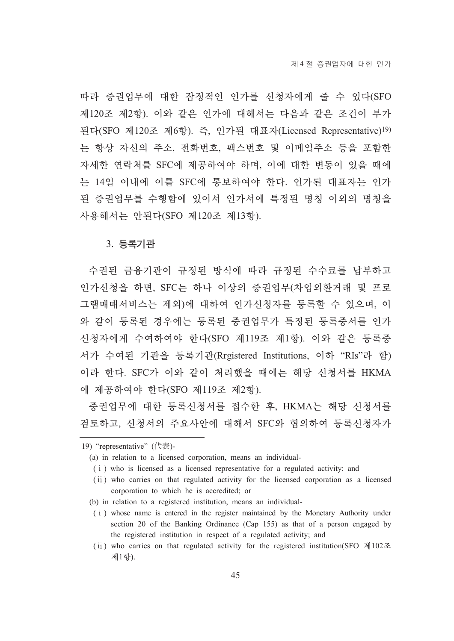따라 증권업무에 대한 잠정적인 인가를 신청자에게 줄 수 있다(SFO 제120조 제2항). 이와 같은 인가에 대해서는 다음과 같은 조건이 부가 된다(SFO 제120조 제6항). 즉, 인가된 대표자(Licensed Representative)<sup>19)</sup> 는 항상 자신의 주소, 전화번호, 팩스번호 및 이메일주소 등을 포함한 자세한 연락처를 SFC에 제공하여야 하며, 이에 대한 변동이 있을 때에 는 14일 이내에 이를 SFC에 통보하여야 한다. 인가된 대표자는 인가 된 증권업무를 수행함에 있어서 인가서에 특정된 명칭 이외의 명칭을 사용해서는 안된다(SFO 제120조 제13항).

### 3. 등록기관

수권된 금융기관이 규정된 방식에 따라 규정된 수수료를 납부하고 인가신청을 하면, SFC는 하나 이상의 증권업무(차입외화거래 및 프로 그램매매서비스는 제외)에 대하여 인가신청자를 등록할 수 있으며, 이 와 같이 등록된 경우에는 등록된 증권업무가 특정된 등록증서를 인가 신청자에게 수여하여야 한다(SFO 제119조 제1항). 이와 같은 등록증 서가 수여된 기관을 등록기관(Rrgistered Institutions, 이하 "RIs"라 함) 이라 한다. SFC가 이와 같이 처리했을 때에는 해당 신청서를 HKMA 에 제공하여야 한다(SFO 제119조 제2항).

증권업무에 대한 등록신청서를 접수한 후, HKMA는 해당 신청서를 검토하고, 신청서의 주요사안에 대해서 SFC와 협의하여 등록신청자가

(b) in relation to a registered institution, means an individual-

<sup>19) &</sup>quot;representative" (代表)-

<sup>(</sup>a) in relation to a licensed corporation, means an individual-

<sup>(</sup>i) who is licensed as a licensed representative for a regulated activity; and

<sup>(</sup>ii) who carries on that regulated activity for the licensed corporation as a licensed corporation to which he is accredited; or

<sup>(</sup>i) whose name is entered in the register maintained by the Monetary Authority under section 20 of the Banking Ordinance (Cap 155) as that of a person engaged by the registered institution in respect of a regulated activity; and

<sup>(</sup>ii) who carries on that regulated activity for the registered institution (SFO  $\frac{1}{2}$ 102 $\frac{1}{2}$ 제1항).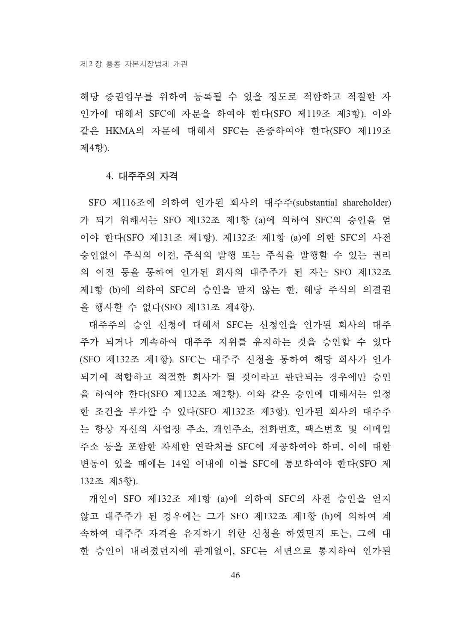해당 증권업무를 위하여 등록될 수 있을 정도로 적합하고 적절한 자 인가에 대해서 SFC에 자문을 하여야 한다(SFO 제119조 제3항). 이와 같은 HKMA의 자문에 대해서 SFC는 존중하여야 한다(SFO 제119조 제4항).

#### 4. 대주주의 자격

SFO 제116조에 의하여 인가된 회사의 대주주(substantial shareholder) 가 되기 위해서는 SFO 제132조 제1항 (a)에 의하여 SFC의 승인을 얻 어야 한다(SFO 제131조 제1항). 제132조 제1항 (a)에 의한 SFC의 사전 승인없이 주식의 이전, 주식의 발행 또는 주식을 발행할 수 있는 권리 의 이전 등을 통하여 인가된 회사의 대주주가 된 자는 SFO 제132조 제1항 (b)에 의하여 SFC의 승인을 받지 않는 한, 해당 주식의 의결권 을 행사할 수 없다(SFO 제131조 제4항).

대주주의 승인 신청에 대해서 SFC는 신청인을 인가된 회사의 대주 주가 되거나 계속하여 대주주 지위를 유지하는 것을 승인할 수 있다 (SFO 제132조 제1항). SFC는 대주주 신청을 통하여 해당 회사가 인가 되기에 적합하고 적절한 회사가 될 것이라고 판단되는 경우에만 승인 을 하여야 한다(SFO 제132조 제2항). 이와 같은 승인에 대해서는 일정 한 조건을 부가할 수 있다(SFO 제132조 제3항). 인가된 회사의 대주주 는 항상 자신의 사업장 주소, 개인주소, 전화번호, 팩스번호 및 이메일 주소 등을 포함한 자세한 연락처를 SFC에 제공하여야 하며, 이에 대한 변동이 있을 때에는 14일 이내에 이를 SFC에 통보하여야 한다(SFO 제 132조 제5항).

개인이 SFO 제132조 제1항 (a)에 의하여 SFC의 사전 승인을 얻지 않고 대주주가 된 경우에는 그가 SFO 제132조 제1항 (b)에 의하여 계 속하여 대주주 자격을 유지하기 위한 신청을 하였던지 또는, 그에 대 한 승인이 내려졌던지에 관계없이, SFC는 서면으로 통지하여 인가된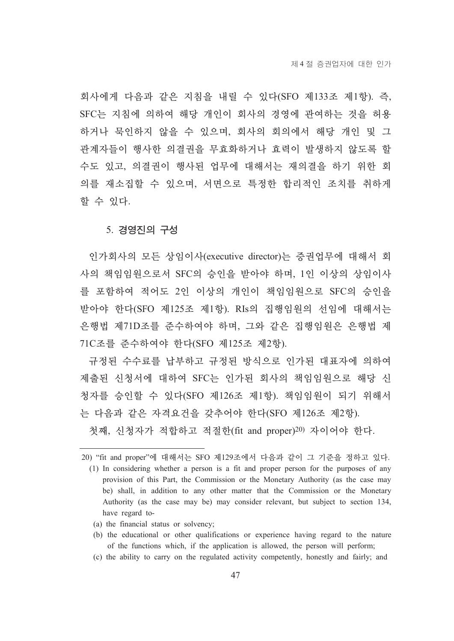회사에게 다음과 같은 지침을 내릴 수 있다(SFO 제133조 제1항). 즉, SFC는 지침에 의하여 해당 개인이 회사의 경영에 관여하는 것을 허용 하거나 묵인하지 않을 수 있으며, 회사의 회의에서 해당 개인 및 그 관계자들이 행사한 의결권을 무효화하거나 효력이 발생하지 않도록 할 수도 있고, 의결권이 행사된 업무에 대해서는 재의결을 하기 위한 회 의를 재소집할 수 있으며, 서면으로 특정한 합리적인 조치를 취하게 할 수 있다.

### 5. 경영지의 구성

인가회사의 모든 상임이사(executive director)는 증권업무에 대해서 회 사의 책임임워으로서 SFC의 승인을 받아야 하며, 1인 이상의 상임이사 를 포함하여 적어도 2인 이상의 개인이 책임임원으로 SFC의 승인을 받아야 한다(SFO 제125조 제1항). RIs의 집행임원의 선임에 대해서는 은행법 제71D조를 준수하여야 하며, 그와 같은 집행임원은 은행법 제 71C조를 준수하여야 한다(SFO 제125조 제2항).

규정된 수수료를 납부하고 규정된 방식으로 인가된 대표자에 의하여 제출된 신청서에 대하여 SFC는 인가된 회사의 책임임원으로 해당 신 청자를 승인할 수 있다(SFO 제126조 제1항). 책임임원이 되기 위해서 는 다음과 같은 자격요건을 갖추어야 한다(SFO 제126조 제2항).

- (a) the financial status or solvency:
- (b) the educational or other qualifications or experience having regard to the nature of the functions which, if the application is allowed, the person will perform;
- (c) the ability to carry on the regulated activity competently, honestly and fairly; and

첫째, 신청자가 적합하고 적절한(fit and proper)<sup>20)</sup> 자이어야 하다.

<sup>20) &</sup>quot;fit and proper"에 대해서는 SFO 제129조에서 다음과 같이 그 기준을 정하고 있다.

<sup>(1)</sup> In considering whether a person is a fit and proper person for the purposes of any provision of this Part, the Commission or the Monetary Authority (as the case may be) shall, in addition to any other matter that the Commission or the Monetary Authority (as the case may be) may consider relevant, but subject to section 134, have regard to-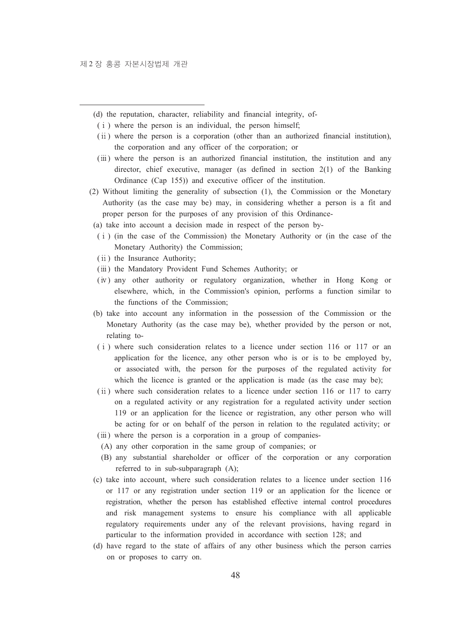- (d) the reputation, character, reliability and financial integrity, of-
- (i) where the person is an individual, the person himself;
- (ii) where the person is a corporation (other than an authorized financial institution), the corporation and any officer of the corporation; or
- (iii) where the person is an authorized financial institution, the institution and any director, chief executive, manager (as defined in section 2(1) of the Banking Ordinance (Cap 155)) and executive officer of the institution.
- (2) Without limiting the generality of subsection (1), the Commission or the Monetary Authority (as the case may be) may, in considering whether a person is a fit and proper person for the purposes of any provision of this Ordinance-
- (a) take into account a decision made in respect of the person by-
- (i) (in the case of the Commission) the Monetary Authority or (in the case of the Monetary Authority) the Commission;
- (ii) the Insurance Authority;
- (iii) the Mandatory Provident Fund Schemes Authority; or
- (iv) any other authority or regulatory organization, whether in Hong Kong or elsewhere, which, in the Commission's opinion, performs a function similar to the functions of the Commission;
- (b) take into account any information in the possession of the Commission or the Monetary Authority (as the case may be), whether provided by the person or not, relating to-
- (i) where such consideration relates to a licence under section 116 or 117 or an application for the licence, any other person who is or is to be employed by, or associated with, the person for the purposes of the regulated activity for which the licence is granted or the application is made (as the case may be);
- (ii) where such consideration relates to a licence under section 116 or 117 to carry on a regulated activity or any registration for a regulated activity under section 119 or an application for the licence or registration, any other person who will be acting for or on behalf of the person in relation to the regulated activity; or
- (iii) where the person is a corporation in a group of companies-
- (A) any other corporation in the same group of companies; or
- (B) any substantial shareholder or officer of the corporation or any corporation referred to in sub-subparagraph  $(A)$ ;
- (c) take into account, where such consideration relates to a licence under section 116 or 117 or any registration under section 119 or an application for the licence or registration, whether the person has established effective internal control procedures and risk management systems to ensure his compliance with all applicable regulatory requirements under any of the relevant provisions, having regard in particular to the information provided in accordance with section 128; and
- (d) have regard to the state of affairs of any other business which the person carries on or proposes to carry on.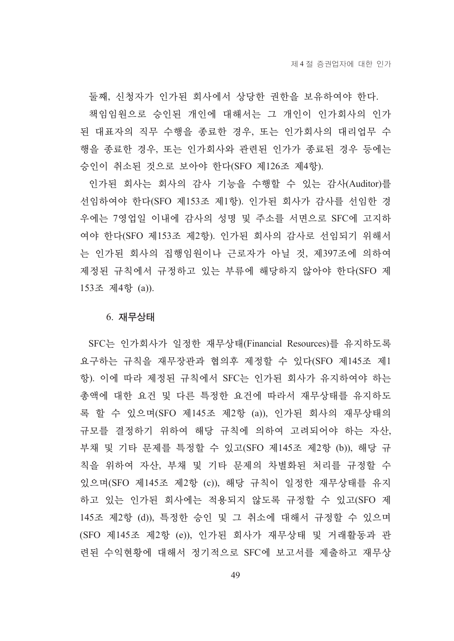둘째, 신청자가 인가된 회사에서 상당한 권한을 보유하여야 한다. 책임임원으로 승인된 개인에 대해서는 그 개인이 인가회사의 인가 된 대표자의 직무 수행을 종료한 경우, 또는 인가회사의 대리업무 수 행을 종료한 경우, 또는 인가회사와 관련된 인가가 종료된 경우 등에는 승인이 취소된 것으로 보아야 한다(SFO 제126조 제4항).

인가된 회사는 회사의 감사 기능을 수행할 수 있는 감사(Auditor)를 선임하여야 한다(SFO 제153조 제1항). 인가된 회사가 감사를 선임한 경 우에는 7영업일 이내에 감사의 성명 및 주소를 서면으로 SFC에 고지하 여야 한다(SFO 제153조 제2항). 인가된 회사의 감사로 선임되기 위해서 는 인가된 회사의 집행임원이나 근로자가 아닐 것, 제397조에 의하여 제정된 규칙에서 규정하고 있는 부류에 해당하지 않아야 한다(SFO 제 153조 제4항 (a)).

#### 6. 재무상태

SFC는 인가회사가 일정한 재무상태(Financial Resources)를 유지하도록 요구하는 규칙을 재무장관과 협의후 제정할 수 있다(SFO 제145조 제1 항). 이에 따라 제정된 규칙에서 SFC는 인가된 회사가 유지하여야 하는 총액에 대한 요건 및 다른 특정한 요건에 따라서 재무상태를 유지하도 록 할 수 있으며(SFO 제145조 제2항 (a)), 인가된 회사의 재무상태의 규모를 결정하기 위하여 해당 규칙에 의하여 고려되어야 하는 자산, 부채 및 기타 문제를 특정할 수 있고(SFO 제145조 제2항 (b)), 해당 규 칙을 위하여 자산, 부채 및 기타 문제의 차별화된 처리를 규정할 수 있으며(SFO 제145조 제2항 (c)), 해당 규칙이 일정한 재무상태를 유지 하고 있는 인가된 회사에는 적용되지 않도록 규정할 수 있고(SFO 제 145조 제2항 (d)). 특정한 승인 및 그 취소에 대해서 규정할 수 있으며 (SFO 제145조 제2항 (e)), 인가된 회사가 재무상태 및 거래활동과 관 련된 수익현황에 대해서 정기적으로 SFC에 보고서를 제출하고 재무상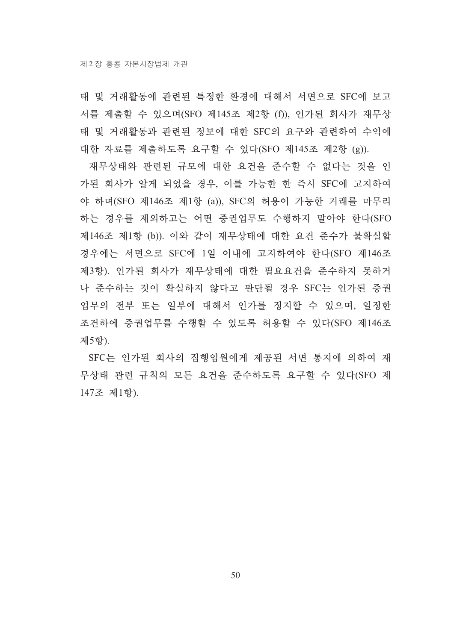태 및 거래활동에 과려되 특정한 화경에 대해서 서면으로 SFC에 보고 서를 제출할 수 있으며(SFO 제145조 제2항 (f)), 인가된 회사가 재무상 태 및 거래활동과 관련된 정보에 대한 SFC의 요구와 관련하여 수익에 대한 자료를 제출하도록 요구할 수 있다(SFO 제145조 제2항 (g)).

재무상태와 관련된 규모에 대한 요건을 준수할 수 없다는 것을 인 가된 회사가 알게 되었을 경우, 이를 가능한 한 즉시 SFC에 고지하여 야 하며(SFO 제146조 제1항 (a)), SFC의 허용이 가능한 거래를 마무리 하는 경우를 제외하고는 어떤 증권업무도 수행하지 말아야 한다(SFO 제146조 제1항 (b)). 이와 같이 재무상태에 대한 요건 준수가 불확실할 경우에는 서면으로 SFC에 1일 이내에 고지하여야 한다(SFO 제146조 제3항). 인가된 회사가 재무상태에 대한 필요요건을 준수하지 못하거 나 준수하는 것이 확실하지 않다고 판단될 경우 SFC는 인가된 증권 업무의 전부 또는 일부에 대해서 인가를 정지할 수 있으며, 일정한 조건하에 증권업무를 수행할 수 있도록 허용할 수 있다(SFO 제146조 제5항).

SFC는 인가된 회사의 집행임원에게 제공된 서면 통지에 의하여 재 무상태 관련 규칙의 모든 요건을 준수하도록 요구할 수 있다(SFO 제 147조 제1항).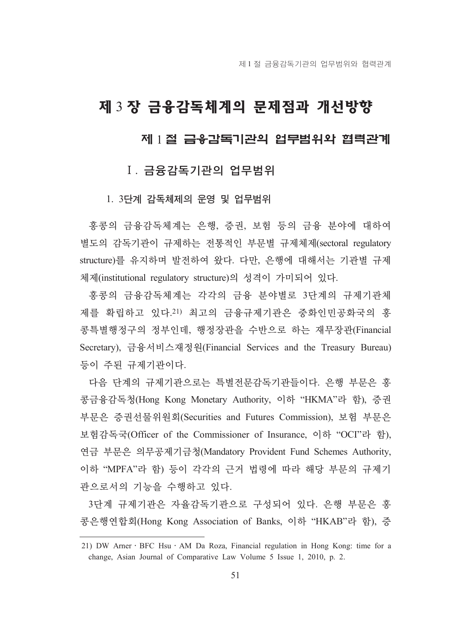# 제 3 장 금융감독체계의 문제점과 개선방향

## 제 1절 금융감독기관의 업무범위와 협력관계

## I. 금융감독기관의 업무범위

#### 1. 3단계 감독체제의 운영 및 업무범위

홍콩의 금융감독체계는 은행, 증권, 보험 등의 금융 분야에 대하여 별도의 감독기관이 규제하는 전통적인 부문별 규제체제(sectoral regulatory structure)를 유지하며 발전하여 왔다. 다만, 은행에 대해서는 기관별 규제 체제(institutional regulatory structure)의 성격이 가미되어 있다.

홍콩의 금융감독체계는 각각의 금융 분야별로 3단계의 규제기관체 제를 확립하고 있다. 21) 최고의 금융규제기관은 중화인민공화국의 홍 콩특별행정구의 정부인데, 행정장관을 수반으로 하는 재무장관(Financial Secretary), 금융서비스재정원(Financial Services and the Treasury Bureau) 등이 주되 규제기관이다.

다음 단계의 규제기과으로는 특별전무감독기과들이다. 은행 부문은 홍 콩금융감독청(Hong Kong Monetary Authority, 이하 "HKMA"라 함), 증권 부문은 증권선물위원회(Securities and Futures Commission), 보험 부문은 보험감독국(Officer of the Commissioner of Insurance, 이하 "OCI"라 함), 연금 부문은 의무공제기금청(Mandatory Provident Fund Schemes Authority, 이하 "MPFA"라 함) 등이 각각의 근거 법령에 따라 해당 부문의 규제기 관으로서의 기능을 수행하고 있다.

3단계 규제기관은 자율감독기관으로 구성되어 있다. 은행 부문은 홍 콩은행연합회(Hong Kong Association of Banks, 이하 "HKAB"라 핚). 증

<sup>21)</sup> DW Arner · BFC Hsu · AM Da Roza, Financial regulation in Hong Kong: time for a change, Asian Journal of Comparative Law Volume 5 Issue 1, 2010, p. 2.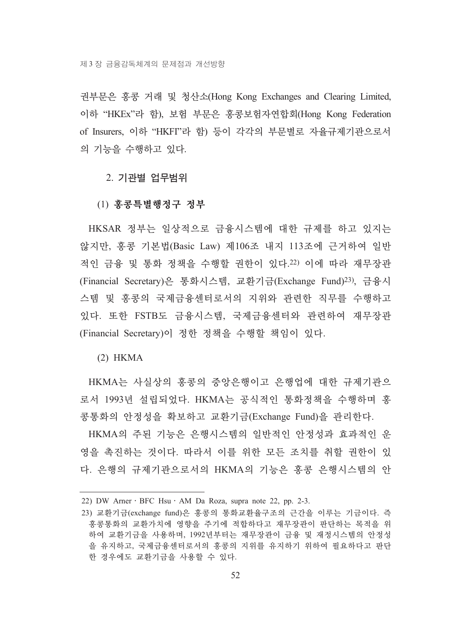권부문은 홍콩 거래 및 청산소(Hong Kong Exchanges and Clearing Limited, 이하 "HKEx"라 함), 보험 부문은 홍콩보험자연합회(Hong Kong Federation of Insurers, 이하 "HKFI"라 함) 등이 각각의 부문별로 자율규제기관으로서 의 기능을 수행하고 있다.

### 2. 기관별 업무범위

#### (1) 홍콩특별행정구 정부

HKSAR 정부는 일상적으로 금융시스템에 대한 규제를 하고 있지는 않지만, 홍콩 기본법(Basic Law) 제106조 내지 113조에 근거하여 일반 적인 금융 및 통화 정책을 수행할 권한이 있다.22) 이에 따라 재무장관 (Financial Secretary)은 통화시스템, 교화기금(Exchange Fund)<sup>23)</sup>, 금융시 스템 및 홍콩의 국제금융센터로서의 지위와 관련한 직무를 수행하고 있다. 또한 FSTB도 금융시스템, 국제금융센터와 관련하여 재무장관 (Financial Secretary)이 정한 정책을 수행할 책임이 있다.

 $(2)$  HKMA

HKMA는 사실상의 홍콩의 중앙은행이고 은행업에 대한 규제기관으 로서 1993년 설립되었다. HKMA는 공식적인 통화정책을 수행하며 홍 콩통화의 안정성을 확보하고 교환기금(Exchange Fund)을 관리한다.

HKMA의 주된 기능은 은행시스템의 일반적인 안정성과 효과적인 운 영을 촉진하는 것이다. 따라서 이를 위한 모든 조치를 취할 권한이 있 다. 은행의 규제기관으로서의 HKMA의 기능은 홍콩 은행시스템의 안

<sup>22)</sup> DW Arner  $\cdot$  BFC Hsu  $\cdot$  AM Da Roza, supra note 22, pp. 2-3.

<sup>23)</sup> 교화기금(exchange fund)은 홍콩의 통화교화율구조의 근간을 이루는 기금이다. 즉 홍콩통화의 교환가치에 영향을 주기에 적합하다고 재무장관이 판단하는 목적을 위 하여 교환기금을 사용하며, 1992년부터는 재무장관이 금융 및 재정시스템의 안정성 을 유지하고, 국제금융센터로서의 홍콩의 지위를 유지하기 위하여 필요하다고 판단 한 경우에도 교환기금을 사용할 수 있다.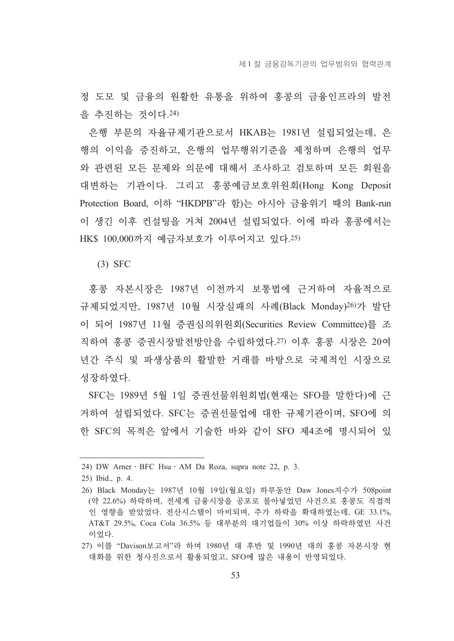정 도모 및 금융의 원활한 유통을 위하여 홍콩의 금융인프라의 발전 을 추지하는 것이다. 24)

은행 부문의 자율규제기관으로서 HKAB는 1981년 설립되었는데, 은 행의 이익을 증진하고, 은행의 업무행위기준을 제정하며 은행의 업무 와 관련된 모든 문제와 의문에 대해서 조사하고 검토하며 모든 회원을 대변하는 기관이다. 그리고 홍콩예금보호위원회(Hong Kong Deposit Protection Board, 이하 "HKDPB"라 함)는 아시아 금융위기 때의 Bank-run 이 생긴 이후 컨설팅을 거쳐 2004년 설립되었다. 이에 따라 홍콩에서는 HK\$ 100,000까지 예금자보호가 이루어지고 있다.25)

 $(3)$  SFC

홍콩 자본시장은 1987년 이전까지 보통법에 근거하여 자율적으로 규제되었지만, 1987년 10월 시장실패의 사례(Black Monday)<sup>26)</sup>가 발단 이 되어 1987년 11월 증권심의위원회(Securities Review Committee)를 조 직하여 홍콩 증권시장발전방안을 수립하였다.27) 이후 홍콩 시장은 20여 년간 주식 및 파생상품의 활발한 거래를 바탕으로 국제적인 시장으로 성장하였다.

SFC는 1989년 5월 1일 증권선물위원회법(현재는 SFO를 말한다)에 근 거하여 설립되었다. SFC는 증권선물업에 대한 규제기관이며, SFO에 의 한 SFC의 목적은 앞에서 기술한 바와 같이 SFO 제4조에 명시되어 있

<sup>24)</sup> DW Arner · BFC Hsu · AM Da Roza, supra note 22, p. 3.

<sup>25)</sup> Ibid., p. 4.

<sup>26)</sup> Black Monday는 1987년 10월 19일(월요일) 하루동안 Daw Jones지수가 508point (약 22.6%) 하락하며, 전세계 금융시장을 공포로 몰아넣었던 사건으로 홍콩도 직접적 인 영향을 받았었다. 전산시스템이 마비되며, 주가 하락을 확대하였는데, GE 33.1%, AT&T 29.5%, Coca Cola 36.5% 등 대부분의 대기업들이 30% 이상 하락하였던 사건 이었다.

<sup>27)</sup> 이를 "Davison보고서"라 하며 1980년 대 후반 및 1990년 대의 홍콩 자본시장 현 대화를 위한 청사진으로서 활용되었고, SFO에 많은 내용이 반영되었다.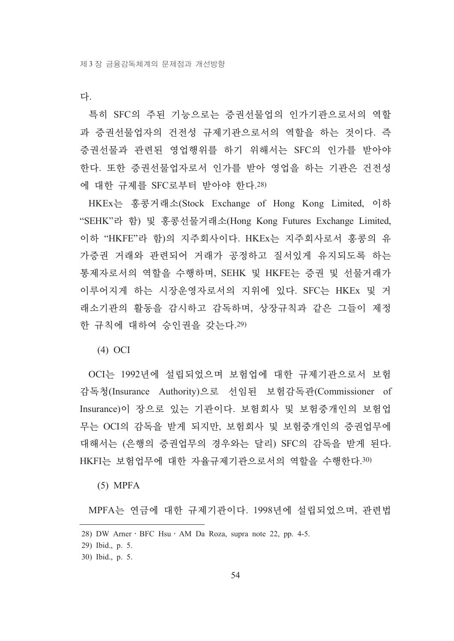다.

특히 SFC의 주된 기능으로는 증권선물업의 인가기관으로서의 역할 과 증권선물업자의 건전성 규제기관으로서의 역할을 하는 것이다. 즉 증권선물과 관련된 영업행위를 하기 위해서는 SFC의 인가를 받아야 한다. 또한 증권선물업자로서 인가를 받아 영업을 하는 기관은 건전성 에 대한 규제를 SFC로부터 받아야 한다.28)

HKEx는 홍콩거래소(Stock Exchange of Hong Kong Limited, 이하 "SEHK"라 함) 및 홍콩선물거래소(Hong Kong Futures Exchange Limited, 이하 "HKFE"라 함)의 지주회사이다. HKEx는 지주회사로서 홍콩의 유 가증권 거래와 관련되어 거래가 공정하고 질서있게 유지되도록 하는 통제자로서의 역할을 수행하며, SEHK 및 HKFE는 증권 및 선물거래가 이루어지게 하는 시장운영자로서의 지위에 있다. SFC는 HKEx 및 거 래소기관의 활동을 감시하고 감독하며, 상장규칙과 같은 그들이 제정 한 규칙에 대하여 승인권을 갖는다.29)

 $(4)$  OCI

OCI는 1992년에 설립되었으며 보험업에 대한 규제기관으로서 보험 감독청(Insurance Authority)으로 선임된 보험감독관(Commissioner of Insurance)이 장으로 있는 기관이다. 보험회사 및 보험중개인의 보험업 무는 OCI의 감독을 받게 되지만, 보험회사 및 보험중개인의 증권업무에 대해서는 (은행의 증권업무의 경우와는 달리) SFC의 감독을 받게 된다. HKFI는 보험업무에 대한 자율규제기관으로서의 역할을 수행한다.30)

 $(5)$  MPFA

MPFA는 연금에 대한 규제기관이다. 1998년에 설립되었으며, 관련법

<sup>28)</sup> DW Arner · BFC Hsu · AM Da Roza, supra note 22, pp. 4-5.

<sup>29)</sup> Ibid., p. 5.

<sup>30)</sup> Ibid., p. 5.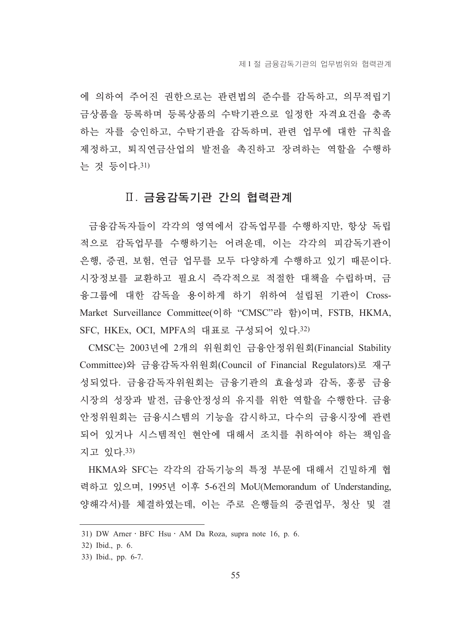에 의하여 주어지 권하으로는 과려법의 주수를 감독하고, 의무적립기 금상품을 등록하며 등록상품의 수탁기관으로 일정한 자격요건을 충족 하는 자를 승인하고, 수탁기관을 감독하며, 관련 업무에 대한 규칙을 제정하고, 퇴직연금산업의 발전을 촉진하고 장려하는 역할을 수행하 는 것 등이다.31)

## Ⅱ. 금융감독기관 간의 협력관계

금융감독자들이 각각의 영역에서 감독업무를 수행하지만, 항상 독립 적으로 감독업무를 수행하기는 어려운데, 이는 각각의 피감독기관이 은행, 증권, 보험, 연금 업무를 모두 다양하게 수행하고 있기 때문이다. 시장정보를 교환하고 필요시 즉각적으로 적절한 대책을 수립하며, 금 융그룹에 대한 감독을 용이하게 하기 위하여 설립된 기관이 Cross-Market Surveillance Committee(이하 "CMSC"라 함)이며, FSTB, HKMA, SFC, HKEx, OCI, MPFA의 대표로 구성되어 있다.32)

CMSC는 2003년에 2개의 위원회인 금융안정위원회(Financial Stability Committee)와 금융감독자위원회(Council of Financial Regulators)로 재구 성되었다. 금융감독자위원회는 금융기관의 효율성과 감독, 홍콩 금융 시장의 성장과 발전, 금융안정성의 유지를 위한 역할을 수행한다. 금융 안정위원회는 금융시스템의 기능을 감시하고, 다수의 금융시장에 관련 되어 있거나 시스템적인 현안에 대해서 조치를 취하여야 하는 책임을 지고 있다.33)

HKMA와 SFC는 각각의 감독기능의 특정 부문에 대해서 긴밀하게 협 력하고 있으며, 1995년 이후 5-6건의 MoU(Memorandum of Understanding, 양해각서)를 체결하였는데, 이는 주로 은행들의 증권업무, 청산 및 결

<sup>31)</sup> DW Arner · BFC Hsu · AM Da Roza, supra note 16, p. 6.

<sup>32)</sup> Ibid., p. 6.

<sup>33)</sup> Ibid., pp. 6-7.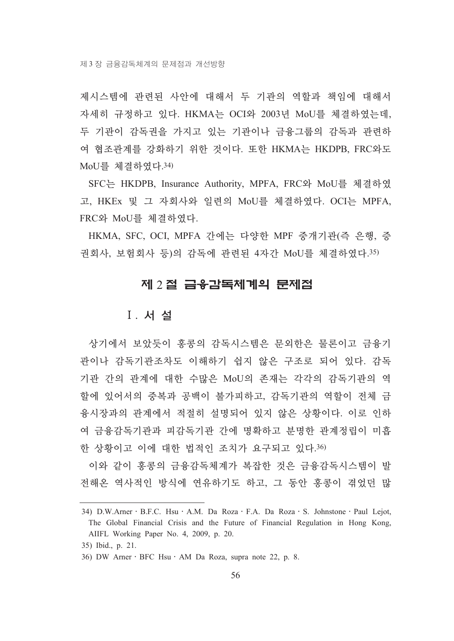제시스템에 관련된 사안에 대해서 두 기관의 역할과 책임에 대해서 자세히 규정하고 있다. HKMA는 OCI와 2003년 MoU를 체결하였는데, 두 기관이 감독권을 가지고 있는 기관이나 금융그룹의 감독과 관련하 여 협조관계를 강화하기 위한 것이다. 또한 HKMA는 HKDPB, FRC와도 MoU를 체결하였다.34)

SFC는 HKDPB, Insurance Authority, MPFA, FRC와 MoU를 체결하였 고, HKEx 및 그 자회사와 일련의 MoU를 체결하였다. OCI는 MPFA, FRC와 MoU를 체결하였다.

HKMA, SFC, OCI, MPFA 간에는 다양한 MPF 중개기관(즉 은행, 증 권회사, 보험회사 등)의 감독에 관련된 4자간 MoU를 체결하였다.35)

## 제 2 절 금융감독체계의 문제점

## I. 서설

상기에서 보았듯이 홍콩의 감독시스템은 문외한은 물론이고 금융기 관이나 감독기관조차도 이해하기 쉽지 않은 구조로 되어 있다. 감독 기관 간의 관계에 대한 수많은 MoU의 존재는 각각의 감독기관의 역 할에 있어서의 중복과 공백이 불가피하고, 감독기관의 역할이 전체 금 융시장과의 관계에서 적절히 설명되어 있지 않은 상황이다. 이로 이하 여 금융감독기관과 피감독기관 간에 명확하고 분명한 관계정립이 미흡 한 상황이고 이에 대한 법적인 조치가 요구되고 있다.36)

이와 같이 홍콩의 금융감독체계가 복잡한 것은 금융감독시스템이 발 전해온 역사적인 방식에 연유하기도 하고, 그 동안 홍콩이 겪었던 많

<sup>34)</sup> D.W.Arner · B.F.C. Hsu · A.M. Da Roza · F.A. Da Roza · S. Johnstone · Paul Lejot, The Global Financial Crisis and the Future of Financial Regulation in Hong Kong, AIIFL Working Paper No. 4, 2009, p. 20.

<sup>35)</sup> Ibid., p. 21.

<sup>36)</sup> DW Arner · BFC Hsu · AM Da Roza, supra note 22, p. 8.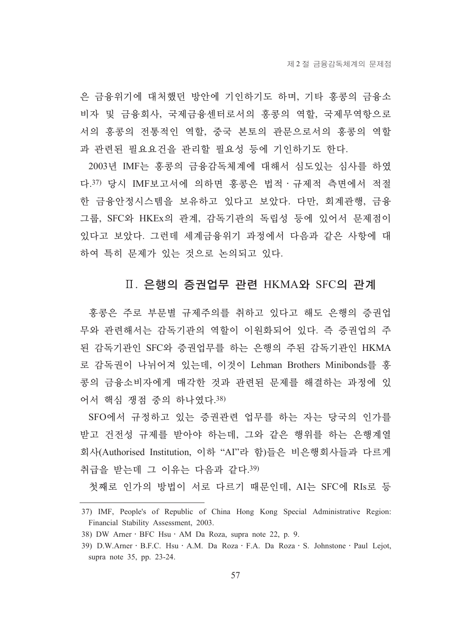은 금융위기에 대처했던 방안에 기인하기도 하며, 기타 홍콩의 금융소 비자 및 금융회사, 국제금융센터로서의 홍콩의 역할, 국제무역항으로 서의 홍콩의 전통적인 역할, 중국 본토의 관문으로서의 홍콩의 역할 과 관련된 필요요건을 관리할 필요성 등에 기인하기도 한다.

2003년 IMF는 홍콩의 금융감독체계에 대해서 심도있는 심사를 하였 다.37) 당시 IMF보고서에 의하면 홍콩은 법적 규제적 측면에서 적절 한 금융안정시스템을 보유하고 있다고 보았다. 다만, 회계관행, 금융 그룹, SFC와 HKEx의 관계, 감독기관의 독립성 등에 있어서 문제점이 있다고 보았다. 그런데 세계금융위기 과정에서 다음과 같은 사항에 대 하여 특히 문제가 있는 것으로 논의되고 있다.

## Ⅱ. 은행의 증권업무 관련 HKMA와 SFC의 관계

홍콩은 주로 부문별 규제주의를 취하고 있다고 해도 은행의 증권업 무와 관련해서는 감독기관의 역할이 이워화되어 있다. 즉 증권업의 주 된 감독기관인 SFC와 증권업무를 하는 은행의 주된 감독기관인 HKMA 로 감독권이 나뉘어져 있는데, 이것이 Lehman Brothers Minibonds를 홍 콩의 금융소비자에게 매각한 것과 관련된 문제를 해결하는 과정에 있 어서 핵심 쟁점 중의 하나였다.38)

SFO에서 규정하고 있는 증권관련 업무를 하는 자는 당국의 인가를 받고 건전성 규제를 받아야 하는데, 그와 같은 행위를 하는 은행계열 회사(Authorised Institution, 이하 "AI"라 함)들은 비은행회사들과 다르게 취급을 받는데 그 이유는 다음과 같다.39)

첫째로 인가의 방법이 서로 다르기 때문인데, AI는 SFC에 RIs로 등

<sup>37)</sup> IMF, People's of Republic of China Hong Kong Special Administrative Region: Financial Stability Assessment, 2003.

<sup>38)</sup> DW Arner · BFC Hsu · AM Da Roza, supra note 22, p. 9.

<sup>39)</sup> D.W.Arner · B.F.C. Hsu · A.M. Da Roza · F.A. Da Roza · S. Johnstone · Paul Lejot, supra note 35, pp. 23-24.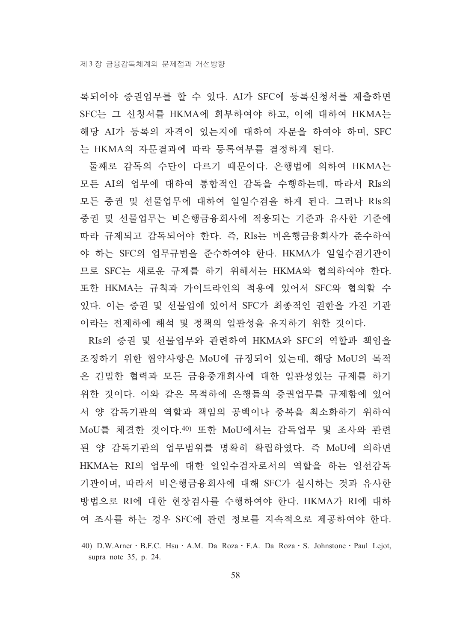록되어야 증권업무를 할 수 있다. AI가 SFC에 등록신청서를 제출하면 SFC는 그 신청서를 HKMA에 회부하여야 하고, 이에 대하여 HKMA는 해당 AI가 등록의 자격이 있는지에 대하여 자문을 하여야 하며, SFC 는 HKMA의 자문결과에 따라 등록여부를 결정하게 된다.

둘째로 감독의 수단이 다르기 때문이다. 은행법에 의하여 HKMA는 모든 AI의 업무에 대하여 통합적인 감독을 수행하는데, 따라서 RIs의 모든 증권 및 선물업무에 대하여 일일수검을 하게 된다. 그러나 RIs의 증권 및 선물업무는 비은행금융회사에 적용되는 기준과 유사한 기준에 따라 규제되고 감독되어야 한다. 즉, RIs는 비은행금융회사가 준수하여 야 하는 SFC의 업무규범을 준수하여야 한다. HKMA가 일일수검기관이 므로 SFC는 새로운 규제를 하기 위해서는 HKMA와 협의하여야 한다. 또한 HKMA는 규칙과 가이드라인의 적용에 있어서 SFC와 협의할 수 있다. 이는 증권 및 선물업에 있어서 SFC가 최종적인 권한을 가진 기관 이라는 전제하에 해석 및 정책의 일관성을 유지하기 위한 것이다.

RIs의 증권 및 선물업무와 관련하여 HKMA와 SFC의 역할과 책임을 조정하기 위한 협약사항은 MoU에 규정되어 있는데, 해당 MoU의 목적 은 긴밀한 협력과 모든 금융중개회사에 대한 일관성있는 규제를 하기 위한 것이다. 이와 같은 목적하에 은행들의 증권업무를 규제함에 있어 서 양 감독기관의 역할과 책임의 공백이나 중복을 최소화하기 위하여 MoU를 체결한 것이다.40) 또한 MoU에서는 감독업무 및 조사와 관련 된 양 감독기관의 업무범위를 명확히 확립하였다. 즉 MoU에 의하면 HKMA는 RI의 업무에 대한 일일수검자로서의 역할을 하는 일선감독 기관이며, 따라서 비은행금융회사에 대해 SFC가 실시하는 것과 유사한 방법으로 RI에 대한 현장검사를 수행하여야 한다. HKMA가 RI에 대하 여 조사를 하는 경우 SFC에 관련 정보를 지속적으로 제공하여야 한다.

<sup>40)</sup> D.W.Arner · B.F.C. Hsu · A.M. Da Roza · F.A. Da Roza · S. Johnstone · Paul Lejot. supra note 35, p. 24.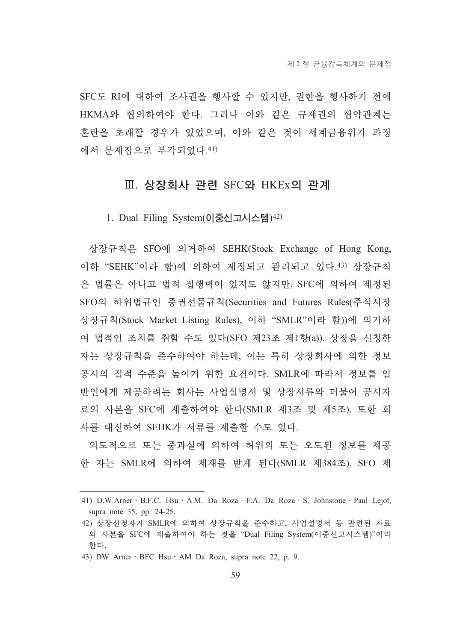SFC도 RI에 대하여 조사권을 행사할 수 있지만, 권한을 행사하기 전에 HKMA와 협의하여야 한다. 그러나 이와 같은 규제권의 협약관계는 혼란을 초래할 경우가 있었으며, 이와 같은 것이 세계금융위기 과정 에서 문제점으로 부각되었다. 41)

## Ⅲ. 상장회사 관련 SFC와 HKEx의 관계

### 1. Dual Filing System(이중신고시스템)<sup>42)</sup>

상장규칙은 SFO에 의거하여 SEHK(Stock Exchange of Hong Kong, 이하 "SEHK"이라 함)에 의하여 제정되고 관리되고 있다.43) 상장규칙 은 법률은 아니고 법적 집행력이 있지도 않지만, SFC에 의하여 제정된 SFO의 하위법규인 증권선물규칙(Securities and Futures Rules(주식시장 상장규칙(Stock Market Listing Rules), 이하 "SMLR"이라 함))에 의거하 여 법적인 조치를 취할 수도 있다(SFO 제23조 제1항(a)). 상장을 신청한 자는 상장규칙을 준수하여야 하는데, 이는 특히 상장회사에 의한 정보 공시의 질적 수준을 높이기 위한 요건이다. SMLR에 따라서 정보를 일 반인에게 제공하려는 회사는 사업설명서 및 상장서류와 더불어 공시자 료의 사본을 SFC에 제출하여야 한다(SMLR 제3조 및 제5조). 또한 회 사를 대신하여 SEHK가 서류를 제출할 수도 있다.

의도적으로 또는 중과실에 의하여 허위의 또는 오도되 정보를 제공 한 자는 SMLR에 의하여 제재를 받게 된다(SMLR 제384조). SFO 제

<sup>41)</sup> D.W.Arner · B.F.C. Hsu · A.M. Da Roza · F.A. Da Roza · S. Johnstone · Paul Lejot, supra note 35, pp. 24-25.

<sup>42)</sup> 상장신청자가 SMLR에 의하여 상장규칙을 준수하고, 사업설명서 등 관련된 자료 의 사본을 SFC에 제출하여야 하는 것을 "Dual Filing System(이중신고시스템)"이라 한다.

<sup>43)</sup> DW Arner  $\cdot$  BFC Hsu  $\cdot$  AM Da Roza, supra note 22, p. 9.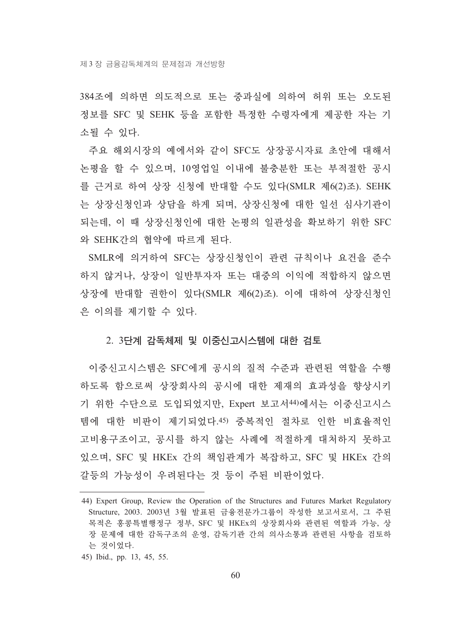384조에 의하면 의도적으로 또는 중과실에 의하여 허위 또는 오도된 정보를 SFC 및 SEHK 등을 포함한 특정한 수령자에게 제공한 자는 기 소될 수 있다.

주요 해외시장의 예에서와 같이 SFC도 상장공시자료 초안에 대해서 논평을 할 수 있으며, 10영업일 이내에 불충분한 또는 부적절한 공시 를 근거로 하여 상장 신청에 반대할 수도 있다(SMLR 제6(2)조). SEHK 는 상장신청인과 상담을 하게 되며, 상장신청에 대한 일선 심사기관이 되는데, 이 때 상장신청인에 대한 논평의 일관성을 확보하기 위한 SFC 와 SEHK간의 협약에 따르게 된다.

SMLR에 의거하여 SFC는 상장신청인이 관련 규칙이나 요건을 준수 하지 않거나, 상장이 일반투자자 또는 대중의 이익에 적합하지 않으면 상장에 반대할 권한이 있다(SMLR 제6(2)조). 이에 대하여 상장신청인 은 이의를 제기할 수 있다.

#### 2. 3단계 감독체제 및 이중신고시스템에 대한 검토

이중신고시스템은 SFC에게 공시의 질적 수준과 관련된 역할을 수행 하도록 함으로써 상장회사의 공시에 대한 제재의 효과성을 향상시키 기 위한 수단으로 도입되었지만, Expert 보고서<sup>44)</sup>에서는 이중신고시스 템에 대한 비판이 제기되었다.45) 중복적인 절차로 인한 비효율적인 고비용구조이고, 공시를 하지 않는 사례에 적절하게 대처하지 못하고 있으며, SFC 및 HKEx 간의 책임관계가 복잡하고, SFC 및 HKEx 간의 갈등의 가능성이 우려된다는 것 등이 주된 비판이었다.

<sup>44)</sup> Expert Group, Review the Operation of the Structures and Futures Market Regulatory Structure, 2003. 2003년 3월 발표된 금융전문가그룹이 작성한 보고서로서, 그 주된 목적은 홍콩특별행정구 정부, SFC 및 HKEx의 상장회사와 관련된 역할과 가능, 상 장 문제에 대한 감독구조의 운영, 감독기관 간의 의사소통과 관련된 사항을 검토하 는 것이었다.

<sup>45)</sup> Ibid., pp. 13, 45, 55.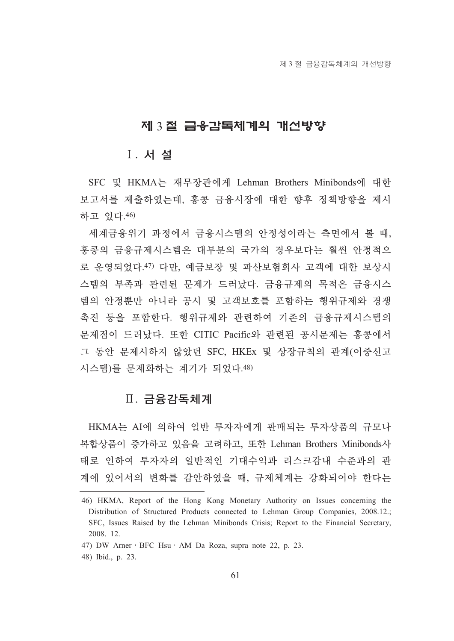## 제 3 절 금융감독체계의 개선방향

## I. 서 설

SFC 및 HKMA는 재무장관에게 Lehman Brothers Minibonds에 대한 보고서를 제출하였는데, 홍콩 금융시장에 대한 향후 정책방향을 제시 하고 있다.46)

세계금융위기 과정에서 금융시스템의 안정성이라는 측면에서 볼 때, 홍콩의 금융규제시스템은 대부분의 국가의 경우보다는 훨씬 안정적으 로 운영되었다.47) 다만, 예금보장 및 파산보험회사 고객에 대한 보상시 스템의 부족과 관련된 문제가 드러났다. 금융규제의 목적은 금융시스 템의 안정뿐만 아니라 공시 및 고객보호를 포함하는 행위규제와 경쟁 촉진 등을 포함한다. 행위규제와 관련하여 기존의 금융규제시스템의 문제점이 드러났다. 또한 CITIC Pacific와 관련된 공시문제는 홍콩에서 그 동안 문제시하지 않았던 SFC, HKEx 및 상장규칙의 관계(이중신고 시스템)를 문제화하는 계기가 되었다. 48)

### Ⅱ. 금융감독체계

HKMA는 AI에 의하여 일반 투자자에게 판매되는 투자상품의 규모나 복합상품이 증가하고 있음을 고려하고, 또한 Lehman Brothers Minibonds사 태로 인하여 투자자의 일반적인 기대수익과 리스크감내 수준과의 관 계에 있어서의 변화를 감안하였을 때, 규제체계는 강화되어야 한다는

<sup>46)</sup> HKMA, Report of the Hong Kong Monetary Authority on Issues concerning the Distribution of Structured Products connected to Lehman Group Companies, 2008.12.; SFC, Issues Raised by the Lehman Minibonds Crisis; Report to the Financial Secretary, 2008. 12.

<sup>47)</sup> DW Arner · BFC Hsu · AM Da Roza, supra note 22, p. 23.

<sup>48)</sup> Ibid., p. 23.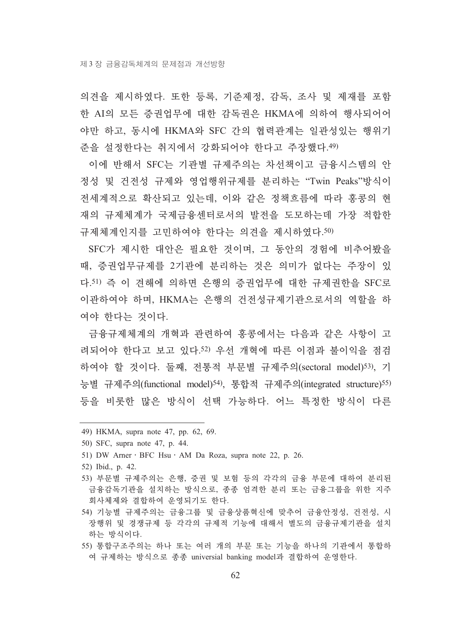의견을 제시하였다. 또한 등록, 기준제정, 감독, 조사 및 제재를 포함 한 AI의 모든 증권업무에 대한 감독권은 HKMA에 의하여 행사되어어 야만 하고, 동시에 HKMA와 SFC 간의 협력관계는 일관성있는 행위기 준을 설정한다는 취지에서 강화되어야 한다고 주장했다.49)

이에 반해서 SFC는 기관별 규제주의는 차선책이고 금융시스템의 안 정성 및 건전성 규제와 영업행위규제를 분리하는 "Twin Peaks"방식이 전세계적으로 확산되고 있는데, 이와 같은 정책흐름에 따라 홍콩의 현 재의 규제체계가 국제금융센터로서의 발전을 도모하는데 가장 적합한 규제체계인지를 고민하여야 한다는 의견을 제시하였다.50)

SFC가 제시한 대안은 필요한 것이며, 그 동안의 경험에 비추어봤을 때, 증권업무규제를 2기관에 분리하는 것은 의미가 없다는 주장이 있 다.51) 즉 이 견해에 의하면 은행의 증권업무에 대한 규제권한을 SFC로 이관하여야 하며, HKMA는 은행의 건전성규제기관으로서의 역할을 하 여야 한다는 것이다.

금융규제체계의 개혁과 관련하여 홍콩에서는 다음과 같은 사항이 고 려되어야 한다고 보고 있다.52) 우선 개혁에 따른 이점과 불이익을 점검 하여야 할 것이다. 둘째, 전통적 부문별 규제주의(sectoral model)53), 기 능별 규제주의(functional model)<sup>54)</sup>, 통합적 규제주의(integrated structure)<sup>55)</sup> 등을 비롯한 많은 방식이 선택 가능하다. 어느 특정한 방식이 다른

- 52) Ibid., p. 42.
- 53) 부문별 규제주의는 은행, 증권 및 보험 등의 각각의 금융 부문에 대하여 분리된 금융감독기관을 설치하는 방식으로, 종종 엄격한 분리 또는 금융그룹을 위한 지주 회사체제와 결합하여 운영되기도 한다.
- 54) 기능별 규제주의는 금융그룹 및 금융상품혁신에 맞추어 금융안정성, 건전성, 시 장행위 및 경쟁규제 등 각각의 규제적 기능에 대해서 별도의 금융규제기관을 설치 하는 방식이다.
- 55) 통합구조주의는 하나 또는 여러 개의 부문 또는 기능을 하나의 기관에서 통합하 여 규제하는 방식으로 종종 universial banking model과 결합하여 운영한다.

<sup>49)</sup> HKMA, supra note 47, pp. 62, 69.

<sup>50)</sup> SFC, supra note 47, p. 44.

<sup>51)</sup> DW Arner  $\cdot$  BFC Hsu  $\cdot$  AM Da Roza, supra note 22, p. 26.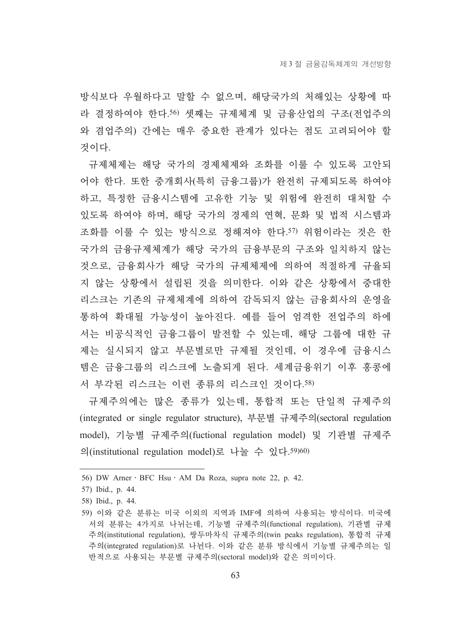방식보다 우월하다고 말할 수 없으며, 해당국가의 처해있는 상황에 따 라 결정하여야 한다.56) 셋째는 규제체계 및 금융산업의 구조(전업주의 와 겸업주의) 간에는 매우 중요한 관계가 있다는 점도 고려되어야 할 것이다.

규제체제는 해당 국가의 경제체제와 조화를 이룰 수 있도록 고안되 어야 한다. 또한 중개회사(특히 금융그룹)가 완전히 규제되도록 하여야 하고, 특정한 금융시스템에 고유한 기능 및 위험에 완전히 대처할 수 있도록 하여야 하며, 해당 국가의 경제의 연혁, 문화 및 법적 시스템과 조화를 이룰 수 있는 방식으로 정해져야 한다.57) 위험이라는 것은 한 국가의 금융규제체계가 해당 국가의 금융부문의 구조와 일치하지 않는 것으로, 금융회사가 해당 국가의 규제체제에 의하여 적절하게 규율되 지 않는 상황에서 설립된 것을 의미한다. 이와 같은 상황에서 중대한 리스크는 기존의 규제체계에 의하여 감독되지 않는 금융회사의 운영을 통하여 확대될 가능성이 높아진다. 예를 들어 엄격한 전업주의 하에 서는 비공식적인 금융그룹이 발전할 수 있는데, 해당 그룹에 대한 규 제는 실시되지 않고 부문별로만 규제될 것인데, 이 경우에 금융시스 템은 금융그룹의 리스크에 노출되게 된다. 세계금융위기 이후 홍콩에 서 부각된 리스크는 이런 종류의 리스크인 것이다.58)

규제주의에는 많은 종류가 있는데, 통합적 또는 단일적 규제주의 (integrated or single regulator structure), 부문별 규제주의(sectoral regulation model), 기능별 규제주의(fuctional regulation model) 및 기관별 규제주 의(institutional regulation model)로 나눌 수 있다. 59)60)

<sup>56)</sup> DW Arner · BFC Hsu · AM Da Roza, supra note 22, p. 42.

<sup>57)</sup> Ibid., p. 44.

<sup>58)</sup> Ibid., p. 44.

<sup>59)</sup> 이와 같은 분류는 미국 이외의 지역과 IMF에 의하여 사용되는 방식이다. 미국에 서의 분류는 4가지로 나뉘는데, 기능별 규제주의(functional regulation), 기관별 규제 주의(institutional regulation), 쌍두마차식 규제주의(twin peaks regulation), 통합적 규제 주의(integrated regulation)로 나뉜다. 이와 같은 분류 방식에서 기능별 규제주의는 일 반적으로 사용되는 부문별 규제주의(sectoral model)와 같은 의미이다.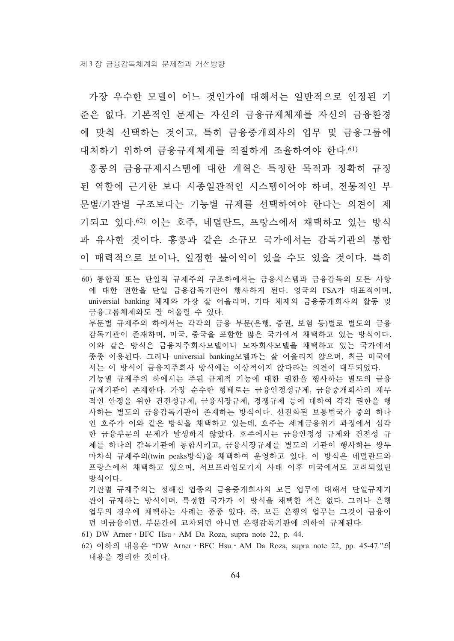가장 우수한 모델이 어느 것인가에 대해서는 일반적으로 인정된 기 준은 없다. 기본적인 문제는 자신의 금융규제체제를 자신의 금융화경 에 맞춰 선택하는 것이고, 특히 금융중개회사의 업무 및 금융그룹에 대처하기 위하여 금융규제체제를 적절하게 조율하여야 한다. 61)

홍콩의 금융규제시스템에 대한 개혁은 특정한 목적과 정확히 규정 된 역할에 근거한 보다 시종일관적인 시스템이어야 하며, 전통적인 부 문별/기관별 구조보다는 기능별 규제를 서택하여야 한다는 의견이 제 기되고 있다.62) 이는 호주, 네덜란드, 프랑스에서 채택하고 있는 방식 과 유사한 것이다. 홍콩과 같은 소규모 국가에서는 감독기관의 통합 이 매력적으로 보이나. 일정한 불이익이 있을 수도 있을 것이다. 특히

60) 통합적 또는 단일적 규제주의 구조하에서는 금융시스템과 금융감독의 모든 사항 에 대한 권한을 단일 금융감독기관이 행사하게 된다. 영국의 FSA가 대표적이며, universial banking 체제와 가장 잘 어울리며, 기타 체제의 금융중개회사의 활동 및 금융그룹체제와도 잘 어울릴 수 있다.

부문별 규제주의 하에서는 각각의 금융 부문(은행, 증권, 보험 등)별로 별도의 금융 감독기관이 존재하며, 미국, 중국을 포함한 많은 국가에서 채택하고 있는 방식이다. 이와 같은 방식은 금융지주회사모델이나 모자회사모델을 채택하고 있는 국가에서 종종 이용된다. 그러나 universial banking모델과는 잘 어울리지 않으며, 최근 미국에 서는 이 방식이 금융지주회사 방식에는 이상적이지 않다라는 의견이 대두되었다. 기능별 규제주의 하에서는 주된 규제적 기능에 대한 권한을 행사하는 별도의 금융 규제기관이 존재한다. 가장 순수한 형태로는 금융안정성규제, 금융중개회사의 재무 적인 안정을 위한 건전성규제, 금융시장규제, 경쟁규제 등에 대하여 각각 권한을 행 사하는 별도의 금융감독기관이 존재하는 방식이다. 선진화된 보통법국가 중의 하나 인 호주가 이와 같은 방식을 채택하고 있는데, 호주는 세계금융위기 과정에서 심각 한 금융부문의 문제가 발생하지 않았다. 호주에서는 금융안정성 규제와 건전성 규 제를 하나의 감독기관에 통합시키고, 금융시장규제를 별도의 기관이 행사하는 쌍두 마차식 규제주의(twin peaks방식)을 채택하여 운영하고 있다. 이 방식은 네덜란드와 프랑스에서 채택하고 있으며, 서브프라임모기지 사태 이후 미국에서도 고려되었던 방식이다.

기관별 규제주의는 정해진 업종의 금융중개회사의 모든 업무에 대해서 단일규제기 관이 규제하는 방식이며, 특정한 국가가 이 방식을 채택한 적은 없다. 그러나 은행 업무의 경우에 채택하는 사례는 종종 있다. 즉, 모든 은행의 업무는 그것이 금융이 던 비금융이던, 부문간에 교차되던 아니던 은행감독기관에 의하여 규제된다.

- 61) DW Arner · BFC Hsu · AM Da Roza, supra note 22, p. 44.
- 62) 이하의 내용은 "DW Arner · BFC Hsu · AM Da Roza, supra note 22, pp. 45-47."의 내용을 정리한 것이다.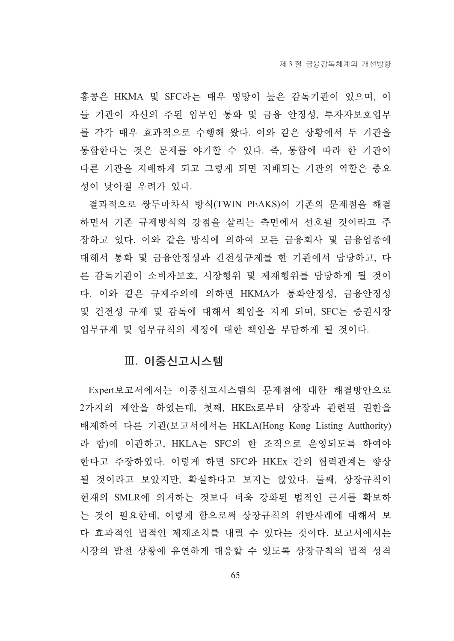홍콩은 HKMA 및 SFC라는 매우 명망이 높은 감독기관이 있으며, 이 들 기관이 자신의 주된 임무인 통화 및 금융 안정성, 투자자보호업무 를 각각 매우 효과적으로 수행해 왔다. 이와 같은 상황에서 두 기관을 통합한다는 것은 문제를 야기할 수 있다. 즉, 통합에 따라 한 기관이 다른 기관을 지배하게 되고 그렇게 되면 지배되는 기관의 역할은 중요 성이 낮아질 우려가 있다.

결과적으로 쌍두마차식 방식(TWIN PEAKS)이 기존의 뮤제점을 해결 하면서 기존 규제방식의 강점을 살리는 측면에서 선호될 것이라고 주 장하고 있다. 이와 같은 방식에 의하여 모든 금융회사 및 금융업종에 대해서 통화 및 금융안정성과 건전성규제를 한 기관에서 담당하고, 다 른 감독기관이 소비자보호, 시장행위 및 제재행위를 담당하게 될 것이 다. 이와 같은 규제주의에 의하면 HKMA가 통화안정성, 금융안정성 및 건전성 규제 및 감독에 대해서 책임을 지게 되며, SFC는 증권시장 업무규제 및 업무규칙의 제정에 대한 책임을 부담하게 될 것이다.

### Ⅲ. 이중신고시스템

Expert보고서에서는 이중신고시스템의 문제점에 대한 해결방안으로 2가지의 제안을 하였는데, 첫째, HKEx로부터 상장과 관련된 권한을 배제하여 다른 기관(보고서에서는 HKLA(Hong Kong Listing Autthority) 라 함)에 이관하고, HKLA는 SFC의 한 조직으로 운영되도록 하여야 한다고 주장하였다. 이렇게 하면 SFC와 HKEx 간의 협력관계는 향상 될 것이라고 보았지만, 확실하다고 보지는 않았다. 둘째, 상장규칙이 현재의 SMLR에 의거하는 것보다 더욱 강화된 법적인 근거를 확보하 는 것이 필요한데, 이렇게 함으로써 상장규칙의 위반사례에 대해서 보 다 효과적인 법적인 제재조치를 내릴 수 있다는 것이다. 보고서에서는 시장의 발전 상황에 유연하게 대응할 수 있도록 상장규칙의 법적 성격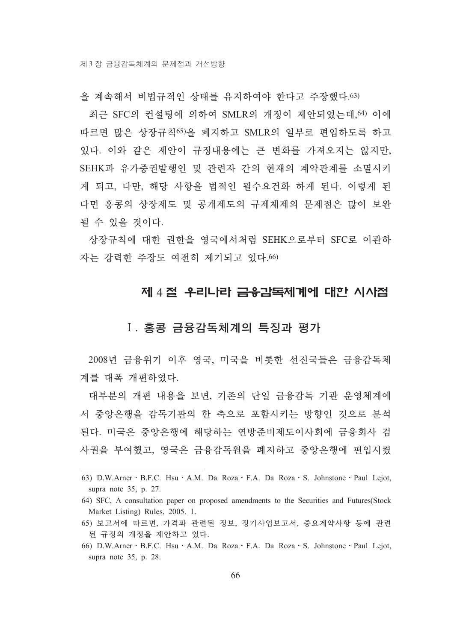을 계속해서 비법규적인 상태를 유지하여야 한다고 주장했다. 63)

최근 SFC의 컨설팅에 의하여 SMLR의 개정이 제안되었는데 64) 이에 따르면 많은 상장규칙<sup>65)</sup>을 폐지하고 SMLR의 일부로 편입하도록 하고 있다. 이와 같은 제안이 규정내용에는 큰 변화를 가져오지는 않지만, SEHK과 유가증권발행인 및 관련자 간의 현재의 계약관계를 소멸시키 게 되고, 다만, 해당 사항을 법적인 필수요건화 하게 된다. 이렇게 된 다면 홍콩의 상장제도 및 공개제도의 규제체제의 뮤제점은 많이 보완 될 수 있을 것이다.

상장규칙에 대한 권한을 영국에서처럼 SEHK으로부터 SFC로 이관하 자는 강력한 주장도 여전히 제기되고 있다. 66)

## 제 4절 우리나라 금융감독체계에 대한 시사점

## I. 홍콩 금융감독체계의 특징과 평가

2008년 금융위기 이후 영국, 미국을 비롯한 선진국들은 금융감독체 계를 대폭 개편하였다.

대부분의 개편 내용을 보면, 기존의 단일 금융감독 기관 운영체계에 서 중앙은행을 감독기관의 한 축으로 포함시키는 방향인 것으로 분석 된다. 미국은 중앙은행에 해당하는 연방준비제도이사회에 금융회사 검 사권을 부여했고, 영국은 금융감독원을 폐지하고 중앙은행에 편입시켰

<sup>63)</sup> D.W.Arner · B.F.C. Hsu · A.M. Da Roza · F.A. Da Roza · S. Johnstone · Paul Lejot, supra note 35, p. 27.

<sup>64)</sup> SFC, A consultation paper on proposed amendments to the Securities and Futures(Stock Market Listing) Rules, 2005. 1.

<sup>65)</sup> 보고서에 따르면, 가격과 관련된 정보, 정기사업보고서, 중요계약사항 등에 관련 된 규정의 개정을 제안하고 있다.

<sup>66)</sup> D.W.Arner · B.F.C. Hsu · A.M. Da Roza · F.A. Da Roza · S. Johnstone · Paul Lejot. supra note  $35$ , p. 28.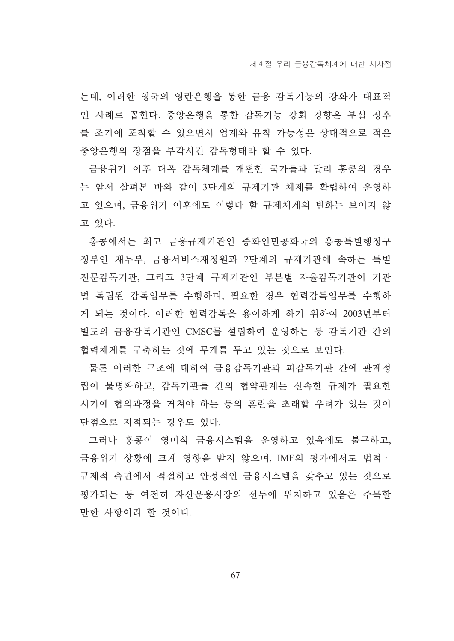는데, 이러한 영국의 영란은행을 통한 금융 감독기능의 강화가 대표적 인 사례로 꼽힌다. 중앙은행을 통한 감독기능 강화 경향은 부실 징후 를 조기에 포착할 수 있으면서 업계와 유착 가능성은 상대적으로 적은 중앙은행의 장점을 부각시킨 감독형태라 할 수 있다.

금융위기 이후 대폭 감독체계를 개편한 국가들과 달리 홍콩의 경우 는 앞서 살펴본 바와 같이 3단계의 규제기관 체제를 확립하여 운영하 고 있으며, 금융위기 이후에도 이렇다 할 규제체계의 변화는 보이지 않 고 있다.

홍콩에서는 최고 금융규제기관인 중화인민공화국의 홍콩특별행정구 정부인 재무부, 금융서비스재정원과 2단계의 규제기관에 속하는 특별 전문감독기관, 그리고 3단계 규제기관인 부분별 자율감독기관이 기관 별 독립된 감독업무를 수행하며, 필요한 경우 협력감독업무를 수행하 게 되는 것이다. 이러한 협력감독을 용이하게 하기 위하여 2003년부터 별도의 금융감독기관인 CMSC를 설립하여 운영하는 등 감독기관 간의 협력체계를 구축하는 것에 무게를 두고 있는 것으로 보인다.

물론 이러한 구조에 대하여 금융감독기관과 피감독기관 간에 관계정 립이 불명확하고, 감독기관들 간의 협약관계는 신속한 규제가 필요한 시기에 협의과정을 거쳐야 하는 등의 혼란을 초래할 우려가 있는 것이 단점으로 지적되는 경우도 있다.

그러나 홍콩이 영미식 금융시스템을 운영하고 있음에도 불구하고, 금융위기 상황에 크게 영향을 받지 않으며, IMF의 평가에서도 법적 · 규제적 측면에서 적절하고 안정적인 금융시스템을 갖추고 있는 것으로 평가되는 등 여전히 자산운용시장의 선두에 위치하고 있음은 주목할 만한 사항이라 할 것이다.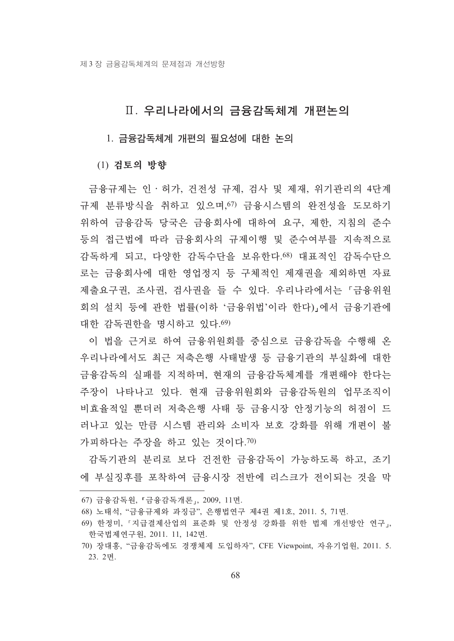## Ⅱ. 우리나라에서의 금융감독체계 개편논의

### 1. 금융감독체계 개편의 필요성에 대한 논의

(1) 검토의 방향

금융규제는 인·허가, 건전성 규제, 검사 및 제재, 위기관리의 4단계 규제 분류방식을 취하고 있으며, 67) 금융시스템의 완전성을 도모하기 위하여 금융감독 당국은 금융회사에 대하여 요구, 제한, 지침의 준수 등의 접근법에 따라 금융회사의 규제이행 및 준수여부를 지속적으로 감독하게 되고, 다양한 감독수단을 보유한다.68) 대표적인 감독수단으 로는 금융회사에 대한 영업정지 등 구체적인 제재권을 제외하면 자료 제출요구권, 조사권, 검사권을 들 수 있다. 우리나라에서는 「금융위원 회의 설치 등에 관한 법률(이하'금융위법'이라 한다)」에서 금융기관에 대한 감독권한을 명시하고 있다. 69)

이 법을 근거로 하여 금융위워회를 중심으로 금융감독을 수행해 온 우리나라에서도 최근 저축은행 사태발생 등 금융기관의 부실화에 대한 금융감독의 실패를 지적하며, 현재의 금융감독체계를 개편해야 한다는 주장이 나타나고 있다. 현재 금융위원회와 금융감독원의 업무조직이 비효율적일 뿐더러 저축은행 사태 등 금융시장 안정기능의 허점이 드 러나고 있는 만큼 시스템 관리와 소비자 보호 강화를 위해 개편이 불 가피하다는 주장을 하고 있는 것이다.70)

감독기관의 분리로 보다 건전한 금융감독이 가능하도록 하고, 조기 에 부실징후를 포착하여 금융시장 전반에 리스크가 전이되는 것을 막

67) 금융감독원, 「금융감독개론」, 2009, 11면.

<sup>68)</sup> 노태석, "금융규제와 과징금", 은행법연구 제4권 제1호, 2011. 5, 71면.

<sup>69)</sup> 한정미, 「지급결제산업의 표준화 및 안정성 강화를 위한 법제 개선방안 연구」, 한국법제연구원, 2011. 11, 142면.

<sup>70)</sup> 장대홍, "금융감독에도 경쟁체제 도입하자", CFE Viewpoint, 자유기업원, 2011. 5. 23. 2면.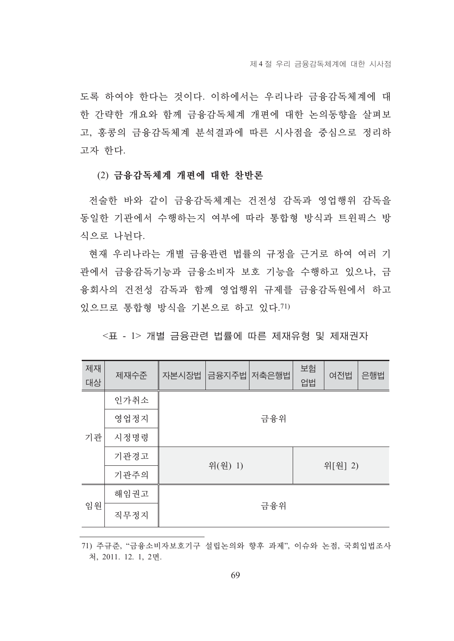도록 하여야 한다는 것이다. 이하에서는 우리나라 금융감독체계에 대 한 간략한 개요와 함께 금융감독체계 개편에 대한 논의동향을 살펴보 고, 홍콩의 금융감독체계 분석결과에 따른 시사점을 중심으로 정리하 고자 한다.

(2) 금융감독체계 개편에 대한 찬반론

전술한 바와 같이 금융감독체계는 건전성 감독과 영업행위 감독을 동일한 기관에서 수행하는지 여부에 따라 통합형 방식과 트윈픽스 방 식으로 나뉘다.

현재 우리나라는 개별 금융관련 법률의 규정을 근거로 하여 여러 기 관에서 금융감독기능과 금융소비자 보호 기능을 수행하고 있으나, 금 융회사의 거저성 감독과 함께 영업행위 규제를 금융감독원에서 하고 있으므로 통합형 방식을 기본으로 하고 있다. 71)

<표 - 1> 개별 금융관련 법률에 따른 제재유형 및 제재권자

| 제재<br>대상 | 제재수준 | 자본시장법 | 금융지주법   | 저축은행법 | 보험<br>업법 | 여전법 | 은행법 |  |  |  |  |
|----------|------|-------|---------|-------|----------|-----|-----|--|--|--|--|
| 기관       | 인가취소 |       |         |       |          |     |     |  |  |  |  |
|          | 영업정지 | 금융위   |         |       |          |     |     |  |  |  |  |
|          | 시정명령 |       |         |       |          |     |     |  |  |  |  |
|          | 기관경고 |       | 위[원] 2) |       |          |     |     |  |  |  |  |
|          | 기관주의 |       |         |       |          |     |     |  |  |  |  |
| 임원       | 해임권고 | 금융위   |         |       |          |     |     |  |  |  |  |
|          | 직무정지 |       |         |       |          |     |     |  |  |  |  |

71) 주규준, "금융소비자보호기구 설립논의와 향후 과제", 이슈와 논점, 국회입법조사 처, 2011. 12. 1, 2면.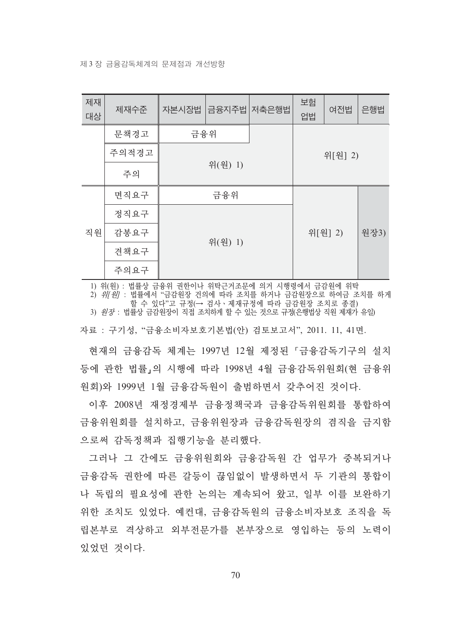| 제재<br>대상 | 제재수준  | 자본시장법   금융지주법   저축은행법 |         |  | 보험<br>업법        | 여전법 | 은행법 |  |
|----------|-------|-----------------------|---------|--|-----------------|-----|-----|--|
|          | 문책경고  | 금융위                   |         |  |                 |     |     |  |
|          | 주의적경고 |                       |         |  | 위[원] 2)         |     |     |  |
|          | 주의    |                       | 위(원) 1) |  |                 |     |     |  |
| 직원       | 면직요구  | 금융위                   |         |  | 위[원] 2)<br>원장3) |     |     |  |
|          | 정직요구  |                       |         |  |                 |     |     |  |
|          | 감봉요구  | 위(원) 1)               |         |  |                 |     |     |  |
|          | 견책요구  |                       |         |  |                 |     |     |  |
|          | 주의요구  |                       |         |  |                 |     |     |  |

1) 위(원) : 법률상 금융위 권한이나 위탁근거조문에 의거 시행령에서 금감원에 위탁 2) 위 원 : 법률에서 "금감원장 건의에 따라 조치를 하거나 금감원장으로 하여금 조치를 하게 할 수 있다"고 규정(→ 검사 · 제재규정에 따라 금감원장 조치로 종결) 3) 원장 : 법률상 금감원장이 직접 조치하게 할 수 있는 것으로 규정(은행법상 직원 제재가 유일)

자료 : 구기성. "금융소비자보호기본법(안) 검토보고서". 2011. 11. 41며.

현재의 금융감독 체계는 1997년 12월 제정된 「금융감독기구의 설치 등에 관한 법률」의 시행에 따라 1998년 4월 금융감독위원회(현 금융위 원회)와 1999년 1월 금융감독원이 출범하면서 갖추어진 것이다.

이후 2008년 재정경제부 금융정책국과 금융감독위원회를 통합하여 금융위원회를 설치하고, 금융위원장과 금융감독원장의 겸직을 금지함 으로써 감독정책과 집행기능을 분리했다.

그러나 그 간에도 금융위워회와 금융감독원 간 업무가 중복되거나 금융감독 권한에 따른 갈등이 끊임없이 발생하면서 두 기관의 통합이 나 독립의 필요성에 관한 논의는 계속되어 왔고, 일부 이를 보완하기 위한 조치도 있었다. 예컨대, 금융감독원의 금융소비자보호 조직을 독 립본부로 격상하고 외부전문가를 본부장으로 영입하는 등의 노력이 있었던 것이다.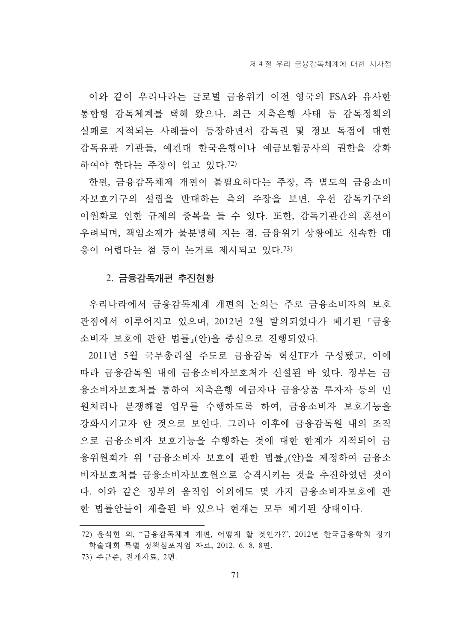이와 같이 우리나라는 글로벌 금융위기 이전 영국의 FSA와 유사한 통합형 감독체계를 택해 왔으나, 최근 저축은행 사태 등 감독정책의 실패로 지적되는 사례들이 등장하면서 감독권 및 정보 독점에 대한 감독유관 기관들, 예컨대 한국은행이나 예금보험공사의 권한을 강화 하여야 한다는 주장이 일고 있다.72)

한편, 금융감독체제 개편이 불필요하다는 주장, 즉 별도의 금융소비 자보호기구의 설립을 반대하는 측의 주장을 보면, 우선 감독기구의 이원화로 인한 규제의 중복을 들 수 있다. 또한, 감독기관간의 혼선이 우려되며, 책임소재가 불분명해 지는 점, 금융위기 상황에도 신속한 대 응이 어렵다는 점 등이 논거로 제시되고 있다.73)

#### 2. 금융감독개편 추진현황

우리나라에서 금융감독체계 개편의 논의는 주로 금융소비자의 보호 관점에서 이루어지고 있으며, 2012년 2월 발의되었다가 폐기된 「금융 소비자 보호에 관한 법률 (안)을 중심으로 진행되었다.

2011년 5월 국무총리실 주도로 금융감독 혁신TF가 구성됐고, 이에 따라 금융감독원 내에 금융소비자보호처가 신설된 바 있다. 정부는 금 융소비자보호처를 통하여 저축은행 예금자나 금융상품 투자자 등의 민 원처리나 분쟁해결 업무를 수행하도록 하여, 금융소비자 보호기능을 강화시키고자 한 것으로 보인다. 그러나 이후에 금융감독원 내의 조직 으로 금융소비자 보호기능을 수행하는 것에 대한 한계가 지적되어 금 융위원회가 위「금융소비자 보호에 관한 법률」(안)을 제정하여 금융소 비자보호처를 금융소비자보호원으로 승격시키는 것을 추진하였던 것이 다. 이와 같은 정부의 움직임 이외에도 몇 가지 금융소비자보호에 관 한 법률안들이 제출된 바 있으나 현재는 모두 폐기된 상태이다.

<sup>72)</sup> 윤석헌 외, "금융감독체계 개편, 어떻게 할 것인가?", 2012년 한국금융학회 정기 학술대회 특별 정책심포지엄 자료, 2012. 6. 8, 8면. 73) 주규준, 전게자료, 2면.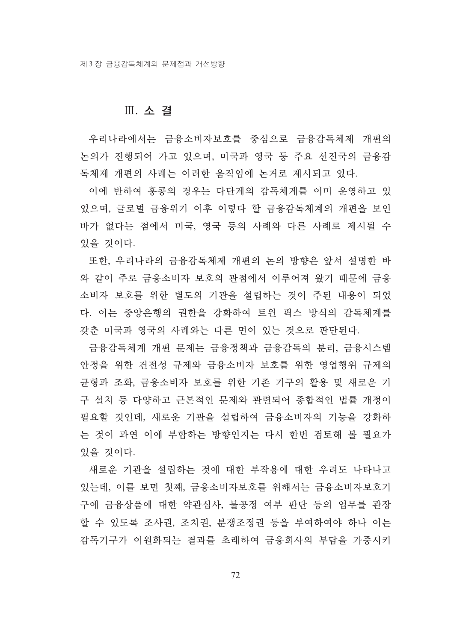## Ⅲ. 소 결

우리나라에서는 금융소비자보호를 중심으로 금융감독체제 개편의 논의가 진행되어 가고 있으며, 미국과 영국 등 주요 선진국의 금융감 독체제 개편의 사례는 이러한 움직임에 논거로 제시되고 있다.

이에 반하여 홍콩의 경우는 다단계의 감독체계를 이미 운영하고 있 었으며, 글로벌 금융위기 이후 이렇다 할 금융감독체계의 개편을 보인 바가 없다는 점에서 미국, 영국 등의 사례와 다른 사례로 제시될 수 있을 것이다.

또한, 우리나라의 금융감독체제 개편의 논의 방향은 앞서 설명한 바 와 같이 주로 금융소비자 보호의 관점에서 이루어져 왔기 때문에 금융 소비자 보호를 위한 별도의 기관을 설립하는 것이 주된 내용이 되었 다. 이는 중앙은행의 권한을 강화하여 트윈 픽스 방식의 감독체계를 갖춘 미국과 영국의 사례와는 다른 면이 있는 것으로 판단된다.

금융감독체계 개편 문제는 금융정책과 금융감독의 분리, 금융시스템 안정을 위한 건전성 규제와 금융소비자 보호를 위한 영업행위 규제의 균형과 조화, 금융소비자 보호를 위한 기존 기구의 활용 및 새로운 기 구 설치 등 다양하고 근본적인 문제와 관련되어 종합적인 법률 개정이 필요할 것인데, 새로운 기관을 설립하여 금융소비자의 기능을 강화하 는 것이 과연 이에 부합하는 방향인지는 다시 한번 검토해 볼 필요가 있을 것이다.

새로운 기관을 설립하는 것에 대한 부작용에 대한 우려도 나타나고 있는데, 이를 보면 첫째, 금융소비자보호를 위해서는 금융소비자보호기 구에 금융상품에 대한 약관심사, 불공정 여부 판단 등의 업무를 관장 할 수 있도록 조사권, 조치권, 분쟁조정권 등을 부여하여야 하나 이는 감독기구가 이원화되는 결과를 초래하여 금융회사의 부담을 가중시키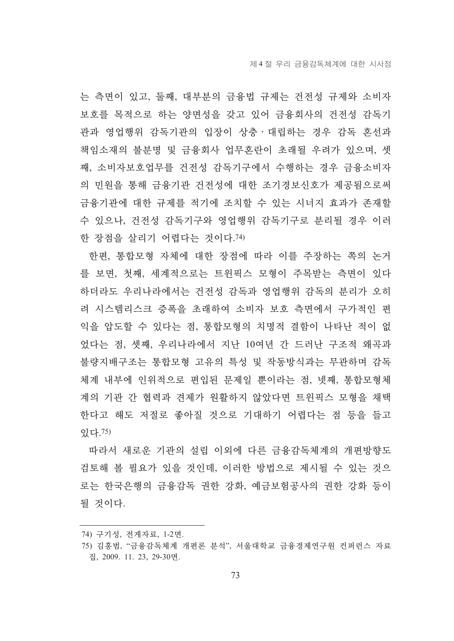는 측면이 있고, 둘째, 대부분의 금융법 규제는 건전성 규제와 소비자 보호를 목적으로 하는 양면성을 갖고 있어 금융회사의 건전성 감독기 관과 영업행위 감독기관의 입장이 상충 대립하는 경우 감독 혼선과 책임소재의 불분명 및 금융회사 업무혼란이 초래될 우려가 있으며, 셋 째, 소비자보호업무를 건전성 감독기구에서 수행하는 경우 금융소비자 의 민원을 통해 금융기관 건전성에 대한 조기경보신호가 제공됨으로써 금융기관에 대한 규제를 적기에 조치할 수 있는 시너지 효과가 존재할 수 있으나, 건전성 감독기구와 영업행위 감독기구로 분리될 경우 이러 한 장점을 살리기 어렵다는 것이다.74)

한편, 통합모형 자체에 대한 장점에 따라 이를 주장하는 쪽의 논거 를 보면, 첫째, 세계적으로는 트윈픽스 모형이 주목받는 측면이 있다 하더라도 우리나라에서는 건전성 감독과 영업행위 감독의 분리가 오히 려 시스템리스크 증폭을 초래하여 소비자 보호 측면에서 구가적인 편 익을 압도할 수 있다는 점, 통합모형의 치명적 결함이 나타난 적이 없 었다는 점, 셋째, 우리나라에서 지난 10여년 간 드러난 구조적 왜곡과 불량지배구조는 통합모형 고유의 특성 및 작동방식과는 무과하며 감독 체계 내부에 인위적으로 편입된 문제일 뿐이라는 점, 넷째, 통합모형체 계의 기관 간 협력과 견제가 원활하지 않았다면 트윈픽스 모형을 채택 한다고 해도 저절로 좋아질 것으로 기대하기 어렵다는 점 등을 들고 있다. 75)

따라서 새로운 기관의 설립 이외에 다른 금융감독체계의 개편방향도 검토해 볼 필요가 있을 것인데, 이러한 방법으로 제시될 수 있는 것으 로는 한국은행의 금융감독 권한 강화, 예금보험공사의 권한 강화 등이 될 것이다.

<sup>74)</sup> 구기성, 전게자료, 1-2면.

<sup>75)</sup> 김홍범, "금융감독체계 개편론 분석", 서울대학교 금융경제연구원 컨퍼런스 자료 집, 2009. 11. 23, 29-30면.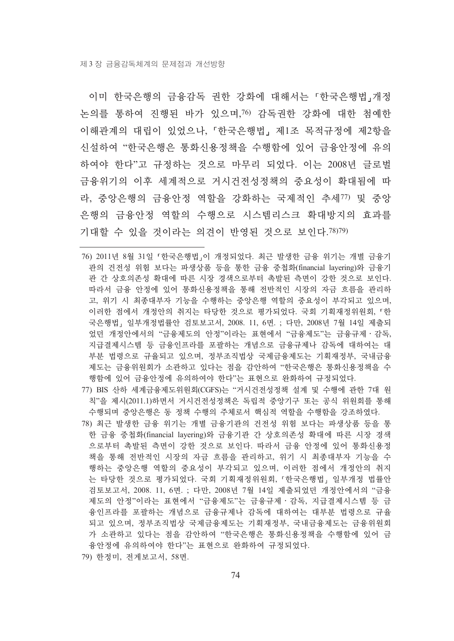이미 한국은행의 금융감독 권한 강화에 대해서는 「한국은행법」개정 논의를 통하여 진행된 바가 있으며,76) 감독권한 강화에 대한 첨예한 이해관계의 대립이 있었으나, 「한국은행법」 제1조 목적규정에 제2항을 신설하여 "한국은행은 통화신용정책을 수행함에 있어 금융안정에 유의 하여야 한다"고 규정하는 것으로 마무리 되었다. 이는 2008년 글로벌 금융위기의 이후 세계적으로 거시거저성정책의 중요성이 확대됨에 따 라, 중앙은행의 금융안정 역할을 강화하는 국제적인 추세77) 및 중앙 은행의 금융안정 역할의 수행으로 시스템리스크 확대방지의 효과를 기대할 수 있을 것이라는 의견이 반영된 것으로 보인다. 78) 79)

- 77) BIS 산하 세계금융제도위원회(CGFS)는 "거시건전성정책 설계 및 수행에 관한 7대 원 칙"을 제시(2011.1)하면서 거시건전성정책은 독립적 중앙기구 또는 공식 위원회를 통해 수행되며 중앙은행은 동 정책 수행의 주체로서 핵심적 역할을 수행함을 강조하였다.
- 78) 최근 발생한 금융 위기는 개별 금융기관의 건전성 위험 보다는 파생상품 등을 통 한 금융 중첩화(financial layering)와 금융기관 간 상호의존성 확대에 따른 시장 경색 으로부터 촉발된 측면이 강한 것으로 보인다. 따라서 금융 안정에 있어 통화신용정 책을 통해 전반적인 시장의 자금 흐름을 관리하고, 위기 시 최종대부자 기능을 수 행하는 중앙은행 역할의 중요성이 부각되고 있으며, 이러한 점에서 개정안의 취지 는 타당한 것으로 평가되었다. 국회 기획재정위원회, 「한국은행법」 일부개정 법률안 검토보고서, 2008. 11, 6면. ; 다만, 2008년 7월 14일 제출되었던 개정안에서의 "금융 제도의 안정"이라는 표현에서 "금융제도"는 금융규제·감독, 지급결제시스템 등 금 융인프라를 포괄하는 개념으로 금융규제나 감독에 대하여는 대부분 법령으로 규율 되고 있으며, 정부조직법상 국제금융제도는 기획재정부, 국내금융제도는 금융위원회 가 소관하고 있다는 점을 감안하여 "한국은행은 통화신용정책을 수행함에 있어 금 융안정에 유의하여야 한다"는 표현으로 완화하여 규정되었다.

79) 한정미, 전게보고서, 58면.

<sup>76) 2011</sup>년 8월 31일 「한국은행법」이 개정되었다. 최근 발생한 금융 위기는 개별 금융기 관의 건전성 위험 보다는 파생상품 등을 통한 금융 중첩화(financial layering)와 금융기 관 간 상호의존성 확대에 따른 시장 경색으로부터 촉발된 측면이 강한 것으로 보인다. 따라서 금융 안정에 있어 통화신용정책을 통해 전반적인 시장의 자금 흐름을 관리하 고, 위기 시 최종대부자 기능을 수행하는 중앙은행 역할의 중요성이 부각되고 있으며, 이러한 점에서 개정안의 취지는 타당한 것으로 평가되었다. 국회 기획재정위원회, '한 국은행법」일부개정법률안 검토보고서, 2008. 11, 6면. ; 다만, 2008년 7월 14일 제출되 었던 개정안에서의 "금융제도의 안정"이라는 표현에서 "금융제도"는 금융규제·감독, 지급결제시스템 등 금융인프라를 포괄하는 개념으로 금융규제나 감독에 대하여는 대 부분 법령으로 규율되고 있으며, 정부조직법상 국제금융제도는 기획재정부, 국내금융 제도는 금융위원회가 소관하고 있다는 점을 감안하여 "한국은행은 통화신용정책을 수 행함에 있어 금융안정에 유의하여야 한다"는 표현으로 완화하여 규정되었다.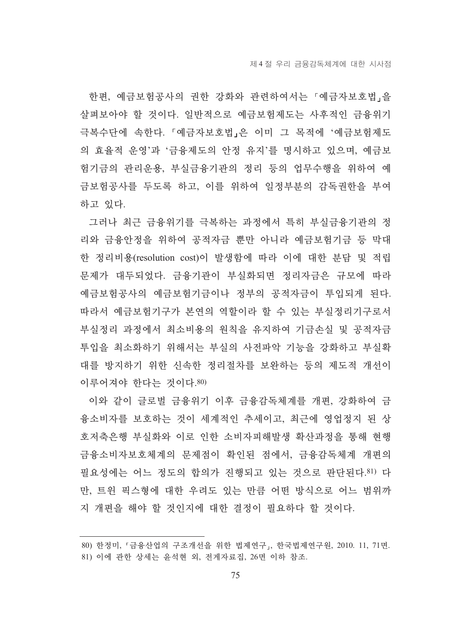한편, 예금보험공사의 권한 강화와 관련하여서는 「예금자보호법」을 살펴보아야 할 것이다. 일반적으로 예금보험제도는 사후적인 금융위기 극복수단에 속한다. 「예금자보호법」은 이미 그 목적에 '예금보험제도 의 효율적 운영'과'금융제도의 안정 유지'를 명시하고 있으며, 예금보 험기금의 관리운용, 부실금융기관의 정리 등의 업무수행을 위하여 예 금보험공사를 두도록 하고, 이를 위하여 일정부분의 감독권한을 부여 하고 있다.

그러나 최근 금융위기를 극복하는 과정에서 특히 부실금융기관의 정 리와 금융안정을 위하여 공적자금 뿐만 아니라 예금보험기금 등 막대 한 정리비용(resolution cost)이 발생함에 따라 이에 대한 분담 및 적립 문제가 대두되었다. 금융기관이 부실화되면 정리자금은 규모에 따라 예금보험공사의 예금보험기금이나 정부의 공적자금이 투입되게 된다. 따라서 예금보험기구가 본연의 역할이라 할 수 있는 부실정리기구로서 부실정리 과정에서 최소비용의 워칙을 유지하여 기금손실 및 공적자금 투입을 최소화하기 위해서는 부실의 사전파악 기능을 강화하고 부실확 대를 방지하기 위한 신속한 정리절차를 보완하는 등의 제도적 개선이 이루어져야 한다는 것이다.80)

이와 같이 글로벌 금융위기 이후 금융감독체계를 개편, 강화하여 금 융소비자를 보호하는 것이 세계적인 추세이고, 최근에 영업정지 된 상 호저축은행 부실화와 이로 인한 소비자피해발생 확산과정을 통해 현행 금융소비자보호체계의 문제점이 확인된 점에서, 금융감독체계 개편의 필요성에는 어느 정도의 합의가 진행되고 있는 것으로 판단된다.81) 다 만, 트윈 픽스형에 대한 우려도 있는 만큼 어떤 방식으로 어느 범위까 지 개편을 해야 할 것인지에 대한 결정이 필요하다 할 것이다.

<sup>80)</sup> 한정미, 「금융산업의 구조개선을 위한 법제연구」, 한국법제연구원, 2010. 11, 71면. 81) 이에 관한 상세는 윤석현 외, 전게자료집, 26면 이하 참조.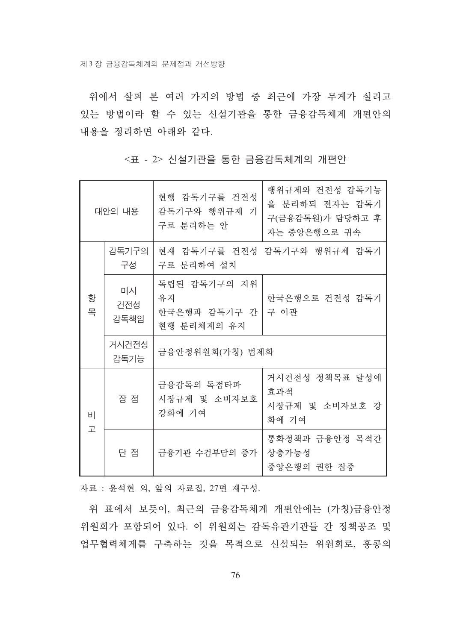위에서 살펴 본 여러 가지의 방법 중 최근에 가장 무게가 실리고 있는 방법이라 할 수 있는 신설기관을 통한 금융감독체계 개편안의 내용을 정리하면 아래와 같다.

<표 - 2> 신설기관을 통한 금융감독체계의 개편안

| 대안의 내용 |                   | 현행 감독기구를 건전성<br>감독기구와 행위규제 기<br>구로 분리하는 안         | 행위규제와 건전성 감독기능<br>을 분리하되 전자는 감독기<br>구(금융감독원)가 담당하고 후<br>자는 중앙은행으로 귀속 |  |  |
|--------|-------------------|---------------------------------------------------|----------------------------------------------------------------------|--|--|
| 항<br>목 | 감독기구의<br>구성       | 구로 분리하여 설치                                        | 현재 감독기구를 건전성 감독기구와 행위규제 감독기                                          |  |  |
|        | 미시<br>건전성<br>감독책임 | 독립된 감독기구의 지위<br>유지<br>한국은행과 감독기구 간<br>현행 분리체계의 유지 | 한국은행으로 건전성 감독기<br>구 이관                                               |  |  |
|        | 거시건전성<br>감독기능     | 금융안정위원회(가칭) 법제화                                   |                                                                      |  |  |
| 비<br>고 | 장 점               | 금융감독의 독점타파<br>시장규제 및 소비자보호<br>강화에 기여              | 거시건전성 정책목표 달성에<br>효과적<br>시장규제 및 소비자보호 강<br>화에 기여                     |  |  |
|        | 단 점               | 금융기관 수검부담의 증가                                     | 통화정책과 금융안정 목적간<br>상충가능성<br>중앙은행의 권한 집중                               |  |  |

자료 : 윤석현 외, 앞의 자료집, 27면 재구성.

위 표에서 보듯이, 최근의 금융감독체계 개편안에는 (가칭)금융안정 위원회가 포함되어 있다. 이 위원회는 감독유관기관들 간 정책공조 및 업무협력체계를 구축하는 것을 목적으로 신설되는 위워회로, 홍콩의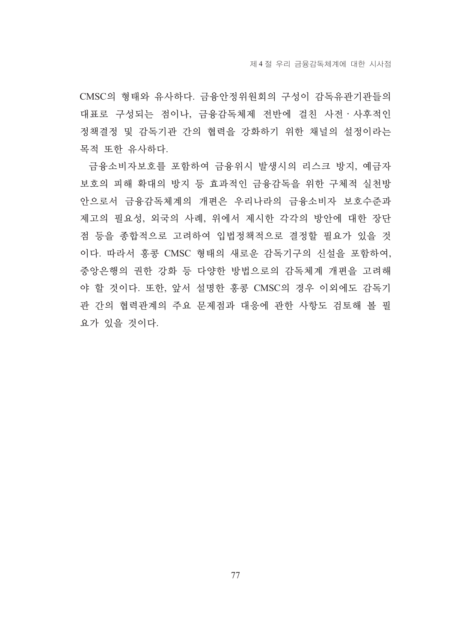CMSC의 형태와 유사하다. 금융안정위원회의 구성이 감독유관기관들의 대표로 구성되는 점이나, 금융감독체제 전반에 걸친 사전 사후적인 정책결정 및 감독기관 간의 협력을 강화하기 위한 채널의 설정이라는 목적 또한 유사하다.

금융소비자보호를 포함하여 금융위시 발생시의 리스크 방지, 예금자 보호의 피해 확대의 방지 등 효과적인 금융감독을 위한 구체적 실천방 안으로서 금융감독체계의 개편은 우리나라의 금융소비자 보호수준과 제고의 필요성, 외국의 사례, 위에서 제시한 각각의 방안에 대한 장단 점 등을 종합적으로 고려하여 입법정책적으로 결정할 필요가 있을 것 이다. 따라서 홍콩 CMSC 형태의 새로운 감독기구의 신설을 포함하여, 중앙은행의 권한 강화 등 다양한 방법으로의 감독체계 개편을 고려해 야 할 것이다. 또한, 앞서 설명한 홍콩 CMSC의 경우 이외에도 감독기 관 간의 협력관계의 주요 문제점과 대응에 관한 사항도 검토해 볼 필 요가 있을 것이다.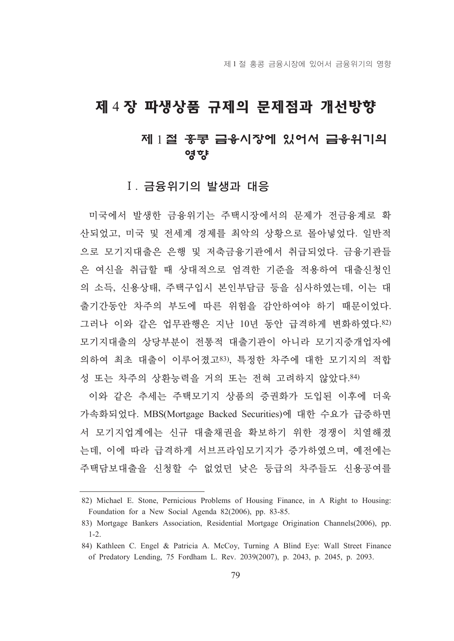# 제 4 장 파생상품 규제의 문제점과 개선방향

# 제 1절 홍콩 금융시장에 있어서 금융위기의 영향

### I. 금융위기의 발생과 대응

미국에서 발생한 금융위기는 주택시장에서의 뮤제가 전금융계로 확 산되었고, 미국 및 전세계 경제를 최악의 상황으로 몰아넣었다. 일반적 으로 모기지대출은 은행 및 저축금융기관에서 취급되었다. 금융기관들 은 여신을 취급할 때 상대적으로 엄격한 기준을 적용하여 대출신청인 의 소득, 신용상태, 주택구입시 본인부담금 등을 심사하였는데, 이는 대 출기간동안 차주의 부도에 따른 위험을 감안하여야 하기 때문이었다. 그러나 이와 같은 업무관행은 지난 10년 동안 급격하게 변화하였다. 82) 모기지대출의 상당부분이 전통적 대출기관이 아니라 모기지중개업자에 의하여 최초 대출이 이루어졌고83), 특정한 차주에 대한 모기지의 적합 성 또는 차주의 상환능력을 거의 또는 전혀 고려하지 않았다.84)

이와 같은 추세는 주택모기지 상품의 증권화가 도입된 이후에 더욱 가속화되었다. MBS(Mortgage Backed Securities)에 대한 수요가 급증하면 서 모기지업계에는 신규 대출채권을 확보하기 위한 경쟁이 치열해졌 는데, 이에 따라 급격하게 서브프라임모기지가 증가하였으며, 예전에는 주택담보대출을 신청할 수 없었던 낮은 등급의 차주들도 신용공여를

<sup>82)</sup> Michael E. Stone, Pernicious Problems of Housing Finance, in A Right to Housing: Foundation for a New Social Agenda 82(2006), pp. 83-85.

<sup>83)</sup> Mortgage Bankers Association, Residential Mortgage Origination Channels(2006), pp.  $1 - 2$ .

<sup>84)</sup> Kathleen C. Engel & Patricia A. McCoy, Turning A Blind Eye: Wall Street Finance of Predatory Lending, 75 Fordham L. Rev. 2039(2007), p. 2043, p. 2045, p. 2093.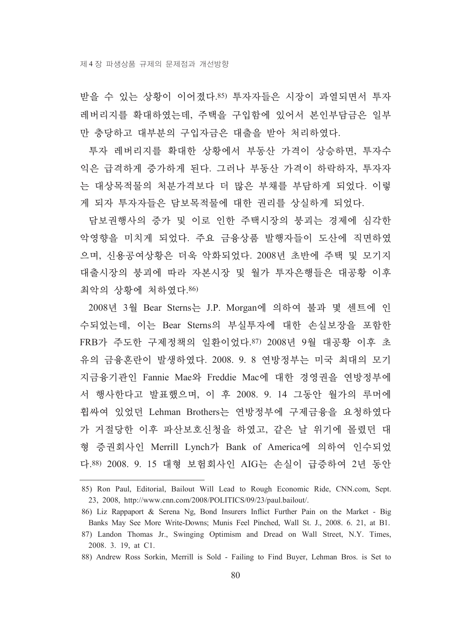받을 수 있는 상황이 이어졌다.85) 투자자들은 시장이 과열되면서 투자 레버리지를 확대하였는데, 주택을 구입함에 있어서 본인부담금은 일부 만 충당하고 대부분의 구입자금은 대출을 받아 처리하였다.

투자 레버리지를 확대한 상황에서 부동산 가격이 상승하면, 투자수 익은 급격하게 증가하게 된다. 그러나 부동산 가격이 하락하자, 투자자 는 대상목적물의 처분가격보다 더 많은 부채를 부담하게 되었다. 이렇 게 되자 투자자들은 담보목적물에 대한 권리를 상실하게 되었다.

담보권행사의 증가 및 이로 인한 주택시장의 붕괴는 경제에 심각한 악영향을 미치게 되었다. 주요 금융상품 발행자들이 도산에 직면하였 으며, 신용공여상황은 더욱 악화되었다. 2008년 초반에 주택 및 모기지 대출시장의 붕괴에 따라 자본시장 및 월가 투자은행들은 대공황 이후 최악의 상황에 처하였다. 86)

2008년 3월 Bear Sterns는 J.P. Morgan에 의하여 불과 몇 센트에 인 수되었는데, 이는 Bear Sterns의 부실투자에 대한 손실보장을 포함한 FRB가 주도한 구제정책의 일화이었다.87) 2008년 9월 대공황 이후 초 유의 금융혼란이 발생하였다. 2008. 9. 8 연방정부는 미국 최대의 모기 지금융기관인 Fannie Mae와 Freddie Mac에 대한 경영권을 연방정부에 서 행사한다고 발표했으며, 이 후 2008. 9. 14 그동안 월가의 루머에 휨싸여 있었던 Lehman Brothers는 연방정부에 구제금융을 요청하였다 가 거절당한 이후 파산보호신청을 하였고, 같은 날 위기에 몰렸던 대 형 증권회사인 Merrill Lynch가 Bank of America에 의하여 인수되었 다.88) 2008. 9. 15 대형 보험회사인 AIG는 손실이 급증하여 2년 동안

<sup>85)</sup> Ron Paul, Editorial, Bailout Will Lead to Rough Economic Ride, CNN.com, Sept. 23, 2008, http://www.cnn.com/2008/POLITICS/09/23/paul.bailout/.

<sup>86)</sup> Liz Rappaport & Serena Ng, Bond Insurers Inflict Further Pain on the Market - Big Banks May See More Write-Downs; Munis Feel Pinched, Wall St. J., 2008. 6. 21, at B1.

<sup>87)</sup> Landon Thomas Jr., Swinging Optimism and Dread on Wall Street, N.Y. Times, 2008. 3. 19, at C1.

<sup>88)</sup> Andrew Ross Sorkin, Merrill is Sold - Failing to Find Buyer, Lehman Bros. is Set to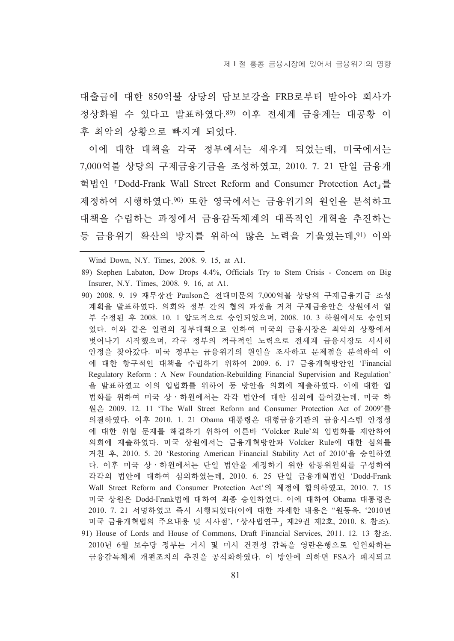대출금에 대한 850억불 상당의 담보보강을 FRB로부터 받아야 회사가 정상화될 수 있다고 발표하였다.89) 이후 전세계 금융계는 대공황 이 후 최악의 상황으로 빠지게 되었다.

이에 대한 대책을 각국 정부에서는 세우게 되었는데, 미국에서는 7,000억불 상당의 구제금융기금을 조성하였고, 2010. 7. 21 단일 금융개 혁법인 「Dodd-Frank Wall Street Reform and Consumer Protection Act」를 제정하여 시행하였다.90) 또한 영국에서는 금융위기의 원인을 분석하고 대책을 수립하는 과정에서 금융감독체계의 대폭적인 개혁을 추진하는 등 금융위기 확산의 방지를 위하여 많은 노력을 기울였는데,91) 이와

- 89) Stephen Labaton, Dow Drops 4.4%, Officials Try to Stem Crisis Concern on Big Insurer, N.Y. Times, 2008. 9. 16, at A1.
- 90) 2008. 9. 19 재무장관 Paulson은 전대미문의 7,000억불 상당의 구제금융기금 조성 계획을 발표하였다. 의회와 정부 간의 협의 과정을 거쳐 구제금융안은 상원에서 일 부 수정된 후 2008. 10. 1 압도적으로 승인되었으며, 2008. 10. 3 하워에서도 승인되 었다. 이와 같은 일련의 정부대책으로 인하여 미국의 금융시장은 최악의 상황에서 벗어나기 시작했으며, 각국 정부의 적극적인 노력으로 전세계 금융시장도 서서히 안정을 찾아갔다. 미국 정부는 금융위기의 원인을 조사하고 문제점을 분석하여 이 에 대한 항구적인 대책을 수립하기 위하여 2009. 6. 17 금융개혁방안인 'Financial Regulatory Reform : A New Foundation-Rebuilding Financial Supervision and Regulation' 을 발표하였고 이의 입법화를 위하여 동 방안을 의회에 제출하였다. 이에 대한 입 법화를 위하여 미국 상ㆍ하워에서는 각각 법안에 대한 심의에 들어갔는데, 미국 하 원은 2009. 12. 11 'The Wall Street Reform and Consumer Protection Act of 2009'를 의결하였다. 이후 2010. 1. 21 Obama 대통령은 대형금융기관의 금융시스템 안정성 에 대한 위협 문제를 해결하기 위하여 이른바 'Volcker Rule'의 입법화를 제안하여 의회에 제출하였다. 미국 상원에서는 금융개혁방안과 Volcker Rule에 대한 심의를 거친 후, 2010. 5. 20 'Restoring American Financial Stability Act of 2010'을 승인하였 다. 이후 미국 상·하워에서는 단일 법안을 제정하기 위한 합동위원회를 구성하여 각각의 법안에 대하여 심의하였는데, 2010. 6. 25 단일 금융개혁법인 'Dodd-Frank Wall Street Reform and Consumer Protection Act'의 제정에 합의하였고, 2010. 7. 15 미국 상원은 Dodd-Frank법에 대하여 최종 승인하였다. 이에 대하여 Obama 대통령은 2010. 7. 21 서명하였고 즉시 시행되었다(이에 대한 자세한 내용은 "원동욱, '2010년 미국 금융개혁법의 주요내용 및 시사점', 「상사법연구」 제29권 제2호, 2010. 8. 참조). 91) House of Lords and House of Commons, Draft Financial Services, 2011. 12. 13 참조. 2010년 6월 보수당 정부는 거시 및 미시 건전성 감독을 영란은행으로 일원화하는 금융감독체제 개편조치의 추진을 공식화하였다. 이 방안에 의하면 FSA가 폐지되고

Wind Down, N.Y. Times, 2008. 9. 15, at A1.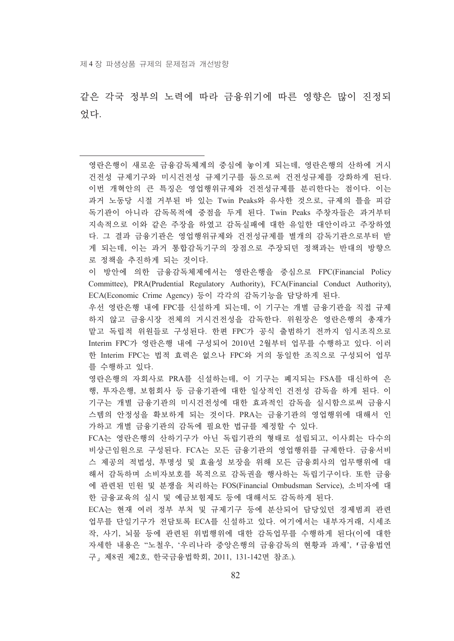같은 각국 정부의 노력에 따라 금융위기에 따른 영향은 많이 진정되 었다.

영란은행이 새로운 금융감독체계의 중심에 놓이게 되는데, 영란은행의 산하에 거시 건전성 규제기구와 미시건전성 규제기구를 둠으로써 건전성규제를 강화하게 된다. 이번 개혁안의 큰 특징은 영업행위규제와 건전성규제를 분리한다는 점이다. 이는 과거 노동당 시절 거부된 바 있는 Twin Peaks와 유사한 것으로, 규제의 틀을 피감 독기관이 아니라 감독목적에 중점을 두게 된다. Twin Peaks 주창자들은 과거부터 지속적으로 이와 같은 주장을 하였고 감독실패에 대한 유일한 대안이라고 주장하였 다. 그 결과 금융기관은 영업행위규제와 건전성규제를 별개의 감독기관으로부터 받 게 되는데, 이는 과거 통합감독기구의 장점으로 주장되던 정책과는 반대의 방향으 로 정책을 추진하게 되는 것이다.

이 방안에 의한 금융감독체제에서는 영란은행을 중심으로 FPC(Financial Policy Committee), PRA(Prudential Regulatory Authority), FCA(Financial Conduct Authority), ECA(Economic Crime Agency) 등이 각각의 감독기능을 담당하게 된다.

우선 영란은행 내에 FPC를 신설하게 되는데, 이 기구는 개별 금융기관을 직접 규제 하지 않고 금융시장 전체의 거시건전성을 감독한다. 위원장은 영란은행의 총재가 맡고 독립적 위원들로 구성된다. 한편 FPC가 공식 출범하기 전까지 임시조직으로 Interim FPC가 영란은행 내에 구성되어 2010년 2월부터 업무를 수행하고 있다. 이러 한 Interim FPC는 법적 효력은 없으나 FPC와 거의 동일한 조직으로 구성되어 업무 를 수행하고 있다.

영란은행의 자회사로 PRA를 신설하는데, 이 기구는 폐지되는 FSA를 대신하여 은 행, 투자은행, 보험회사 등 금융기관에 대한 일상적인 건전성 감독을 하게 된다. 이 기구는 개별 금융기관의 미시건전성에 대한 효과적인 감독을 실시함으로써 금융시 스템의 안정성을 확보하게 되는 것이다. PRA는 금융기관의 영업행위에 대해서 인 가하고 개별 금융기관의 감독에 필요한 법규를 제정할 수 있다.

FCA는 영라은행의 산하기구가 아닌 독립기과의 형태로 설립되고, 이사회는 다수의 비상근임원으로 구성된다. FCA는 모든 금융기관의 영업행위를 규제한다. 금융서비 스 제공의 적법성, 투명성 및 효율성 보장을 위해 모든 금융회사의 업무행위에 대 해서 감독하며 소비자보호를 목적으로 감독권을 행사하는 독립기구이다. 또한 금융 에 관련된 민원 및 분쟁을 처리하는 FOS(Financial Ombudsman Service), 소비자에 대 한 금융교육의 실시 및 예금보험제도 등에 대해서도 감독하게 된다.

ECA는 현재 여러 정부 부처 및 규제기구 등에 분산되어 담당있던 경제범죄 관련 업무를 단일기구가 전담토록 ECA를 신설하고 있다. 여기에서는 내부자거래, 시세조 작, 사기, 뇌물 등에 관련된 위법행위에 대한 감독업무를 수행하게 된다(이에 대한 자세한 내용은 "노철우, '우리나라 중앙은행의 금융감독의 현황과 과제', '금융법연 구, 제8권 제2호, 한국금융법학회, 2011, 131-142면 참조.).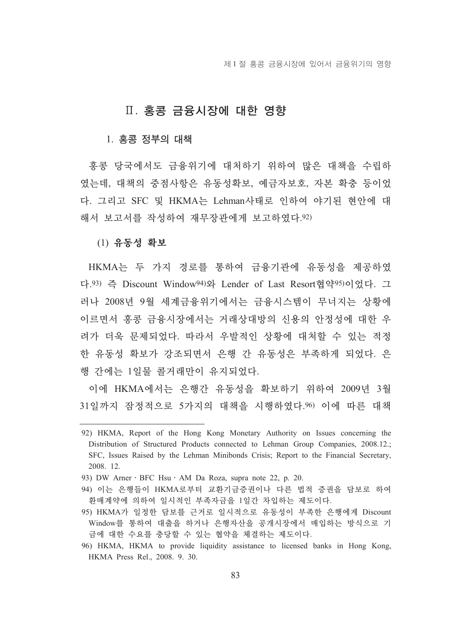### Ⅱ. 홍콩 금융시장에 대한 영향

1. 홍콩 정부의 대책

홍콩 당국에서도 금융위기에 대처하기 위하여 많은 대책을 수립하 였는데, 대책의 중점사항은 유동성확보, 예금자보호, 자본 확충 등이었 다. 그리고 SFC 및 HKMA는 Lehman사태로 인하여 야기된 현안에 대 해서 보고서를 작성하여 재무장관에게 보고하였다.92)

(1) 유동성 확보

HKMA는 두 가지 경로를 통하여 금융기관에 유동성을 제공하였 다.93) 즉 Discount Window<sup>94)</sup>와 Lender of Last Resort협약<sup>95)</sup>이었다. 그 러나 2008년 9월 세계금융위기에서는 금융시스템이 무너지는 상황에 이르면서 홍콩 금융시장에서는 거래상대방의 신용의 안정성에 대한 우 려가 더욱 문제되었다. 따라서 우발적인 상황에 대처할 수 있는 적정 한 유동성 확보가 강조되면서 은행 간 유동성은 부족하게 되었다. 은 행 간에는 1일물 콜거래만이 유지되었다.

이에 HKMA에서는 은행간 유동성을 확보하기 위하여 2009년 3월 31일까지 잠정적으로 5가지의 대책을 시행하였다. 96) 이에 따른 대책

<sup>92)</sup> HKMA, Report of the Hong Kong Monetary Authority on Issues concerning the Distribution of Structured Products connected to Lehman Group Companies, 2008.12.; SFC, Issues Raised by the Lehman Minibonds Crisis; Report to the Financial Secretary, 2008. 12.

<sup>93)</sup> DW Arner · BFC Hsu · AM Da Roza, supra note 22, p. 20.

<sup>94)</sup> 이는 은행들이 HKMA로부터 교화기금증권이나 다른 법적 증권을 담보로 하여 환매계약에 의하여 일시적인 부족자금을 1일간 차입하는 제도이다.

<sup>95)</sup> HKMA가 일정한 담보를 근거로 일시적으로 유동성이 부족한 은행에게 Discount Window를 통하여 대출을 하거나 은행자사을 공개시장에서 매입하는 방식으로 기 금에 대한 수요를 충당할 수 있는 협약을 체결하는 제도이다.

<sup>96)</sup> HKMA, HKMA to provide liquidity assistance to licensed banks in Hong Kong, HKMA Press Rel., 2008. 9. 30.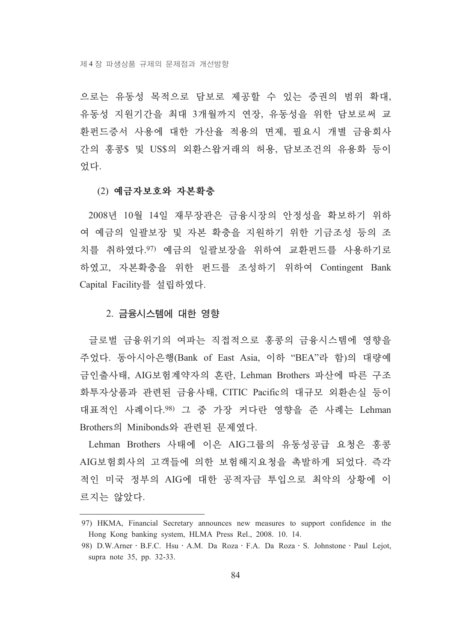으로는 유동성 목적으로 담보로 제공할 수 있는 증권의 범위 확대, 유동성 지원기간을 최대 3개월까지 연장, 유동성을 위한 담보로써 교 환펀드증서 사용에 대한 가산율 적용의 면제, 필요시 개별 금융회사 간의 홍콩S 및 USS의 외환스왑거래의 허용, 담보조건의 유용화 등이 었다.

#### (2) 예금자보호와 자본확충

2008년 10월 14일 재무장관은 금융시장의 안정성을 확보하기 위하 여 예금의 일괄보장 및 자본 확충을 지원하기 위한 기금조성 등의 조 치를 취하였다.97) 예금의 일괄보장을 위하여 교환펀드를 사용하기로 하였고, 자본확충을 위한 펀드를 조성하기 위하여 Contingent Bank Capital Facility를 설립하였다.

#### 2. 금융시스템에 대한 영향

글로벌 금융위기의 여파는 직접적으로 홍콩의 금융시스템에 영향을 주었다. 동아시아은행(Bank of East Asia, 이하 "BEA"라 함)의 대량예 금인출사태, AIG보험계약자의 혼란, Lehman Brothers 파산에 따른 구조 화투자상품과 관련된 금융사태, CITIC Pacific의 대규모 외환손실 등이 대표적인 사례이다. 98) 그 중 가장 커다란 영향을 준 사례는 Lehman Brothers의 Minibonds와 관련된 문제였다.

Lehman Brothers 사태에 이은 AIG그룹의 유동성공급 요청은 홍콩 AIG보험회사의 고객들에 의한 보험해지요청을 촉발하게 되었다. 즉각 적인 미국 정부의 AIG에 대한 공적자금 투입으로 최악의 상황에 이 르지는 않았다.

<sup>97)</sup> HKMA, Financial Secretary announces new measures to support confidence in the Hong Kong banking system, HLMA Press Rel., 2008. 10. 14.

<sup>98)</sup> D.W.Arner · B.F.C. Hsu · A.M. Da Roza · F.A. Da Roza · S. Johnstone · Paul Lejot. supra note 35, pp. 32-33.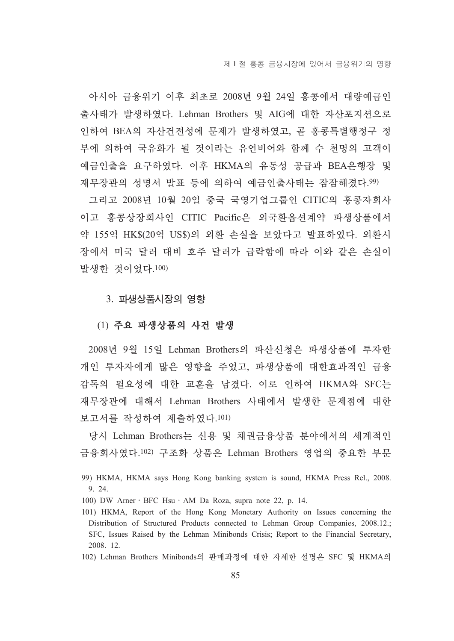아시아 금융위기 이후 최초로 2008년 9월 24일 홍콩에서 대량예금이 출사태가 발생하였다. Lehman Brothers 및 AIG에 대한 자산포지션으로 인하여 BEA의 자산건전성에 문제가 발생하였고, 곧 홍콩특별행정구 정 부에 의하여 국유화가 될 것이라는 유언비어와 함께 수 천명의 고객이 예금인출을 요구하였다. 이후 HKMA의 유동성 공급과 BEA은행장 및 재무장관의 성명서 발표 등에 의하여 예금인출사태는 잠잠해졌다.99)

그리고 2008년 10월 20일 중국 국영기업그룹인 CITIC의 홍콩자회사 이고 홍콩상장회사인 CITIC Pacific은 외국환옵션계약 파생상품에서 약 155억 HK\$(20억 US\$)의 외환 손실을 보았다고 발표하였다. 외환시 장에서 미국 달러 대비 호주 달러가 급락함에 따라 이와 같은 손실이 발생한 것이었다.100)

#### 3. 파생상품시장의 영향

#### (1) 주요 파생상품의 사건 발생

2008년 9월 15일 Lehman Brothers의 파사시청은 파생상품에 투자하 개인 투자자에게 많은 영향을 주었고, 파생상품에 대한효과적인 금융 감독의 필요성에 대한 교훈을 남겼다. 이로 인하여 HKMA와 SFC는 재무장관에 대해서 Lehman Brothers 사태에서 발생한 문제점에 대한 보고서를 작성하여 제출하였다.<sup>101)</sup>

당시 Lehman Brothers는 신용 및 채권금융상품 분야에서의 세계적인 금융회사였다.102) 구조화 상품은 Lehman Brothers 영업의 중요한 부문

<sup>99)</sup> HKMA, HKMA says Hong Kong banking system is sound, HKMA Press Rel., 2008. 9. 24.

<sup>100)</sup> DW Arner · BFC Hsu · AM Da Roza, supra note 22, p. 14.

<sup>101)</sup> HKMA, Report of the Hong Kong Monetary Authority on Issues concerning the Distribution of Structured Products connected to Lehman Group Companies, 2008.12.; SFC, Issues Raised by the Lehman Minibonds Crisis; Report to the Financial Secretary, 2008. 12.

<sup>102)</sup> Lehman Brothers Minibonds의 판매과정에 대한 자세한 설명은 SFC 및 HKMA의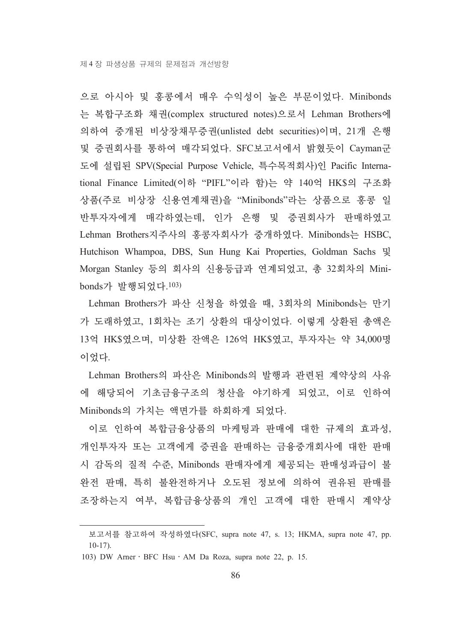으로 아시아 및 홍콩에서 매우 수익성이 높은 부문이었다. Minibonds 는 복합구조화 채권(complex structured notes)으로서 Lehman Brothers에 의하여 중개된 비상장채무증권(unlisted debt securities)이며, 21개 은행 및 증권회사를 통하여 매각되었다. SFC보고서에서 밝혔듯이 Cayman군 도에 설립된 SPV(Special Purpose Vehicle, 특수목적회사)인 Pacific International Finance Limited(이하 "PIFL"이라 함)는 약 140억 HK\$의 구조화 상품(주로 비상장 신용연계채권)을 "Minibonds"라는 상품으로 홍콩 일 반투자자에게 매각하였는데, 인가 은행 및 증권회사가 판매하였고 Lehman Brothers지주사의 홍콩자회사가 중개하였다. Minibonds는 HSBC, Hutchison Whampoa, DBS, Sun Hung Kai Properties, Goldman Sachs 및 Morgan Stanley 등의 회사의 신용등급과 연계되었고, 총 32회차의 Minibonds가 발행되었다. 103)

Lehman Brothers가 파산 신청을 하였을 때, 3회차의 Minibonds는 만기 가 도래하였고, 1회차는 조기 상환의 대상이었다. 이렇게 상환된 총액은 13억 HK\$였으며, 미상환 잔액은 126억 HK\$였고, 투자자는 약 34,000명 이었다.

Lehman Brothers의 파산은 Minibonds의 발행과 관련된 계약상의 사유 에 해당되어 기초금융구조의 청산을 야기하게 되었고, 이로 인하여 Minibonds의 가치는 액면가를 하회하게 되었다.

이로 인하여 복합금융상품의 마케팅과 판매에 대한 규제의 효과성. 개인투자자 또는 고객에게 증권을 판매하는 금융중개회사에 대한 판매 시 감독의 질적 수준, Minibonds 판매자에게 제공되는 판매성과급이 불 완전 판매, 특히 불완전하거나 오도된 정보에 의하여 권유된 판매를 조장하는지 여부, 복합금융상품의 개인 고객에 대한 판매시 계약상

보고서를 참고하여 작성하였다(SFC, supra note 47, s. 13; HKMA, supra note 47, pp.  $10-17$ ).

<sup>103)</sup> DW Arner · BFC Hsu · AM Da Roza, supra note 22, p. 15.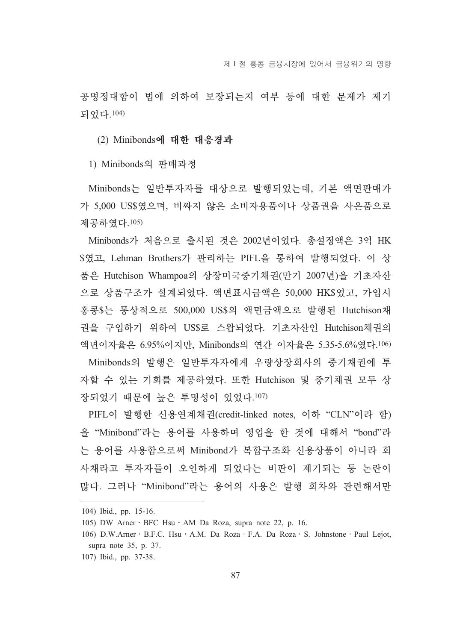공명정대함이 법에 의하여 보장되는지 여부 등에 대한 문제가 제기 되었다. 104)

(2) Minibonds에 대한 대응경과

1) Minibonds의 판매과정

Minibonds는 일반투자자를 대상으로 발행되었는데, 기본 액면판매가 가 5,000 US\$였으며, 비싸지 않은 소비자용품이나 상품권을 사은품으로 제공하였다. 105)

Minibonds가 처음으로 출시된 것은 2002년이었다. 총설정액은 3억 HK \$였고, Lehman Brothers가 관리하는 PIFL을 통하여 발행되었다. 이 상 품은 Hutchison Whampoa의 상장미국중기채권(만기 2007년)을 기초자산 으로 상품구조가 설계되었다. 액면표시금액은 50,000 HK\$였고, 가입시 홍콩\$는 통상적으로 500,000 US\$의 액면금액으로 발행된 Hutchison채 권을 구입하기 위하여 US\$로 스왑되었다. 기초자산인 Hutchison채권의 액면이자율은 6.95%이지만, Minibonds의 연간 이자율은 5.35-5.6%였다.106)

Minibonds의 발행은 일반투자자에게 우량상장회사의 중기채권에 투 자할 수 있는 기회를 제공하였다. 또한 Hutchison 및 중기채권 모두 상 장되었기 때문에 높은 투명성이 있었다.107)

PIFL이 발행한 신용연계채권(credit-linked notes, 이하 "CLN"이라 함) 을 "Minibond"라는 용어를 사용하며 영업을 한 것에 대해서 "bond"라 는 용어를 사용함으로써 Minibond가 복합구조화 신용상품이 아니라 회 사채라고 투자자들이 오인하게 되었다는 비판이 제기되는 등 논란이 많다. 그러나 "Minibond"라는 용어의 사용은 발행 회차와 관련해서만

<sup>104)</sup> Ibid., pp. 15-16.

<sup>105)</sup> DW Arner · BFC Hsu · AM Da Roza, supra note 22, p. 16.

<sup>106)</sup> D.W.Arner · B.F.C. Hsu · A.M. Da Roza · F.A. Da Roza · S. Johnstone · Paul Lejot, supra note  $35$ , p. 37.

<sup>107)</sup> Ibid., pp. 37-38.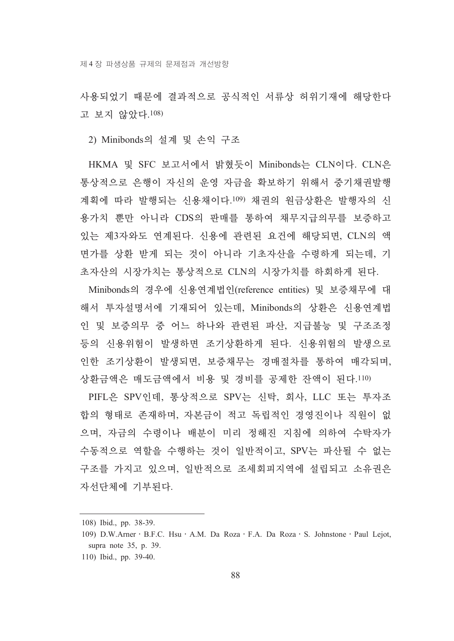사용되었기 때문에 결과적으로 공식적인 서류상 허위기재에 해당한다 고 보지 않았다.108)

2) Minibonds의 설계 및 손익 구조

HKMA 및 SFC 보고서에서 밝혔듯이 Minibonds는 CLN이다. CLN은 통상적으로 은행이 자신의 운영 자금을 확보하기 위해서 중기채권발행 계획에 따라 발행되는 신용채이다.109) 채권의 원금상환은 발행자의 신 용가치 뿐만 아니라 CDS의 판매를 통하여 채무지급의무를 보증하고 있는 제3자와도 연계된다. 신용에 관련된 요건에 해당되면, CLN의 액 면가를 상환 받게 되는 것이 아니라 기초자산을 수령하게 되는데, 기 초자산의 시장가치는 통상적으로 CLN의 시장가치를 하회하게 된다.

Minibonds의 경우에 신용연계법인(reference entities) 및 보증채무에 대 해서 투자설명서에 기재되어 있는데, Minibonds의 상환은 신용연계법 인 및 보증의무 중 어느 하나와 관련된 파산, 지급불능 및 구조조정 등의 신용위험이 발생하면 조기상환하게 된다. 신용위험의 발생으로 인한 조기상환이 발생되면, 보증채무는 경매절차를 통하여 매각되며, 상화금액은 매도금액에서 비용 및 경비를 공제한 자액이 되다.110)

PIFL을 SPV인데, 통상적으로 SPV는 신탁, 회사, LLC 또는 투자조 합의 형태로 존재하며, 자본금이 적고 독립적인 경영진이나 직원이 없 으며, 자금의 수령이나 배분이 미리 정해진 지침에 의하여 수탁자가 수동적으로 역할을 수행하는 것이 일반적이고, SPV는 파산될 수 없는 구조를 가지고 있으며, 일반적으로 조세회피지역에 설립되고 소유권은 자선단체에 기부된다.

<sup>108)</sup> Ibid., pp. 38-39.

<sup>109)</sup> D.W.Arner · B.F.C. Hsu · A.M. Da Roza · F.A. Da Roza · S. Johnstone · Paul Lejot, supra note  $35$ , p. 39.

<sup>110)</sup> Ibid., pp. 39-40.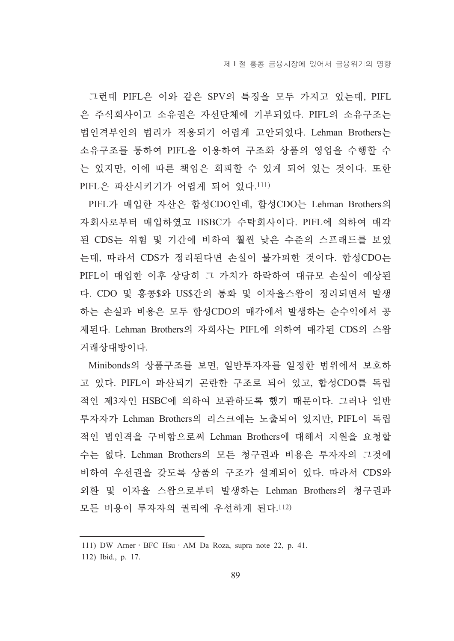그런데 PIFL은 이와 같은 SPV의 특징을 모두 가지고 있는데, PIFL 은 주식회사이고 소유권은 자선단체에 기부되었다. PIFL의 소유구조는 법인격부인의 법리가 적용되기 어렵게 고안되었다. Lehman Brothers는 소유구조를 통하여 PIFL을 이용하여 구조화 상품의 영업을 수행할 수 는 있지만, 이에 따른 책임은 회피할 수 있게 되어 있는 것이다. 또한 PIFL은 파산시키기가 어렵게 되어 있다.111)

PIFL가 매입한 자산은 합성CDO인데, 합성CDO는 Lehman Brothers의 자회사로부터 매입하였고 HSBC가 수탁회사이다. PIFL에 의하여 매각 된 CDS는 위험 및 기간에 비하여 훨씬 낮은 수준의 스프래드를 보였 는데, 따라서 CDS가 정리된다면 손실이 불가피한 것이다. 합성CDO는 PIFL이 매입한 이후 상당히 그 가치가 하락하여 대규모 손실이 예상된 다. CDO 및 홍콩\$와 US\$간의 통화 및 이자율스왑이 정리되면서 발생 하는 손실과 비용은 모두 합성CDO의 매각에서 발생하는 순수익에서 공 제된다. Lehman Brothers의 자회사는 PIFL에 의하여 매각된 CDS의 스왑 거래상대방이다.

Minibonds의 상품구조를 보면, 일반투자자를 일정한 범위에서 보호하 고 있다. PIFL이 파산되기 곤란한 구조로 되어 있고, 합성CDO를 독립 적인 제3자인 HSBC에 의하여 보관하도록 했기 때문이다. 그러나 일반 투자자가 Lehman Brothers의 리스크에는 노출되어 있지만, PIFL이 독립 적인 법인격을 구비함으로써 Lehman Brothers에 대해서 지워을 요청할 수는 없다. Lehman Brothers의 모든 청구권과 비용은 투자자의 그것에 비하여 우선권을 갖도록 상품의 구조가 설계되어 있다. 따라서 CDS와 외환 및 이자율 스왑으로부터 발생하는 Lehman Brothers의 청구권과 모든 비용이 투자자의 권리에 우선하게 된다.112)

<sup>111)</sup> DW Arner · BFC Hsu · AM Da Roza, supra note 22, p. 41.

<sup>112)</sup> Ibid., p. 17.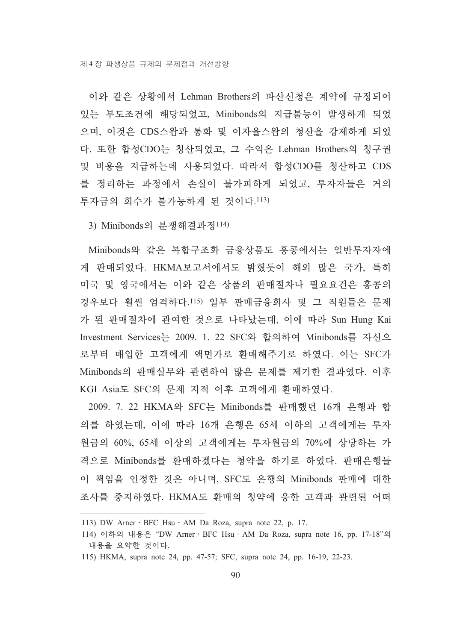이와 같은 상황에서 Lehman Brothers의 파사신청은 계약에 규정되어 있는 부도조건에 해당되었고, Minibonds의 지급불능이 발생하게 되었 으며, 이것은 CDS스왑과 통화 및 이자율스왑의 청산을 강제하게 되었 다. 또한 합성CDO는 청산되었고, 그 수익은 Lehman Brothers의 청구권 및 비용을 지급하는데 사용되었다. 따라서 합성CDO를 청산하고 CDS 를 정리하는 과정에서 손실이 불가피하게 되었고, 투자자들은 거의 투자금의 회수가 불가능하게 된 것이다.113)

3) Minibonds의 분쟁해결과정114)

Minibonds와 같은 복합구조화 금융상품도 홍콩에서는 일반투자자에 게 판매되었다. HKMA보고서에서도 밝혔듯이 해외 많은 국가, 특히 미국 및 영국에서는 이와 같은 상품의 판매절차나 필요요건은 홍콩의 경우보다 훨씬 엄격하다.115) 일부 판매금융회사 및 그 직원들은 문제 가 된 판매절차에 관여한 것으로 나타났는데, 이에 따라 Sun Hung Kai Investment Services는 2009. 1. 22 SFC와 합의하여 Minibonds를 자신으 로부터 매입한 고객에게 액면가로 환매해주기로 하였다. 이는 SFC가 Minibonds의 판매실무와 관련하여 많은 문제를 제기한 결과였다. 이후 KGI Asia도 SFC의 문제 지적 이후 고객에게 환매하였다.

2009. 7. 22 HKMA와 SFC는 Minibonds를 판매했던 16개 은행과 합 의를 하였는데, 이에 따라 16개 은행은 65세 이하의 고객에게는 투자 원금의 60%, 65세 이상의 고객에게는 투자원금의 70%에 상당하는 가 격으로 Minibonds를 환매하겠다는 청약을 하기로 하였다. 판매은행들 이 책임을 인정한 것은 아니며, SFC도 은행의 Minibonds 판매에 대한 조사를 중지하였다. HKMA도 화매의 첫약에 응한 고객과 과려되 어떠

<sup>113)</sup> DW Arner · BFC Hsu · AM Da Roza, supra note 22, p. 17.

<sup>114)</sup> 이하의 내용은 "DW Arner · BFC Hsu · AM Da Roza, supra note 16, pp. 17-18"의 내용을 요약한 것이다.

<sup>115)</sup> HKMA, supra note 24, pp. 47-57; SFC, supra note 24, pp. 16-19, 22-23.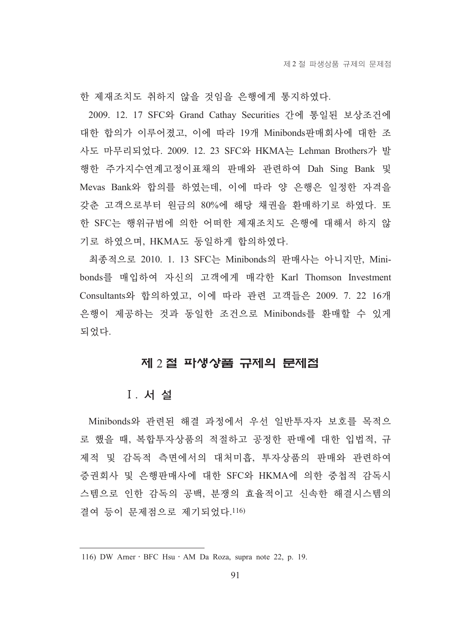한 제재조치도 취하지 않을 것임을 은행에게 통지하였다.

2009. 12. 17 SFC와 Grand Cathay Securities 간에 통일된 보상조건에 대한 합의가 이루어졌고, 이에 따라 19개 Minibonds판매회사에 대한 조 사도 마무리되었다. 2009. 12. 23 SFC와 HKMA는 Lehman Brothers가 발 행한 주가지수연계고정이표채의 판매와 관련하여 Dah Sing Bank 및 Mevas Bank와 합의를 하였는데, 이에 따라 양 은행은 일정한 자격을 갖춘 고객으로부터 원금의 80%에 해당 채권을 환매하기로 하였다. 또 한 SFC는 행위규범에 의한 어떠한 제재조치도 은행에 대해서 하지 않 기로 하였으며, HKMA도 동일하게 합의하였다.

최종적으로 2010. 1. 13 SFC는 Minibonds의 판매사는 아니지만, Minibonds를 매입하여 자신의 고객에게 매각한 Karl Thomson Investment Consultants와 합의하였고, 이에 따라 관련 고객들은 2009. 7. 22 16개 은행이 제공하는 것과 동일한 조건으로 Minibonds를 화매할 수 있게 되었다.

### 제 2 절 파생상품 규제의 문제점

#### Ⅰ. 서 설

Minibonds와 관련된 해결 과정에서 우선 일반투자자 보호를 목적으 로 했을 때, 복합투자상품의 적절하고 공정한 판매에 대한 입법적, 규 제적 및 감독적 측면에서의 대처미흡, 투자상품의 판매와 관련하여 증권회사 및 은행판매사에 대한 SFC와 HKMA에 의한 중첩적 감독시 스템으로 인한 감독의 공백, 분쟁의 효율적이고 신속한 해결시스템의 결여 등이 문제점으로 제기되었다. 116)

<sup>116)</sup> DW Arner · BFC Hsu · AM Da Roza, supra note 22, p. 19.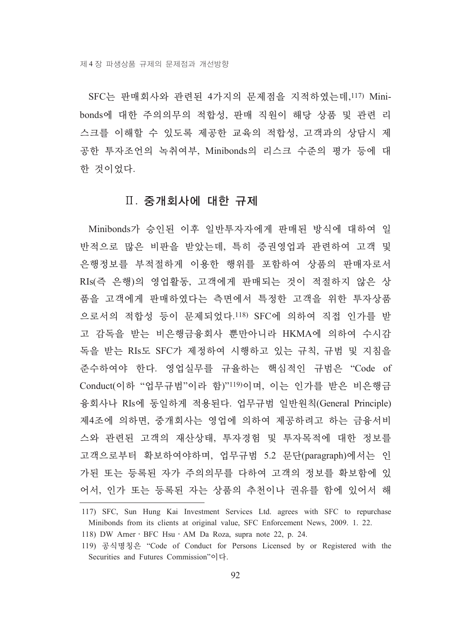SFC는 판매회사와 관련된 4가지의 문제점을 지적하였는데, 117) Minibonds에 대한 주의의무의 적합성, 판매 직원이 해당 상품 및 관련 리 스크를 이해할 수 있도록 제공한 교육의 적합성, 고객과의 상담시 제 공한 투자조언의 녹취여부, Minibonds의 리스크 수준의 평가 등에 대 한 것이었다.

### Ⅱ. 중개회사에 대한 규제

Minibonds가 승인된 이후 일반투자자에게 판매된 방식에 대하여 일 반적으로 많은 비판을 받았는데, 특히 증권영업과 관련하여 고객 및 은행정보를 부적절하게 이용한 행위를 포함하여 상품의 판매자로서 RIs(즉 은행)의 영업활동, 고객에게 판매되는 것이 적절하지 않은 상 품을 고객에게 판매하였다는 측면에서 특정한 고객을 위한 투자상품 으로서의 적합성 등이 문제되었다.<sup>118)</sup> SFC에 의하여 직접 인가를 받 고 감독을 받는 비은행금융회사 뿐만아니라 HKMA에 의하여 수시감 독을 받는 RIs도 SFC가 제정하여 시행하고 있는 규칙, 규범 및 지침을 준수하여야 한다. 영업실무를 규율하는 핵심적인 규범은 "Code of Conduct(이하 "업무규범"이라 함)"119)이며, 이는 인가를 받은 비은행금 융회사나 RIs에 동일하게 적용된다. 업무규범 일반원칙(General Principle) 제4조에 의하면, 중개회사는 영업에 의하여 제공하려고 하는 금융서비 스와 관련된 고객의 재산상태, 투자경험 및 투자목적에 대한 정보를 고객으로부터 확보하여야하며, 업무규범 5.2 문단(paragraph)에서는 인 가된 또는 등록된 자가 주의의무를 다하여 고객의 정보를 확보함에 있 어서, 인가 또는 등록된 자는 상품의 추천이나 권유를 함에 있어서 해

<sup>117)</sup> SFC, Sun Hung Kai Investment Services Ltd. agrees with SFC to repurchase Minibonds from its clients at original value, SFC Enforcement News, 2009. 1. 22.

<sup>118)</sup> DW Arner · BFC Hsu · AM Da Roza, supra note 22, p. 24.

<sup>119)</sup> 공식명칭은 "Code of Conduct for Persons Licensed by or Registered with the Securities and Futures Commission"이다.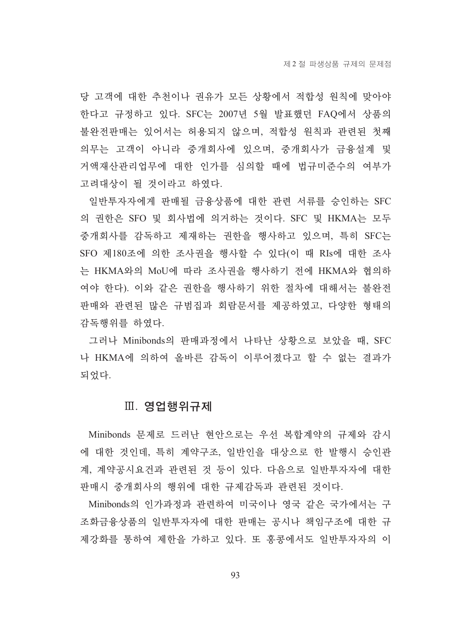당 고객에 대한 추천이나 권유가 모든 상황에서 적합성 원칙에 맞아야 한다고 규정하고 있다. SFC는 2007년 5월 발표했던 FAQ에서 상품의 불완전판매는 있어서는 허용되지 않으며, 적합성 원칙과 관련된 첫째 의무는 고객이 아니라 중개회사에 있으며, 중개회사가 금융설계 및 거액재산관리업무에 대한 인가를 심의할 때에 법규미준수의 여부가 고려대상이 될 것이라고 하였다.

일반투자자에게 판매될 금융상품에 대한 관련 서류를 승인하는 SFC 의 권한은 SFO 및 회사법에 의거하는 것이다. SFC 및 HKMA는 모두 중개회사를 감독하고 제재하는 권한을 행사하고 있으며, 특히 SFC는 SFO 제180조에 의한 조사권을 행사할 수 있다(이 때 RIs에 대한 조사 는 HKMA와의 MoU에 따라 조사권을 행사하기 전에 HKMA와 협의하 여야 한다). 이와 같은 권한을 행사하기 위한 절차에 대해서는 불완전 판매와 관련된 많은 규범집과 회람문서를 제공하였고, 다양한 형태의 감독행위를 하였다.

그러나 Minibonds의 판매과정에서 나타난 상황으로 보았을 때, SFC 나 HKMA에 의하여 올바른 감독이 이루어졌다고 할 수 없는 결과가 되었다.

#### Ⅲ. 영업행위규제

Minibonds 문제로 드러난 현안으로는 우선 복합계약의 규제와 감시 에 대한 것인데, 특히 계약구조, 일반인을 대상으로 한 발행시 승인관 계, 계약공시요건과 관련된 것 등이 있다. 다음으로 일반투자자에 대한 판매시 중개회사의 행위에 대한 규제감독과 관련된 것이다.

Minibonds의 인가과정과 관련하여 미국이나 영국 같은 국가에서는 구 조화금융상품의 일반투자자에 대한 판매는 공시나 책임구조에 대한 규 제강화를 통하여 제한을 가하고 있다. 또 홍콩에서도 일반투자자의 이

93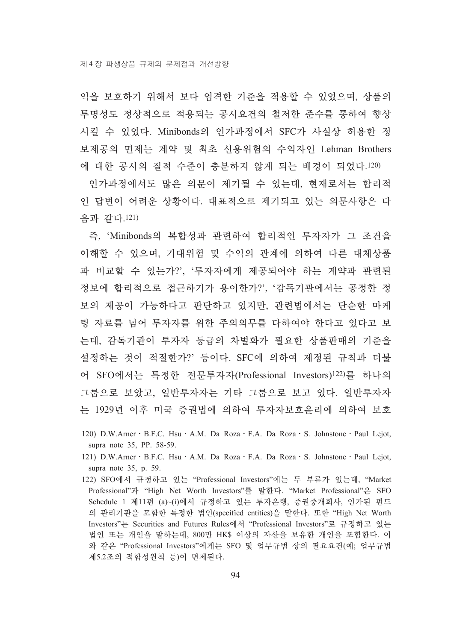익을 보호하기 위해서 보다 엄격한 기준을 적용할 수 있었으며, 상품의 투명성도 정상적으로 적용되는 공시요건의 철저한 준수를 통하여 향상 시킬 수 있었다. Minibonds의 인가과정에서 SFC가 사실상 허용한 정 보제공의 면제는 계약 및 최초 신용위험의 수익자인 Lehman Brothers 에 대한 공시의 질적 수준이 충분하지 않게 되는 배경이 되었다.120)

인가과정에서도 많은 의문이 제기될 수 있는데, 현재로서는 합리적 인 답변이 어려운 상황이다. 대표적으로 제기되고 있는 의문사항은 다 음과 같다.121)

즉, 'Minibonds의 복합성과 관련하여 합리적인 투자자가 그 조건을 이해할 수 있으며, 기대위험 및 수익의 관계에 의하여 다른 대체상품 과 비교할 수 있는가?' '투자자에게 제공되어야 하는 계약과 관련된 정보에 합리적으로 접근하기가 용이한가?'. '감독기관에서는 공정한 정 보의 제공이 가능하다고 판단하고 있지만, 관련법에서는 단순한 마케 팅 자료를 넘어 투자자를 위한 주의의무를 다하여야 한다고 있다고 보 는데, 감독기관이 투자자 등급의 차별화가 필요한 상품판매의 기준을 설정하는 것이 적절한가?' 등이다. SFC에 의하여 제정된 규칙과 더불 어 SFO에서는 특정한 전문투자자(Professional Investors)<sup>122)</sup>를 하나의 그룹으로 보았고, 일반투자자는 기타 그룹으로 보고 있다. 일반투자자 는 1929년 이후 미국 증권법에 의하여 투자자보호윤리에 의하여 보호

<sup>120)</sup> D.W.Arner · B.F.C. Hsu · A.M. Da Roza · F.A. Da Roza · S. Johnstone · Paul Lejot, supra note 35, PP. 58-59.

<sup>121)</sup> D.W.Arner · B.F.C. Hsu · A.M. Da Roza · F.A. Da Roza · S. Johnstone · Paul Lejot. supra note 35, p. 59.

<sup>122)</sup> SFO에서 규정하고 있는 "Professional Investors"에는 두 부류가 있는데, "Market Professional"과 "High Net Worth Investors"를 말한다. "Market Professional"은 SFO Schedule 1 제11편 (a)~(i)에서 규정하고 있는 투자은행, 증권중개회사, 인가된 펀드 의 관리기관을 포함한 특정한 법인(specified entities)을 말한다. 또한 "High Net Worth Investors"는 Securities and Futures Rules에서 "Professional Investors"로 규정하고 있는 법인 또는 개인을 말하는데, 800만 HK\$ 이상의 자산을 보유한 개인을 포함한다. 이 와 같은 "Professional Investors"에게는 SFO 및 업무규범 상의 필요요건(예; 업무규범 제5.2조의 적합성원칙 등)이 면제된다.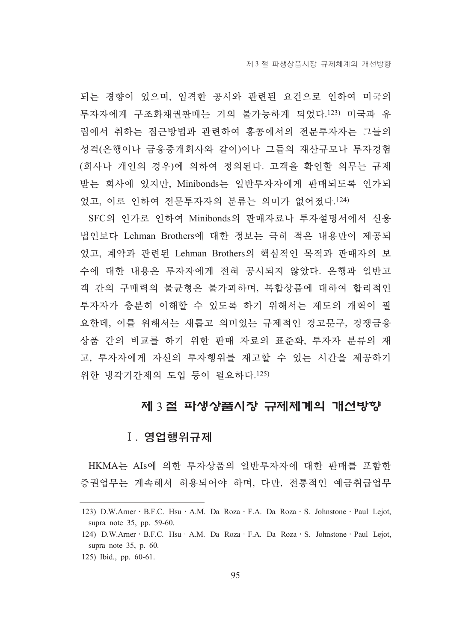되는 경향이 있으며, 엄격한 공시와 관련된 요건으로 인하여 미국의 투자자에게 구조화채권판매는 거의 불가능하게 되었다.123) 미국과 유 럽에서 취하는 접근방법과 관련하여 홍콩에서의 전문투자자는 그들의 성격(은행이나 금융중개회사와 같이)이나 그들의 재산규모나 투자경험 (회사나 개인의 경우)에 의하여 정의된다. 고객을 확인할 의무는 규제 받는 회사에 있지만, Minibonds는 일반투자자에게 판매되도록 인가되 었고, 이로 인하여 전문투자자의 분류는 의미가 없어졌다.124)

SFC의 인가로 인하여 Minibonds의 판매자료나 투자설명서에서 신용 법인보다 Lehman Brothers에 대한 정보는 극히 적은 내용만이 제공되 었고, 계약과 관련된 Lehman Brothers의 핵심적인 목적과 판매자의 보 수에 대한 내용은 투자자에게 저혀 공시되지 않았다. 은행과 일반고 객 간의 구매력의 불규형은 불가피하며, 복합상품에 대하여 합리적인 투자자가 충분히 이해할 수 있도록 하기 위해서는 제도의 개혁이 필 요한데, 이를 위해서는 새롭고 의미있는 규제적인 경고문구, 경쟁금융 상품 간의 비교를 하기 위한 판매 자료의 표준화, 투자자 분류의 재 고, 투자자에게 자신의 투자행위를 재고할 수 있는 시간을 제공하기 위한 냉각기간제의 도입 등이 필요하다.125)

## 제 3 절 파생상품시장 규제체계의 개선방향

#### Ⅰ. 영업행위규제

HKMA는 AIs에 의한 투자상품의 일반투자자에 대한 판매를 포함한 증권업무는 계속해서 허용되어야 하며, 다만, 전통적인 예금취급업무

<sup>123)</sup> D.W.Arner · B.F.C. Hsu · A.M. Da Roza · F.A. Da Roza · S. Johnstone · Paul Lejot, supra note 35, pp. 59-60.

<sup>124)</sup> D.W.Arner · B.F.C. Hsu · A.M. Da Roza · F.A. Da Roza · S. Johnstone · Paul Lejot, supra note  $35$ , p. 60.

<sup>125)</sup> Ibid., pp. 60-61.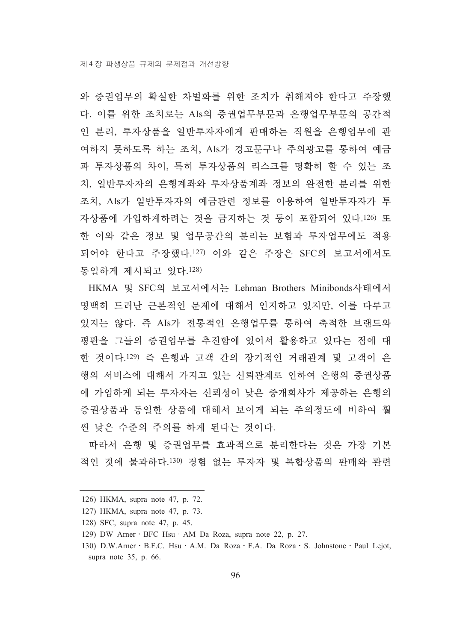와 증권업무의 확실한 차별화를 위한 조치가 취해져야 한다고 주장했 다. 이를 위한 조치로는 AIs의 증권업무부문과 은행업무부문의 공간적 인 분리, 투자상품을 일반투자자에게 판매하는 직원을 은행업무에 관 여하지 못하도록 하는 조치, AIs가 경고문구나 주의광고를 통하여 예금 과 투자상품의 차이, 특히 투자상품의 리스크를 명확히 할 수 있는 조 치, 일반투자자의 은행계좌와 투자상품계좌 정보의 완전한 분리를 위한 조치, AIs가 일반투자자의 예금관련 정보를 이용하여 일반투자자가 투 자상품에 가입하게하려는 것을 금지하는 것 등이 포함되어 있다.126) 또 한 이와 같은 정보 및 업무공간의 분리는 보험과 투자업무에도 적용 되어야 한다고 주장했다.127) 이와 같은 주장은 SFC의 보고서에서도 동일하게 제시되고 있다.128)

HKMA 및 SFC의 보고서에서는 Lehman Brothers Minibonds사태에서 명백히 드러난 근본적인 문제에 대해서 인지하고 있지만, 이를 다루고 있지는 않다. 즉 AIs가 전통적인 은행업무를 통하여 축적한 브랜드와 평판을 그들의 증권업무를 추진함에 있어서 활용하고 있다는 점에 대 한 것이다.129) 즉 은행과 고객 간의 장기적인 거래관계 및 고객이 은 행의 서비스에 대해서 가지고 있는 신뢰관계로 인하여 은행의 증권상품 에 가입하게 되는 투자자는 신뢰성이 낮은 중개회사가 제공하는 은행의 증권상품과 동일한 상품에 대해서 보이게 되는 주의정도에 비하여 훨 씬 낮은 수준의 주의를 하게 된다는 것이다.

따라서 은행 및 증권업무를 효과적으로 분리한다는 것은 가장 기본 적인 것에 불과하다.130) 경험 없는 투자자 및 복합상품의 판매와 관련

<sup>126)</sup> HKMA, supra note 47, p. 72.

<sup>127)</sup> HKMA, supra note 47, p. 73.

<sup>128)</sup> SFC, supra note 47, p. 45.

<sup>129)</sup> DW Arner · BFC Hsu · AM Da Roza, supra note 22, p. 27.

<sup>130)</sup> D.W.Arner · B.F.C. Hsu · A.M. Da Roza · F.A. Da Roza · S. Johnstone · Paul Lejot. supra note  $35$ , p. 66.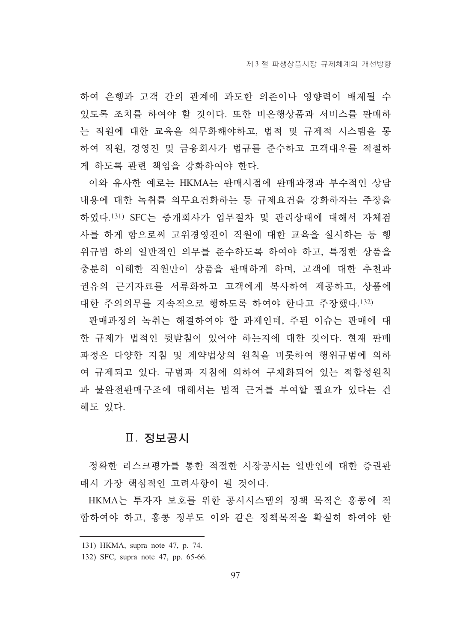하여 은행과 고객 간의 과계에 과도한 의존이나 영향력이 배제될 수 있도록 조치를 하여야 할 것이다. 또한 비은행상품과 서비스를 판매하 는 직원에 대한 교육을 의무화해야하고, 법적 및 규제적 시스템을 통 하여 직원, 경영진 및 금융회사가 법규를 준수하고 고객대우를 적절하 게 하도록 관련 책임을 강화하여야 한다.

이와 유사한 예로는 HKMA는 판매시점에 판매과정과 부수적인 상담 내용에 대한 녹취를 의무요건화하는 등 규제요건을 강화하자는 주장을 하였다.131) SFC는 중개회사가 업무절차 및 관리상태에 대해서 자체검 사를 하게 함으로써 고위경영진이 직원에 대한 교육을 실시하는 등 행 위규범 하의 일반적인 의무를 준수하도록 하여야 하고, 특정한 상품을 충분히 이해한 직원만이 상품을 판매하게 하며, 고객에 대한 추천과 권유의 근거자료를 서류화하고 고객에게 복사하여 제공하고, 상품에 대한 주의의무를 지속적으로 행하도록 하여야 한다고 주장했다.132)

판매과정의 녹취는 해결하여야 할 과제인데, 주된 이슈는 판매에 대 한 규제가 법적인 뒷받침이 있어야 하는지에 대한 것이다. 현재 판매 과정은 다양한 지침 및 계약법상의 원칙을 비롯하여 행위규범에 의하 여 규제되고 있다. 규범과 지침에 의하여 구체화되어 있는 적합성원칙 과 불완전판매구조에 대해서는 법적 근거를 부여할 필요가 있다는 견 해도 있다.

### Ⅱ. 정보공시

정확한 리스크평가를 통한 적절한 시장공시는 일반인에 대한 증권판 매시 가장 핵심적인 고려사항이 될 것이다.

HKMA는 투자자 보호를 위한 공시시스템의 정책 목적은 홍콩에 적 합하여야 하고, 홍콩 정부도 이와 같은 정책목적을 확실히 하여야 한

<sup>131)</sup> HKMA, supra note 47, p. 74.

<sup>132)</sup> SFC, supra note 47, pp. 65-66.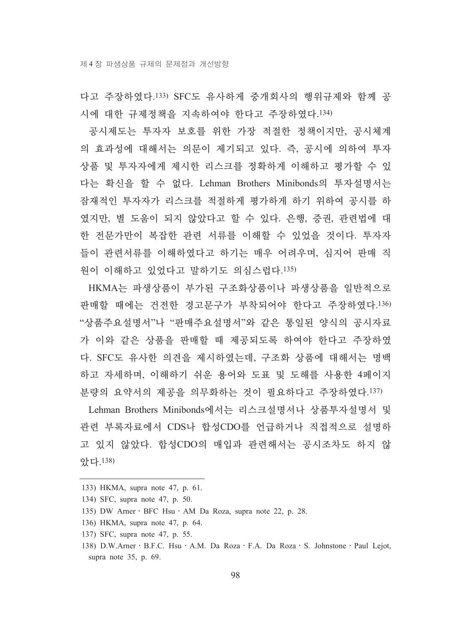다고 주장하였다.133) SFC도 유사하게 중개회사의 행위규제와 함께 공 시에 대한 규제정책을 지속하여야 한다고 주장하였다.134)

공시제도는 투자자 보호를 위한 가장 적절한 정책이지만, 공시체계 의 효과성에 대해서는 의문이 제기되고 있다. 즉, 공시에 의하여 투자 상품 및 투자자에게 제시한 리스크를 정확하게 이해하고 평가할 수 있 다는 확신을 할 수 없다. Lehman Brothers Minibonds의 투자설명서는 잠재적인 투자자가 리스크를 적절하게 평가하게 하기 위하여 공시를 하 였지만, 별 도움이 되지 않았다고 할 수 있다. 은행, 증권, 관련법에 대 한 전문가만이 복잡한 관련 서류를 이해할 수 있었을 것이다. 투자자 들이 관련서류를 이해하였다고 하기는 매우 어려우며, 심지어 판매 직 워이 이해하고 있었다고 말하기도 의심스럽다.135)

HKMA는 파생상품이 부가된 구조화상품이나 파생상품을 일반적으로 판매할 때에는 거전한 경고문구가 부착되어야 한다고 주장하였다.136) "상품주요설명서"나 "판매주요설명서"와 같은 통일된 양식의 공시자료 가 이와 같은 상품을 판매할 때 제공되도록 하여야 한다고 주장하였 다. SFC도 유사한 의견을 제시하였는데, 구조화 상품에 대해서는 명백 하고 자세하며, 이해하기 쉬운 용어와 도표 및 도해를 사용한 4페이지 분량의 요약서의 제공을 의무화하는 것이 필요하다고 주장하였다.137)

Lehman Brothers Minibonds에서는 리스크설명서나 상품투자설명서 및 관련 부록자료에서 CDS나 합성CDO를 언급하거나 직접적으로 설명하 고 있지 않았다. 합성CDO의 매입과 관련해서는 공시조차도 하지 않 았다. 138)

<sup>133)</sup> HKMA, supra note 47, p. 61.

<sup>134)</sup> SFC, supra note 47, p. 50.

<sup>135)</sup> DW Arner · BFC Hsu · AM Da Roza, supra note 22, p. 28.

<sup>136)</sup> HKMA, supra note 47, p. 64.

<sup>137)</sup> SFC, supra note 47, p. 55.

<sup>138)</sup> D.W.Arner · B.F.C. Hsu · A.M. Da Roza · F.A. Da Roza · S. Johnstone · Paul Lejot. supra note  $35$ , p. 69.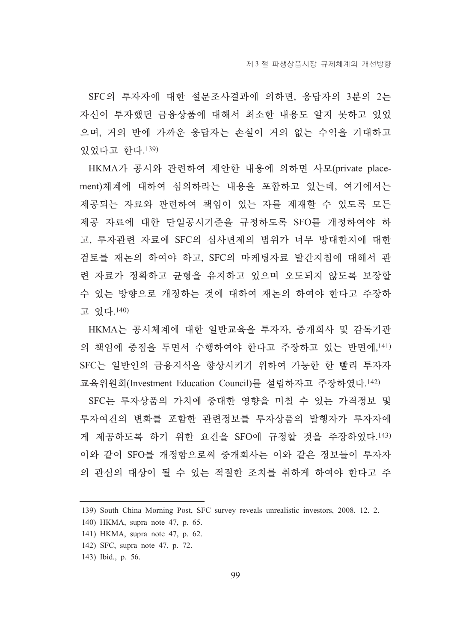SFC의 투자자에 대한 설문조사결과에 의하면, 응답자의 3분의 2는 자신이 투자했던 금융상품에 대해서 최소한 내용도 알지 못하고 있었 으며, 거의 반에 가까운 응답자는 손실이 거의 없는 수익을 기대하고 있었다고 한다.139)

HKMA가 공시와 관련하여 제안한 내용에 의하면 사모(private placement)체계에 대하여 심의하라는 내용을 포함하고 있는데, 여기에서는 제공되는 자료와 관련하여 책임이 있는 자를 제재할 수 있도록 모든 제공 자료에 대한 단일공시기준을 규정하도록 SFO를 개정하여야 하 고, 투자관련 자료에 SFC의 심사면제의 범위가 너무 방대한지에 대한 검토를 재논의 하여야 하고, SFC의 마케팅자료 발간지침에 대해서 관 련 자료가 정확하고 균형을 유지하고 있으며 오도되지 않도록 보장할 수 있는 방향으로 개정하는 것에 대하여 재논의 하여야 한다고 주장하 고 있다.140)

HKMA는 공시체계에 대한 일반교육을 투자자, 중개회사 및 감독기관 의 책임에 중점을 두면서 수행하여야 한다고 주장하고 있는 반면에 141) SFC는 일반인의 금융지식을 향상시키기 위하여 가능한 한 빨리 투자자 교육위원회(Investment Education Council)를 설립하자고 주장하였다.<sup>142)</sup>

SFC는 투자상품의 가치에 중대한 영향을 미칠 수 있는 가격정보 및 투자여건의 변화를 포함한 관련정보를 투자상품의 발행자가 투자자에 게 제공하도록 하기 위한 요건을 SFO에 규정할 것을 주장하였다. 143) 이와 같이 SFO를 개정함으로써 중개회사는 이와 같은 정보들이 투자자 의 관심의 대상이 될 수 있는 적절한 조치를 취하게 하여야 한다고 주

<sup>139)</sup> South China Morning Post, SFC survey reveals unrealistic investors, 2008. 12. 2.

<sup>140)</sup> HKMA, supra note 47, p. 65.

<sup>141)</sup> HKMA, supra note 47, p. 62.

<sup>142)</sup> SFC, supra note 47, p. 72.

<sup>143)</sup> Ibid., p. 56.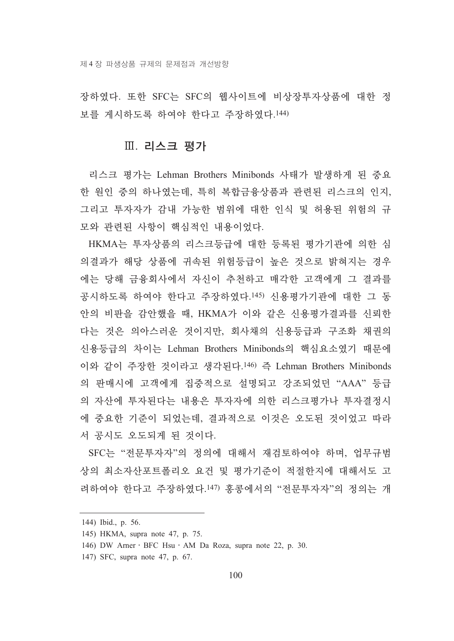장하였다. 또한 SFC는 SFC의 웹사이트에 비상장투자상품에 대한 정 보를 게시하도록 하여야 한다고 주장하였다.144)

#### Ⅲ. 리스크 평가

리스크 평가는 Lehman Brothers Minibonds 사태가 발생하게 된 중요 한 원인 중의 하나였는데, 특히 복합금융상품과 관련된 리스크의 인지, 그리고 투자자가 감내 가능한 범위에 대한 인식 및 허용된 위험의 규 모와 관련된 사항이 핵심적인 내용이었다.

HKMA는 투자상품의 리스크등급에 대한 등록된 평가기관에 의한 심 의결과가 해당 상품에 귀속된 위험등급이 높은 것으로 밝혀지는 경우 에는 당해 금융회사에서 자신이 추천하고 매각한 고객에게 그 결과를 공시하도록 하여야 한다고 주장하였다.145) 신용평가기관에 대한 그 동 아의 비판을 갂안했을 때, HKMA가 이와 같은 신용평가결과를 신뢰한 다는 것은 의아스러운 것이지만, 회사채의 신용등급과 구조화 채권의 신용등급의 차이는 Lehman Brothers Minibonds의 핵심요소였기 때문에 이와 같이 주장한 것이라고 생각된다.146) 즉 Lehman Brothers Minibonds 의 판매시에 고객에게 집중적으로 설명되고 강조되었던 "AAA" 등급 의 자산에 투자된다는 내용은 투자자에 의한 리스크평가나 투자결정시 에 중요한 기준이 되었는데, 결과적으로 이것은 오도된 것이었고 따라 서 공시도 오도되게 된 것이다.

SFC는 "전문투자자"의 정의에 대해서 재검토하여야 하며, 업무규범 상의 최소자산포트폴리오 요건 및 평가기준이 적절한지에 대해서도 고 려하여야 한다고 주장하였다.147) 홍콩에서의 "전문투자자"의 정의는 개

<sup>144)</sup> Ibid., p. 56.

<sup>145)</sup> HKMA, supra note 47, p. 75.

<sup>146)</sup> DW Arner · BFC Hsu · AM Da Roza, supra note 22, p. 30.

<sup>147)</sup> SFC, supra note 47, p. 67.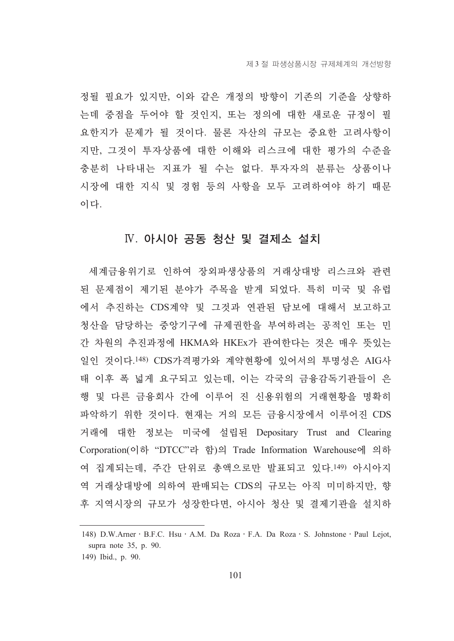정될 필요가 있지만, 이와 같은 개정의 방향이 기존의 기준을 상향하 는데 중점을 두어야 할 것인지, 또는 정의에 대한 새로운 규정이 필 요한지가 문제가 될 것이다. 물론 자산의 규모는 중요한 고려사항이 지만, 그것이 투자상품에 대한 이해와 리스크에 대한 평가의 수준을 충분히 나타내는 지표가 될 수는 없다. 투자자의 분류는 상품이나 시장에 대한 지식 및 경험 등의 사항을 모두 고려하여야 하기 때문 이다.

## IV. 아시아 공동 청산 및 결제소 설치

세계금융위기로 인하여 장외파생상품의 거래상대방 리스크와 관련 된 문제점이 제기된 분야가 주목을 받게 되었다. 특히 미국 및 유럽 에서 추진하는 CDS계약 및 그것과 연관된 담보에 대해서 보고하고 청산을 담당하는 중앙기구에 규제권한을 부여하려는 공적인 또는 민 간 차원의 추진과정에 HKMA와 HKEx가 관여한다는 것은 매우 뜻있는 일인 것이다.<sup>148)</sup> CDS가격평가와 계약현황에 있어서의 투명성은 AIG사 태 이후 폭 넓게 요구되고 있는데, 이는 각국의 금융감독기관들이 은 행 및 다른 금융회사 간에 이루어 진 신용위험의 거래현황을 명확히 파악하기 위한 것이다. 현재는 거의 모든 금융시장에서 이루어진 CDS 거래에 대한 정보는 미국에 설립된 Depositary Trust and Clearing Corporation(이하 "DTCC"라 함)의 Trade Information Warehouse에 의하 여 집계되는데, 주간 단위로 총액으로만 발표되고 있다.149) 아시아지 역 거래상대방에 의하여 판매되는 CDS의 규모는 아직 미미하지만, 향 후 지역시장의 규모가 성장하다면. 아시아 청사 및 결제기과을 설치하

<sup>148)</sup> D.W.Arner · B.F.C. Hsu · A.M. Da Roza · F.A. Da Roza · S. Johnstone · Paul Lejot, supra note  $35$ , p. 90.

<sup>149)</sup> Ibid., p. 90.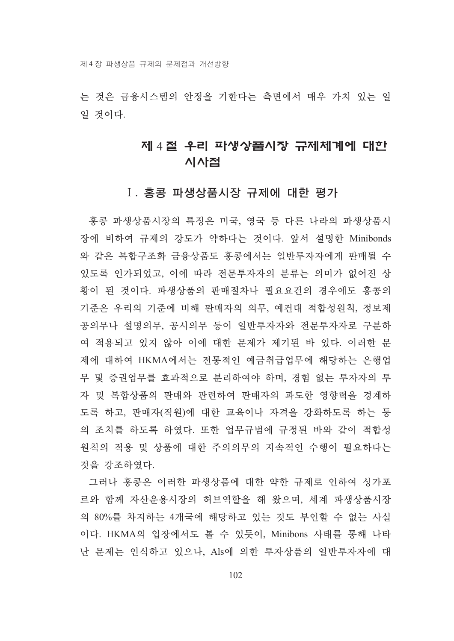는 것은 금융시스템의 안정을 기한다는 측면에서 매우 가치 있는 일 일 것이다.

## 제 4절 우리 파생상품시장 규제체계에 대한 시사점

### I. 홍콩 파생상품시장 규제에 대한 평가

홍콩 파생상품시장의 특징은 미국, 영국 등 다른 나라의 파생상품시 장에 비하여 규제의 강도가 약하다는 것이다. 앞서 설명한 Minibonds 와 같은 복합구조화 금융상품도 홍콩에서는 일반투자자에게 판매될 수 있도록 인가되었고, 이에 따라 전문투자자의 분류는 의미가 없어진 상 황이 된 것이다. 파생상품의 판매절차나 필요요건의 경우에도 홍콩의 기준은 우리의 기준에 비해 판매자의 의무, 예컨대 적합성원칙, 정보제 공의무나 설명의무, 공시의무 등이 일반투자자와 전문투자자로 구분하 여 적용되고 있지 않아 이에 대한 문제가 제기된 바 있다. 이러한 문 제에 대하여 HKMA에서는 전통적인 예금취급업무에 해당하는 은행업 무 및 증권업무를 효과적으로 분리하여야 하며, 경험 없는 투자자의 투 자 및 복합상품의 판매와 관련하여 판매자의 과도한 영향력을 경계하 도록 하고, 판매자(직원)에 대한 교육이나 자격을 강화하도록 하는 등 의 조치를 하도록 하였다. 또한 업무규범에 규정되 바와 같이 적합성 워칙의 적용 및 상품에 대한 주의의무의 지속적인 수행이 필요하다는 것을 강조하였다.

그러나 홍콩은 이러한 파생상품에 대한 약한 규제로 인하여 싱가포 르와 함께 자산운용시장의 허브역할을 해 왔으며, 세계 파생상품시장 의 80%를 차지하는 4개국에 해당하고 있는 것도 부인할 수 없는 사실 이다. HKMA의 입장에서도 볼 수 있듯이, Minibons 사태를 통해 나타 난 문제는 인식하고 있으나, Als에 의한 투자상품의 일반투자자에 대

102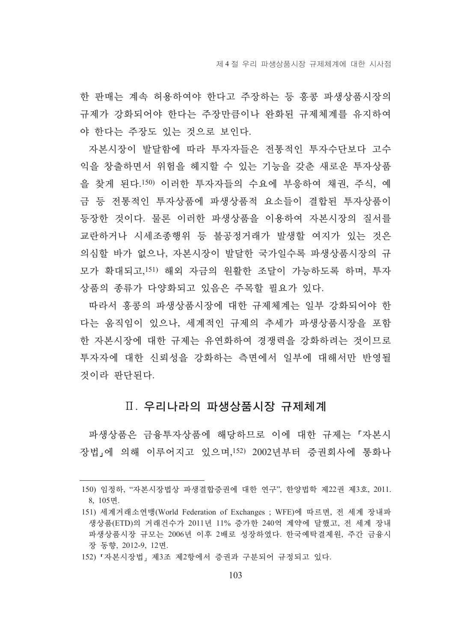한 판매는 계속 허용하여야 한다고 주장하는 등 홍콩 파생상품시장의 규제가 강화되어야 한다는 주장만큼이나 완화된 규제체계를 유지하여 야 한다는 주장도 있는 것으로 보인다.

자본시장이 발달함에 따라 투자자들은 전통적인 투자수단보다 고수 익을 창출하면서 위험을 헤지할 수 있는 기능을 갖춘 새로운 투자상품 을 찾게 된다.<sup>150)</sup> 이러한 투자자들의 수요에 부응하여 채권, 주식, 예 금 등 전통적인 투자상품에 파생상품적 요소들이 결합된 투자상품이 등장한 것이다. 물론 이러한 파생상품을 이용하여 자본시장의 질서를 교란하거나 시세조종행위 등 불공정거래가 발생할 여지가 있는 것은 의심할 바가 없으나, 자본시장이 발달한 국가일수록 파생상품시장의 규 모가 확대되고 151) 해외 자금의 워활한 조달이 가능하도록 하며, 투자 상품의 종류가 다양화되고 있음은 주목할 필요가 있다.

따라서 홍콩의 파생상품시장에 대한 규제체계는 일부 강화되어야 한 다는 움직임이 있으나, 세계적인 규제의 추세가 파생상품시장을 포함 한 자본시장에 대한 규제는 유연화하여 경쟁력을 강화하려는 것이므로 투자자에 대한 신뢰성을 강화하는 측면에서 일부에 대해서만 반영될 것이라 판단된다.

## Ⅱ. 우리나라의 파생상품시장 규제체계

파생상품은 금융투자상품에 해당하므로 이에 대한 규제는 「자본시 장법」에 의해 이루어지고 있으며,152) 2002년부터 증권회사에 통화나

<sup>150)</sup> 임정하, "자본시장법상 파생결합증권에 대한 연구", 한양법학 제22권 제3호, 2011. 8, 105면.

<sup>151)</sup> 세계거래소연맹(World Federation of Exchanges ; WFE)에 따르면, 전 세계 장내파 생상품(ETD)의 거래건수가 2011년 11% 증가한 240억 계약에 달했고, 전 세계 장내 파생상품시장 규모는 2006년 이후 2배로 성장하였다. 한국예탁결제원, 주간 금융시 장 동향, 2012-9, 12면.

<sup>152) 『</sup>자본시장법』제3조 제2항에서 증권과 구분되어 규정되고 있다.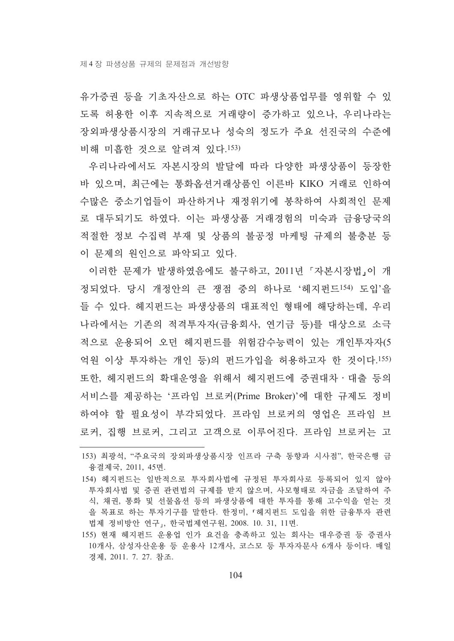유가증권 등을 기초자사으로 하는 OTC 파생상품업무를 영위할 수 있 도록 허용한 이후 지속적으로 거래량이 증가하고 있으나, 우리나라는 장외파생상품시장의 거래규모나 성숙의 정도가 주요 선진국의 수주에 비해 미흡한 것으로 알려져 있다.153)

우리나라에서도 자본시장의 발달에 따라 다양한 파생상품이 등장한 바 있으며, 최근에는 통화옵션거래상품인 이른바 KIKO 거래로 인하여 수많은 중소기업들이 파산하거나 재정위기에 봉착하여 사회적인 문제 로 대두되기도 하였다. 이는 파생상품 거래경험의 미숙과 금융당국의 적절한 정보 수집력 부재 및 상품의 불공정 마케팅 규제의 불충분 등 이 문제의 원인으로 파악되고 있다.

이러한 무제가 발생하였음에도 불구하고, 2011년 「자본시장법」이 개 정되었다. 당시 개정안의 큰 쟁점 중의 하나로 '헤지펀드154) 도입'을 들 수 있다. 헤지펀드는 파생상품의 대표적인 형태에 해당하는데, 우리 나라에서는 기존의 적격투자자(금융회사, 연기금 등)를 대상으로 소극 적으로 운용되어 오던 헤지펀드를 위험감수능력이 있는 개인투자자(5 억원 이상 투자하는 개인 등)의 펀드가입을 허용하고자 한 것이다.<sup>155)</sup> 또한, 헤지펀드의 확대운영을 위해서 헤지펀드에 증권대차ㆍ대출 등의 서비스를 제공하는 '프라임 브로커(Prime Broker)'에 대한 규제도 정비 하여야 할 필요성이 부각되었다. 프라임 브로커의 영업은 프라임 브 로커, 집행 브로커, 그리고 고객으로 이루어진다. 프라임 브로커는 고

<sup>153)</sup> 최광석, "주요국의 장외파생상품시장 인프라 구축 동향과 시사점", 한국은행 금 융결제국, 2011, 45면.

<sup>154)</sup> 헤지펀드는 일반적으로 투자회사법에 규정된 투자회사로 등록되어 있지 않아 투자회사법 및 증권 관련법의 규제를 받지 않으며, 사모형태로 자금을 조달하여 주 식, 채권, 통화 및 선물옵션 등의 파생상품에 대한 투자를 통해 고수익을 얻는 것 을 목표로 하는 투자기구를 말한다. 한정미, 「헤지펀드 도입을 위한 금융투자 관련 법제 정비방안 연구」, 한국법제연구원, 2008. 10. 31, 11면.

<sup>155)</sup> 현재 헤지펀드 운용업 인가 요건을 충족하고 있는 회사는 대우증권 등 증권사 10개사, 삼성자산운용 등 운용사 12개사, 코스모 등 투자자문사 6개사 등이다. 매일 경제, 2011. 7. 27. 참조.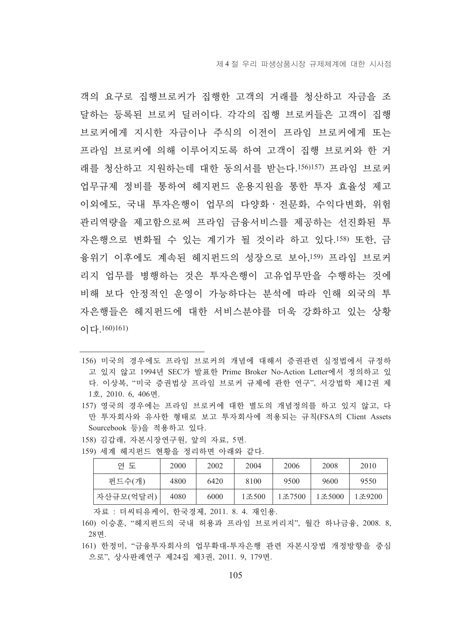객의 요구로 집행브로커가 집행한 고객의 거래를 청사하고 자금을 조 달하는 등록된 브로커 딜러이다. 각각의 집행 브로커들은 고객이 집행 브로커에게 지시한 자금이나 주식의 이전이 프라임 브로커에게 또는 프라임 브로커에 의해 이루어지도록 하여 고객이 집행 브로커와 한 거 래를 청산하고 지원하는데 대한 동의서를 받는다.!56)157) 프라임 브로커 업무규제 정비를 통하여 헤지펀드 운용지원을 통한 투자 효율성 제고 이외에도, 국내 투자은행이 업무의 다양화 · 저무화, 수익다변화, 위험 관리역량을 제고함으로써 프라임 금융서비스를 제공하는 선진화된 투 자은행으로 변화될 수 있는 계기가 될 것이라 하고 있다.158) 또한, 금 융위기 이후에도 계속되 헤지펀드의 성장으로 보아 159) 프라임 브로커 리지 업무를 병행하는 것은 투자은행이 고유업무만을 수행하는 것에 비해 보다 안정적인 운영이 가능하다는 분석에 따라 인해 외국의 투 자은행들은 헤지펀드에 대한 서비스분야를 더욱 강화하고 있는 상황 이다. 160)161)

- 156) 미국의 경우에도 프라임 브로커의 개념에 대해서 증권과려 실정법에서 규정하 고 있지 않고 1994년 SEC가 발표한 Prime Broker No-Action Letter에서 정의하고 있 다. 이상복, "미국 증권법상 프라임 브로커 규제에 관한 연구", 서강법학 제12권 제 1호, 2010. 6, 406면.
- 157) 영국의 경우에는 프라임 브로커에 대한 별도의 개념정의를 하고 있지 않고, 다 만 투자회사와 유사한 형태로 보고 투자회사에 적용되는 규칙(FSA의 Client Assets Sourcebook 등)을 적용하고 있다.
- 158) 김갑래, 자본시장연구원, 앞의 자료, 5면.
- 159) 세계 헤지펀드 현황을 정리하면 아래와 같다.

| 연 도       | 2000 | 2002 | 2004  | 2006   | 2008   | 2010   |
|-----------|------|------|-------|--------|--------|--------|
| 펀드수(개)    | 4800 | 6420 | 8100  | 9500   | 9600   | 9550   |
| 자산규모(억달러) | 4080 | 6000 | 1조500 | 1조7500 | 1조5000 | 1조9200 |

자료 : 더씨티유케이, 한국경제, 2011. 8. 4. 재인용.

161) 한정미. "금융투자회사의 업무확대-투자은행 관련 자본시장법 개정방향을 중심 으로", 상사판례연구 제24집 제3권, 2011. 9, 179면.

<sup>160)</sup> 이승후, "헤지펀드의 국내 허용과 프라임 브로커리지", 월가 하나금융, 2008. 8, 28면.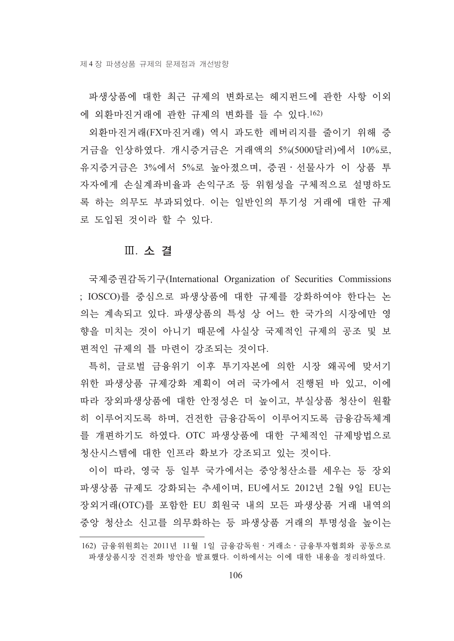파생상품에 대한 최근 규제의 변화로는 헤지펀드에 관한 사항 이외 에 외환마진거래에 관한 규제의 변화를 들 수 있다.162)

외환마진거래(FX마진거래) 역시 과도한 레버리지를 줄이기 위해 증 거금을 인상하였다. 개시증거금은 거래액의 5%(5000달러)에서 10%로, 유지증거금은 3%에서 5%로 높아졌으며, 증권·선물사가 이 상품 투 자자에게 손실계좌비율과 손익구조 등 위험성을 구체적으로 설명하도 록 하는 의무도 부과되었다. 이는 일반인의 투기성 거래에 대한 규제 로 도입된 것이라 할 수 있다.

### Ⅲ. 소 결

국제증권감독기구(International Organization of Securities Commissions : IOSCO)를 중심으로 파생상품에 대한 규제를 강화하여야 한다는 논 의는 계속되고 있다. 파생상품의 특성 상 어느 한 국가의 시장에만 영 향을 미치는 것이 아니기 때문에 사실상 국제적인 규제의 공조 및 보 편적인 규제의 틀 마련이 강조되는 것이다.

특히, 글로벌 금융위기 이후 투기자본에 의한 시장 왜곡에 맞서기 위한 파생상품 규제강화 계획이 여러 국가에서 진행된 바 있고, 이에 따라 장외파생상품에 대한 안정성은 더 높이고, 부실상품 청산이 원활 히 이루어지도록 하며, 건전한 금융감독이 이루어지도록 금융감독체계 를 개편하기도 하였다. OTC 파생상품에 대한 구체적인 규제방법으로 청산시스템에 대한 인프라 확보가 강조되고 있는 것이다.

이이 따라, 영국 등 일부 국가에서는 중앙청산소를 세우는 등 장외 파생상품 규제도 강화되는 추세이며, EU에서도 2012년 2월 9일 EU는 장외거래(OTC)를 포함한 EU 회원국 내의 모든 파생상품 거래 내역의 중앙 청산소 신고를 의무화하는 등 파생상품 거래의 투명성을 높이는

<sup>162)</sup> 금융위원회는 2011년 11월 1일 금융감독원 · 거래소 · 금융투자협회와 공동으로 파생상품시장 건전화 방안을 발표했다. 이하에서는 이에 대한 내용을 정리하였다.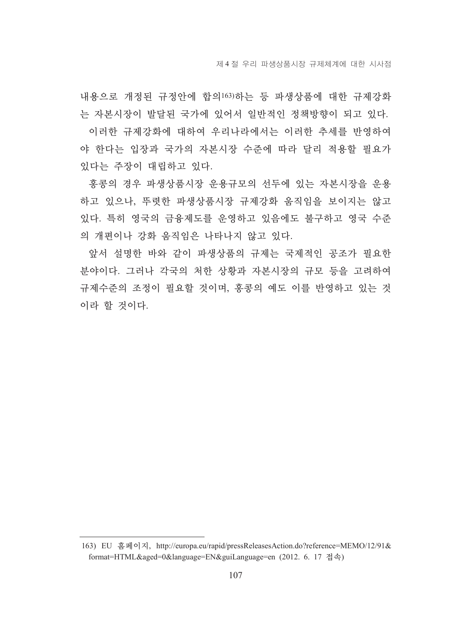내용으로 개정된 규정안에 합의163)하는 등 파생상품에 대한 규제강화 는 자본시장이 발달된 국가에 있어서 일반적인 정책방향이 되고 있다.

이러한 규제강화에 대하여 우리나라에서는 이러한 추세를 반영하여 야 한다는 입장과 국가의 자본시장 수준에 따라 달리 적용할 필요가 있다는 주장이 대립하고 있다.

홍콩의 경우 파생상품시장 운용규모의 선두에 있는 자본시장을 운용 하고 있으나, 뚜렷한 파생상품시장 규제강화 움직임을 보이지는 않고 있다. 특히 영국의 금융제도를 운영하고 있음에도 불구하고 영국 수준 의 개편이나 강화 움직임은 나타나지 않고 있다.

앞서 설명한 바와 같이 파생상품의 규제는 국제적인 공조가 필요한 분야이다. 그러나 각국의 처한 상황과 자본시장의 규모 등을 고려하여 규제수준의 조정이 필요할 것이며, 홍콩의 예도 이를 반영하고 있는 것 이라 할 것이다.

<sup>163)</sup> EU 홈페이지, http://europa.eu/rapid/pressReleasesAction.do?reference=MEMO/12/91& format=HTML&aged=0&language=EN&guiLanguage=en (2012. 6. 17 접속)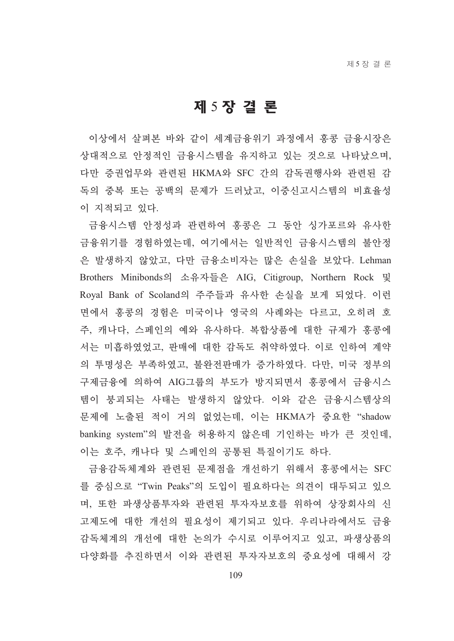## 제 5 장 결 론

이상에서 살펴본 바와 같이 세계금융위기 과정에서 홍콩 금융시장은 상대적으로 안정적인 금융시스템을 유지하고 있는 것으로 나타났으며, 다만 증권업무와 관련된 HKMA와 SFC 간의 감독권행사와 관련된 감 독의 중복 또는 공백의 문제가 드러났고, 이중신고시스템의 비효율성 이 지적되고 있다.

금융시스템 안정성과 관련하여 홍콩은 그 동안 싱가포르와 유사한 금융위기를 경험하였는데, 여기에서는 일반적인 금융시스템의 불안정 은 발생하지 않았고, 다만 금융소비자는 많은 손실을 보았다. Lehman Brothers Minibonds의 소유자들은 AIG, Citigroup, Northern Rock 및 Royal Bank of Scoland의 주주들과 유사한 손실을 보게 되었다. 이런 면에서 홍콩의 경험은 미국이나 영국의 사례와는 다르고, 오히려 호 주, 캐나다, 스페인의 예와 유사하다. 복합상품에 대한 규제가 홍콩에 서는 미흡하였었고, 판매에 대한 감독도 취약하였다. 이로 인하여 계약 의 투명성은 부족하였고, 불완전판매가 증가하였다. 다만, 미국 정부의 구제금융에 의하여 AIG그룹의 부도가 방지되면서 홍콩에서 금융시스 템이 붕괴되는 사태는 발생하지 않았다. 이와 같은 금융시스템상의 문제에 노출된 적이 거의 없었는데, 이는 HKMA가 중요한 "shadow banking system"의 발전을 허용하지 않은데 기인하는 바가 큰 것인데, 이는 호주, 캐나다 및 스페인의 공통된 특질이기도 하다.

금융감독체계와 관련된 문제점을 개선하기 위해서 홍콩에서는 SFC 를 중심으로 "Twin Peaks"의 도입이 필요하다는 의견이 대두되고 있으 며, 또한 파생상품투자와 관련된 투자자보호를 위하여 상장회사의 신 고제도에 대한 개선의 필요성이 제기되고 있다. 우리나라에서도 금융 감독체계의 개선에 대한 논의가 수시로 이루어지고 있고, 파생상품의 다양화를 추진하면서 이와 관련된 투자자보호의 중요성에 대해서 강

109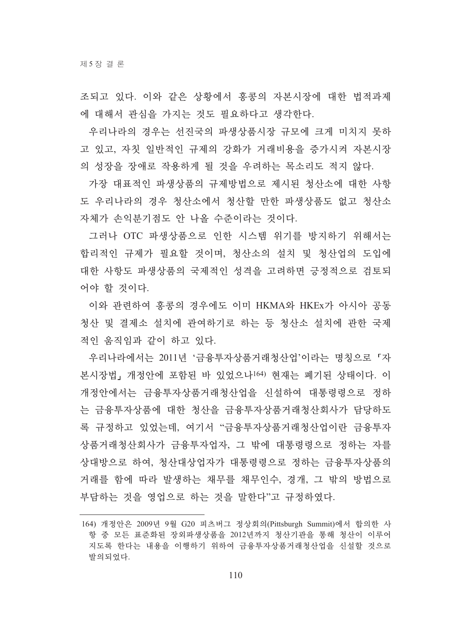조되고 있다. 이와 같은 상황에서 홍콩의 자본시장에 대한 법적과제 에 대해서 관심을 가지는 것도 필요하다고 생각한다.

우리나라의 경우는 선진국의 파생상품시장 규모에 크게 미치지 못하 고 있고, 자칫 일반적인 규제의 강화가 거래비용을 증가시켜 자본시장 의 성장을 장애로 작용하게 될 것을 우려하는 목소리도 적지 않다.

가장 대표적인 파생상품의 규제방법으로 제시된 청산소에 대한 사항 도 우리나라의 경우 청산소에서 청산할 만한 파생상품도 없고 청산소 자체가 손익분기점도 안 나올 수준이라는 것이다.

그러나 OTC 파생상품으로 인한 시스템 위기를 방지하기 위해서는 합리적인 규제가 필요할 것이며, 청산소의 설치 및 청산업의 도입에 대한 사항도 파생상품의 국제적인 성격을 고려하면 긍정적으로 검토되 어야 할 것이다.

이와 관련하여 홍콩의 경우에도 이미 HKMA와 HKEx가 아시아 공동 청산 및 결제소 설치에 관여하기로 하는 등 청산소 설치에 관한 국제 적인 움직임과 같이 하고 있다.

우리나라에서는 2011년 '금융투자상품거래청산업'이라는 명칭으로 「자 본시장법」 개정안에 포함된 바 있었으나164) 현재는 폐기된 상태이다. 이 개정안에서는 금융투자상품거래청산업을 신설하여 대통령령으로 정하 는 금융투자상품에 대한 청산을 금융투자상품거래청산회사가 담당하도 록 규정하고 있었는데, 여기서 "금융투자상품거래청산업이란 금융투자 상품거래청산회사가 금융투자업자, 그 밖에 대통령령으로 정하는 자를 상대방으로 하여, 청산대상업자가 대통령령으로 정하는 금융투자상품의 거래를 함에 따라 발생하는 채무를 채무인수, 경개, 그 밖의 방법으로 부담하는 것을 영업으로 하는 것을 말하다"고 규정하였다.

<sup>164)</sup> 개정안은 2009년 9월 G20 피츠버그 정상회의(Pittsburgh Summit)에서 합의한 사 항 중 모든 표준화된 장외파생상품을 2012년까지 청산기관을 통해 청산이 이루어 지도록 한다는 내용을 이행하기 위하여 금융투자상품거래청산업을 신설할 것으로 발의되었다.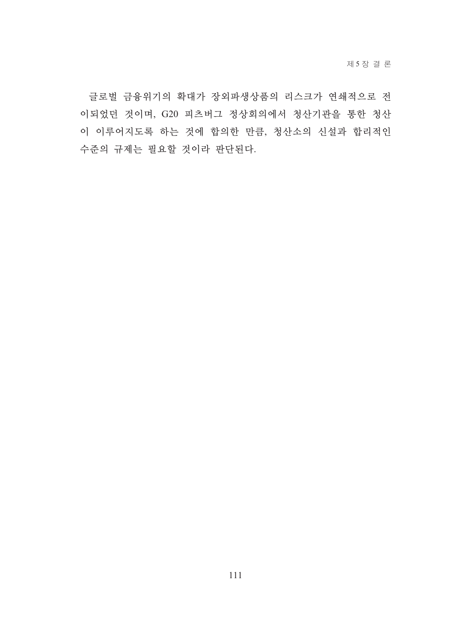글로벌 금융위기의 확대가 장외파생상품의 리스크가 연쇄적으로 전 이되었던 것이며, G20 피츠버그 정상회의에서 청산기관을 통한 청산 이 이루어지도록 하는 것에 합의한 만큼, 청산소의 신설과 합리적인 수준의 규제는 필요할 것이라 판단된다.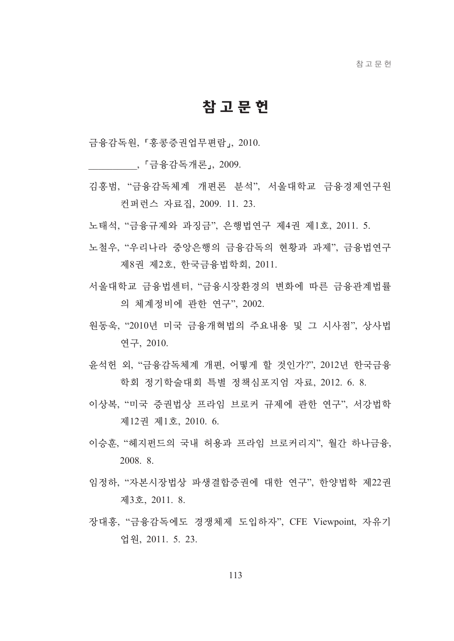# 참고문헌

금융감독원, 「홍콩증권업무편람」, 2010.

\_\_\_\_\_\_\_, 「금융감독개론」, 2009.

- 김홍범, "금융감독체계 개편론 분석", 서울대학교 금융경제연구원 컨퍼런스 자료집, 2009. 11. 23.
- 노태석. "금융규제와 과징금", 은행법연구 제4권 제1호, 2011. 5.
- 노철우, "우리나라 중앙은행의 금융감독의 현황과 과제", 금융법연구 제8권 제2호, 한국금융법학회, 2011.
- 서울대학교 금융법센터, "금융시장환경의 변화에 따른 금융관계법률 의 체계정비에 과하 여구", 2002.
- 원동욱, "2010년 미국 금융개혁법의 주요내용 및 그 시사점", 상사법 연구, 2010.
- 유석헌 외 "금융감독체계 개편, 어떻게 할 것인가?", 2012년 한국금융 학회 정기학술대회 특별 정책심포지엄 자료, 2012, 6, 8,
- 이상복, "미국 증권법상 프라임 브로커 규제에 관한 연구", 서강법학 제12권 제1호, 2010. 6.
- 이승훈, "헤지펀드의 국내 허용과 프라임 브로커리지", 월간 하나금융, 2008. 8.
- 임정하. "자본시장법상 파생결합증권에 대한 연구", 한양법학 제22권 제3호. 2011. 8.
- 장대홍, "금융감독에도 경쟁체제 도입하자", CFE Viewpoint, 자유기 업원, 2011. 5. 23.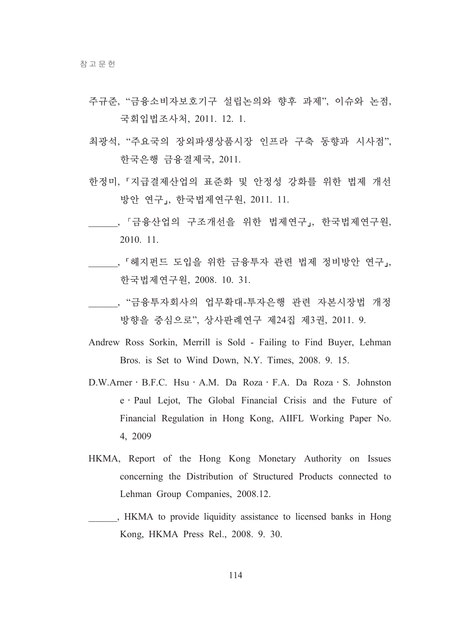- 주규준, "금융소비자보호기구 설립논의와 향후 과제", 이슈와 논점, 국회입법조사처, 2011. 12. 1.
- 최광석, "주요국의 장외파생상품시장 인프라 구축 동향과 시사점", 한국은행 금융결제국, 2011.
- 한정미, 「지급결제산업의 표준화 및 안정성 강화를 위한 법제 개선 방안 연구」, 한국법제연구원, 2011. 11.
- , 「금융산업의 구조개선을 위한 법제연구」, 한국법제연구원, 2010. 11.
- , 「헤지펀드 도입을 위한 금융투자 관련 법제 정비방안 연구」 한국법제연구원, 2008. 10. 31.
- , "금융투자회사의 업무확대-투자은행 관련 자본시장법 개정 방향을 중심으로", 상사판례연구 제24집 제3권, 2011. 9.
- Andrew Ross Sorkin, Merrill is Sold Failing to Find Buyer, Lehman Bros. is Set to Wind Down, N.Y. Times, 2008. 9. 15.
- D.W.Arner · B.F.C. Hsu · A.M. Da Roza · F.A. Da Roza · S. Johnston e Paul Lejot, The Global Financial Crisis and the Future of Financial Regulation in Hong Kong, AIIFL Working Paper No. 4, 2009
- HKMA, Report of the Hong Kong Monetary Authority on Issues concerning the Distribution of Structured Products connected to Lehman Group Companies, 2008.12.
- HKMA to provide liquidity assistance to licensed banks in Hong Kong, HKMA Press Rel., 2008. 9. 30.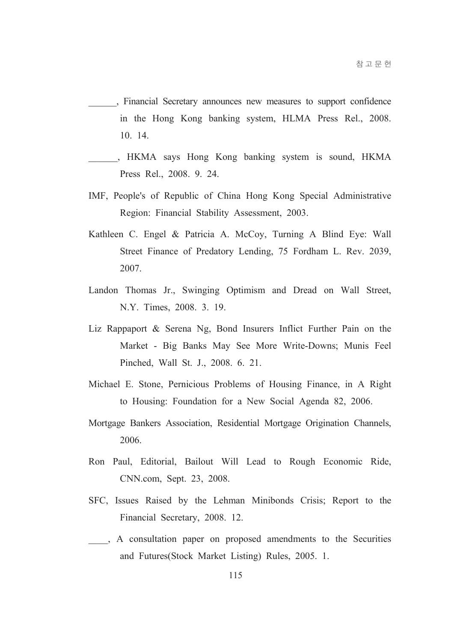- , Financial Secretary announces new measures to support confidence in the Hong Kong banking system, HLMA Press Rel., 2008. 10. 14.
- , HKMA says Hong Kong banking system is sound, HKMA Press Rel., 2008. 9. 24.
- IMF, People's of Republic of China Hong Kong Special Administrative Region: Financial Stability Assessment, 2003.
- Kathleen C. Engel & Patricia A. McCoy, Turning A Blind Eye: Wall Street Finance of Predatory Lending, 75 Fordham L. Rev. 2039, 2007.
- Landon Thomas Jr., Swinging Optimism and Dread on Wall Street, N.Y. Times, 2008. 3. 19.
- Liz Rappaport & Serena Ng, Bond Insurers Inflict Further Pain on the Market - Big Banks May See More Write-Downs; Munis Feel Pinched, Wall St. J., 2008, 6, 21.
- Michael E. Stone, Pernicious Problems of Housing Finance, in A Right to Housing: Foundation for a New Social Agenda 82, 2006.
- Mortgage Bankers Association, Residential Mortgage Origination Channels, 2006.
- Ron Paul, Editorial, Bailout Will Lead to Rough Economic Ride. CNN.com, Sept. 23, 2008.
- SFC, Issues Raised by the Lehman Minibonds Crisis; Report to the Financial Secretary, 2008. 12.
- A consultation paper on proposed amendments to the Securities and Futures (Stock Market Listing) Rules, 2005. 1.